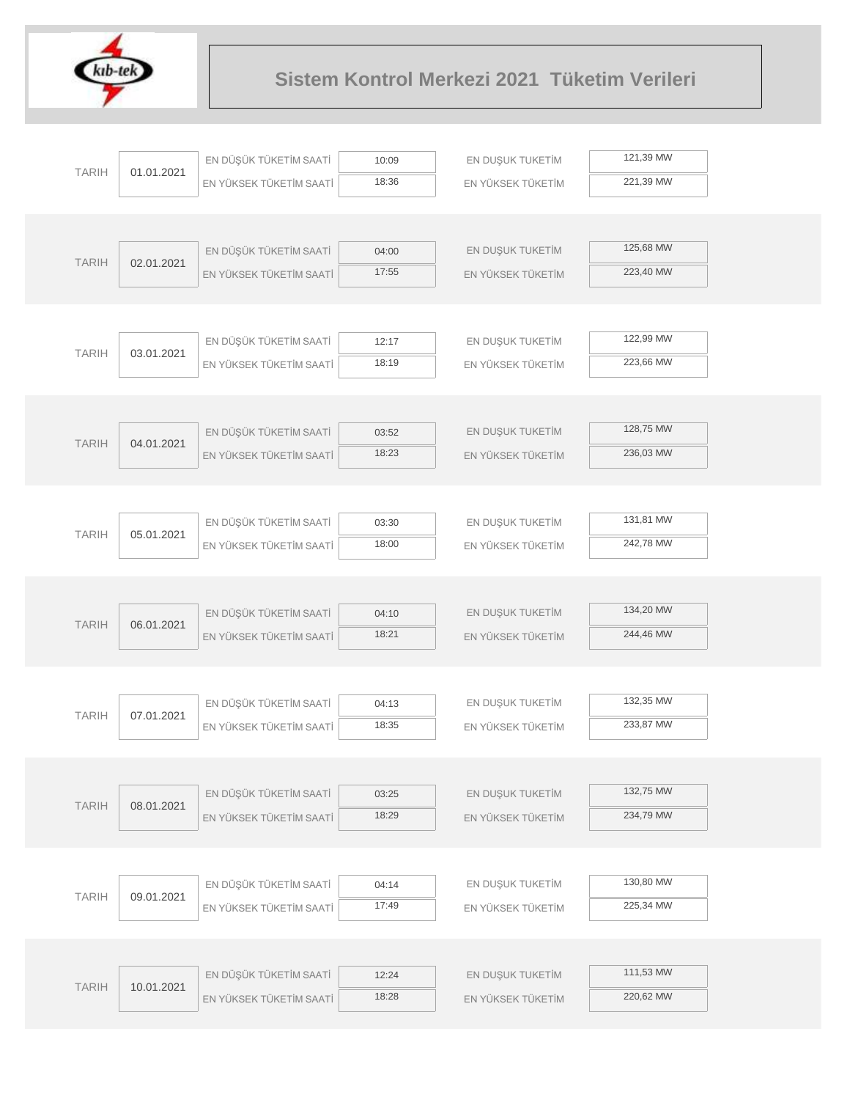

|              |            | EN DÜŞÜK TÜKETİM SAATİ  |                | EN DUŞUK TUKETİM  | 121,39 MW |  |
|--------------|------------|-------------------------|----------------|-------------------|-----------|--|
| <b>TARIH</b> | 01.01.2021 |                         | 10:09<br>18:36 |                   | 221,39 MW |  |
|              |            | EN YÜKSEK TÜKETİM SAATİ |                | EN YÜKSEK TÜKETİM |           |  |
|              |            |                         |                |                   |           |  |
|              |            | EN DÜŞÜK TÜKETİM SAATİ  | 04:00          | EN DUŞUK TUKETİM  | 125,68 MW |  |
| <b>TARIH</b> | 02.01.2021 | EN YÜKSEK TÜKETİM SAATİ | 17:55          | EN YÜKSEK TÜKETİM | 223,40 MW |  |
|              |            |                         |                |                   |           |  |
|              |            |                         |                |                   |           |  |
|              |            | EN DÜŞÜK TÜKETİM SAATİ  | 12:17          | EN DUŞUK TUKETİM  | 122,99 MW |  |
| <b>TARIH</b> | 03.01.2021 | EN YÜKSEK TÜKETİM SAATİ | 18:19          | EN YÜKSEK TÜKETİM | 223,66 MW |  |
|              |            |                         |                |                   |           |  |
|              |            |                         |                |                   |           |  |
|              |            | EN DÜŞÜK TÜKETİM SAATİ  | 03:52          | EN DUŞUK TUKETİM  | 128,75 MW |  |
| <b>TARIH</b> | 04.01.2021 | EN YÜKSEK TÜKETİM SAATİ | 18:23          | EN YÜKSEK TÜKETİM | 236,03 MW |  |
|              |            |                         |                |                   |           |  |
|              |            |                         |                |                   |           |  |
| <b>TARIH</b> |            | EN DÜŞÜK TÜKETİM SAATİ  | 03:30          | EN DUŞUK TUKETİM  | 131,81 MW |  |
|              | 05.01.2021 | EN YÜKSEK TÜKETİM SAATİ | 18:00          | EN YÜKSEK TÜKETİM | 242,78 MW |  |
|              |            |                         |                |                   |           |  |
|              |            |                         |                |                   |           |  |
| <b>TARIH</b> | 06.01.2021 | EN DÜŞÜK TÜKETİM SAATİ  | 04:10          | EN DUŞUK TUKETİM  | 134,20 MW |  |
|              |            | EN YÜKSEK TÜKETİM SAATİ | 18:21          | EN YÜKSEK TÜKETİM | 244,46 MW |  |
|              |            |                         |                |                   |           |  |
|              |            |                         |                |                   |           |  |
| <b>TARIH</b> | 07.01.2021 | EN DÜŞÜK TÜKETİM SAATİ  | 04:13          | EN DUŞUK TUKETİM  | 132,35 MW |  |
|              |            | EN YÜKSEK TÜKETİM SAATİ | 18:35          | EN YÜKSEK TÜKETİM | 233,87 MW |  |
|              |            |                         |                |                   |           |  |
|              |            |                         |                |                   | 132,75 MW |  |
| <b>TARIH</b> | 08.01.2021 | EN DÜŞÜK TÜKETİM SAATİ  | 03:25          | EN DUŞUK TUKETİM  | 234,79 MW |  |
|              |            | EN YÜKSEK TÜKETİM SAATİ | 18:29          | EN YÜKSEK TÜKETİM |           |  |
|              |            |                         |                |                   |           |  |
|              |            | EN DÜŞÜK TÜKETİM SAATİ  |                | EN DUŞUK TUKETİM  | 130,80 MW |  |
| <b>TARIH</b> | 09.01.2021 |                         | 04:14<br>17:49 |                   | 225,34 MW |  |
|              |            | EN YÜKSEK TÜKETİM SAATİ |                | EN YÜKSEK TÜKETİM |           |  |
|              |            |                         |                |                   |           |  |
|              |            | EN DÜŞÜK TÜKETİM SAATİ  | 12:24          | EN DUŞUK TUKETİM  | 111,53 MW |  |
| <b>TARIH</b> | 10.01.2021 | EN YÜKSEK TÜKETİM SAATİ | 18:28          | EN YÜKSEK TÜKETİM | 220,62 MW |  |
|              |            |                         |                |                   |           |  |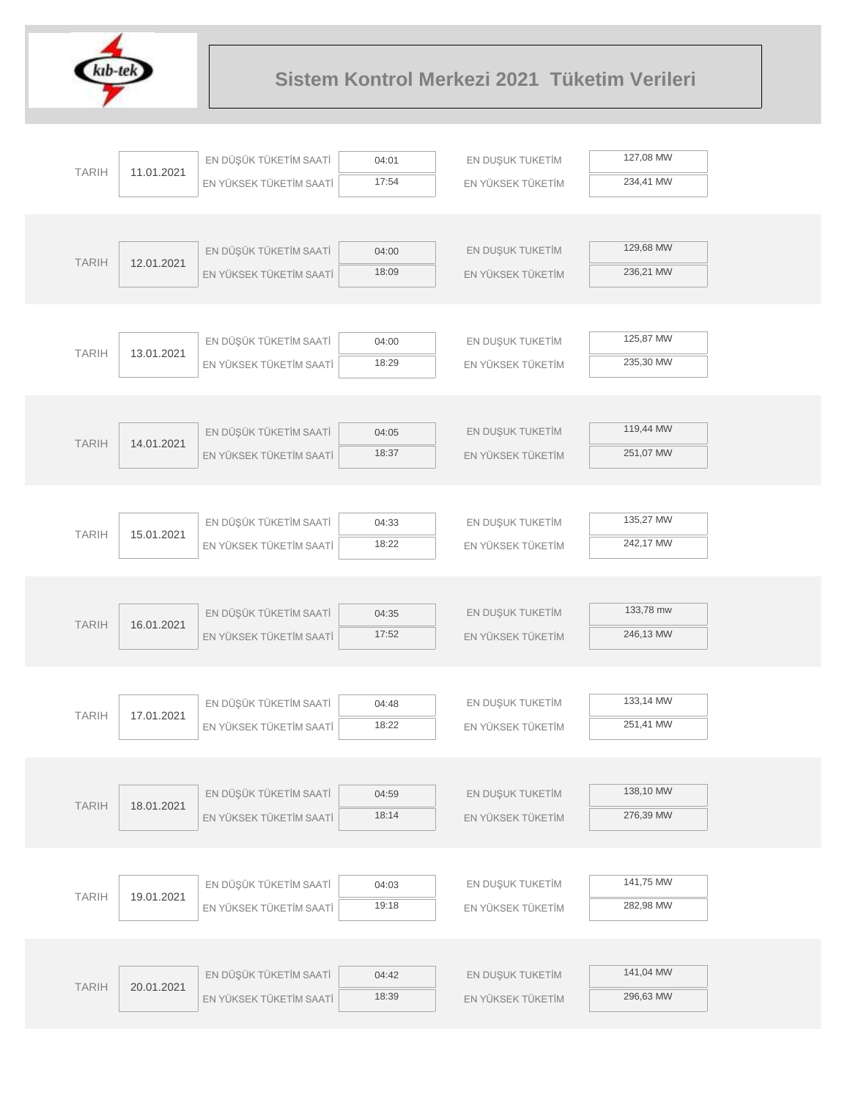

|              |            | EN DÜŞÜK TÜKETİM SAATİ  | 04:01 | EN DUŞUK TUKETİM  | 127,08 MW |
|--------------|------------|-------------------------|-------|-------------------|-----------|
| <b>TARIH</b> | 11.01.2021 | EN YÜKSEK TÜKETİM SAATİ | 17:54 | EN YÜKSEK TÜKETİM | 234,41 MW |
|              |            |                         |       |                   |           |
|              |            |                         |       |                   |           |
| <b>TARIH</b> | 12.01.2021 | EN DÜŞÜK TÜKETİM SAATİ  | 04:00 | EN DUŞUK TUKETİM  | 129,68 MW |
|              |            | EN YÜKSEK TÜKETİM SAATİ | 18:09 | EN YÜKSEK TÜKETİM | 236,21 MW |
|              |            |                         |       |                   |           |
|              |            |                         |       |                   |           |
| <b>TARIH</b> | 13.01.2021 | EN DÜŞÜK TÜKETİM SAATİ  | 04:00 | EN DUŞUK TUKETİM  | 125,87 MW |
|              |            | EN YÜKSEK TÜKETİM SAATİ | 18:29 | EN YÜKSEK TÜKETİM | 235,30 MW |
|              |            |                         |       |                   |           |
|              |            | EN DÜŞÜK TÜKETİM SAATİ  | 04:05 | EN DUŞUK TUKETİM  | 119,44 MW |
| <b>TARIH</b> | 14.01.2021 | EN YÜKSEK TÜKETİM SAATİ | 18:37 | EN YÜKSEK TÜKETİM | 251,07 MW |
|              |            |                         |       |                   |           |
|              |            |                         |       |                   |           |
|              |            | EN DÜŞÜK TÜKETİM SAATİ  | 04:33 | EN DUŞUK TUKETİM  | 135,27 MW |
| <b>TARIH</b> | 15.01.2021 | EN YÜKSEK TÜKETİM SAATİ | 18:22 | EN YÜKSEK TÜKETİM | 242,17 MW |
|              |            |                         |       |                   |           |
|              |            |                         |       |                   |           |
|              |            | EN DÜŞÜK TÜKETİM SAATİ  | 04:35 | EN DUŞUK TUKETİM  | 133,78 mw |
| <b>TARIH</b> | 16.01.2021 | EN YÜKSEK TÜKETİM SAATİ | 17:52 | EN YÜKSEK TÜKETİM | 246,13 MW |
|              |            |                         |       |                   |           |
|              |            |                         |       |                   |           |
| <b>TARIH</b> | 17.01.2021 | EN DÜŞÜK TÜKETİM SAATİ  | 04:48 | EN DUŞUK TUKETİM  | 133,14 MW |
|              |            | EN YÜKSEK TÜKETİM SAATİ | 18:22 | EN YÜKSEK TÜKETİM | 251,41 MW |
|              |            |                         |       |                   |           |
|              |            | EN DÜŞÜK TÜKETİM SAATİ  | 04:59 | EN DUŞUK TUKETİM  | 138,10 MW |
| <b>TARIH</b> | 18.01.2021 | EN YÜKSEK TÜKETİM SAATİ | 18:14 | EN YÜKSEK TÜKETİM | 276,39 MW |
|              |            |                         |       |                   |           |
|              |            |                         |       |                   |           |
|              |            | EN DÜŞÜK TÜKETİM SAATİ  | 04:03 | EN DUŞUK TUKETİM  | 141,75 MW |
| <b>TARIH</b> | 19.01.2021 | EN YÜKSEK TÜKETİM SAATİ | 19:18 | EN YÜKSEK TÜKETİM | 282,98 MW |
|              |            |                         |       |                   |           |
|              |            |                         |       |                   |           |
| <b>TARIH</b> | 20.01.2021 | EN DÜŞÜK TÜKETİM SAATİ  | 04:42 | EN DUŞUK TUKETİM  | 141,04 MW |
|              |            | EN YÜKSEK TÜKETİM SAATİ | 18:39 | EN YÜKSEK TÜKETİM | 296,63 MW |
|              |            |                         |       |                   |           |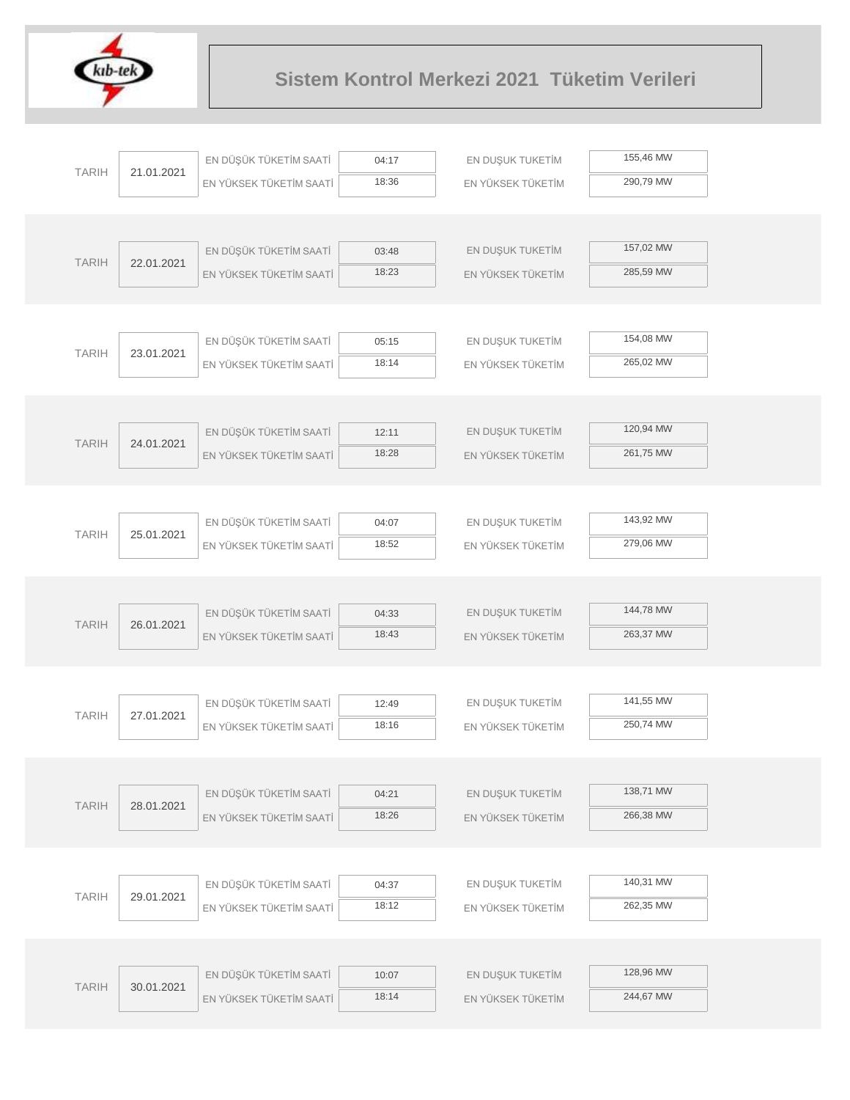

| 155,46 MW<br>EN DÜŞÜK TÜKETİM SAATİ<br>EN DUŞUK TUKETİM<br>04:17<br><b>TARIH</b><br>21.01.2021<br>18:36<br>290,79 MW<br>EN YÜKSEK TÜKETİM SAATİ<br>EN YÜKSEK TÜKETİM<br>157,02 MW<br>EN DÜŞÜK TÜKETİM SAATİ<br>EN DUŞUK TUKETİM<br>03:48<br><b>TARIH</b><br>22.01.2021<br>18:23<br>285,59 MW<br>EN YÜKSEK TÜKETİM SAATİ<br>EN YÜKSEK TÜKETİM |  |
|----------------------------------------------------------------------------------------------------------------------------------------------------------------------------------------------------------------------------------------------------------------------------------------------------------------------------------------------|--|
|                                                                                                                                                                                                                                                                                                                                              |  |
|                                                                                                                                                                                                                                                                                                                                              |  |
|                                                                                                                                                                                                                                                                                                                                              |  |
|                                                                                                                                                                                                                                                                                                                                              |  |
|                                                                                                                                                                                                                                                                                                                                              |  |
|                                                                                                                                                                                                                                                                                                                                              |  |
|                                                                                                                                                                                                                                                                                                                                              |  |
|                                                                                                                                                                                                                                                                                                                                              |  |
| 154,08 MW<br>EN DÜŞÜK TÜKETİM SAATİ<br>EN DUŞUK TUKETİM<br>05:15<br><b>TARIH</b><br>23.01.2021                                                                                                                                                                                                                                               |  |
| 18:14<br>265,02 MW<br>EN YÜKSEK TÜKETİM SAATİ<br>EN YÜKSEK TÜKETİM                                                                                                                                                                                                                                                                           |  |
|                                                                                                                                                                                                                                                                                                                                              |  |
|                                                                                                                                                                                                                                                                                                                                              |  |
| 120,94 MW<br>EN DÜŞÜK TÜKETİM SAATİ<br>EN DUŞUK TUKETİM<br>12:11<br><b>TARIH</b><br>24.01.2021                                                                                                                                                                                                                                               |  |
| 18:28<br>261,75 MW<br>EN YÜKSEK TÜKETİM SAATİ<br>EN YÜKSEK TÜKETİM                                                                                                                                                                                                                                                                           |  |
|                                                                                                                                                                                                                                                                                                                                              |  |
|                                                                                                                                                                                                                                                                                                                                              |  |
| 143,92 MW<br>EN DÜŞÜK TÜKETİM SAATİ<br>EN DUŞUK TUKETİM<br>04:07<br><b>TARIH</b><br>25.01.2021                                                                                                                                                                                                                                               |  |
| 18:52<br>279,06 MW<br>EN YÜKSEK TÜKETİM SAATİ<br>EN YÜKSEK TÜKETİM                                                                                                                                                                                                                                                                           |  |
|                                                                                                                                                                                                                                                                                                                                              |  |
|                                                                                                                                                                                                                                                                                                                                              |  |
| 144,78 MW<br>EN DÜŞÜK TÜKETİM SAATİ<br>EN DUŞUK TUKETİM<br>04:33<br><b>TARIH</b><br>26.01.2021                                                                                                                                                                                                                                               |  |
| 18:43<br>263,37 MW<br>EN YÜKSEK TÜKETİM SAATİ<br>EN YÜKSEK TÜKETİM                                                                                                                                                                                                                                                                           |  |
|                                                                                                                                                                                                                                                                                                                                              |  |
| 141,55 MW                                                                                                                                                                                                                                                                                                                                    |  |
| EN DÜŞÜK TÜKETİM SAATİ<br>EN DUŞUK TUKETİM<br>12:49<br><b>TARIH</b><br>27.01.2021<br>18:16                                                                                                                                                                                                                                                   |  |
| 250,74 MW<br>EN YÜKSEK TÜKETİM SAATİ<br>EN YÜKSEK TÜKETİM                                                                                                                                                                                                                                                                                    |  |
|                                                                                                                                                                                                                                                                                                                                              |  |
| 138,71 MW<br>EN DÜŞÜK TÜKETİM SAATİ<br>EN DUŞUK TUKETİM<br>04:21                                                                                                                                                                                                                                                                             |  |
| <b>TARIH</b><br>28.01.2021<br>266,38 MW<br>18:26<br>EN YÜKSEK TÜKETİM SAATİ<br>EN YÜKSEK TÜKETİM                                                                                                                                                                                                                                             |  |
|                                                                                                                                                                                                                                                                                                                                              |  |
|                                                                                                                                                                                                                                                                                                                                              |  |
| 140,31 MW<br>EN DÜŞÜK TÜKETİM SAATİ<br>EN DUŞUK TUKETİM<br>04:37                                                                                                                                                                                                                                                                             |  |
| <b>TARIH</b><br>29.01.2021<br>262,35 MW<br>18:12<br>EN YÜKSEK TÜKETİM SAATİ<br>EN YÜKSEK TÜKETİM                                                                                                                                                                                                                                             |  |
|                                                                                                                                                                                                                                                                                                                                              |  |
|                                                                                                                                                                                                                                                                                                                                              |  |
| 128,96 MW<br>EN DÜŞÜK TÜKETİM SAATİ<br>EN DUŞUK TUKETİM<br>10:07                                                                                                                                                                                                                                                                             |  |
| <b>TARIH</b><br>30.01.2021<br>244,67 MW<br>18:14<br>EN YÜKSEK TÜKETİM SAATİ<br>EN YÜKSEK TÜKETİM                                                                                                                                                                                                                                             |  |
|                                                                                                                                                                                                                                                                                                                                              |  |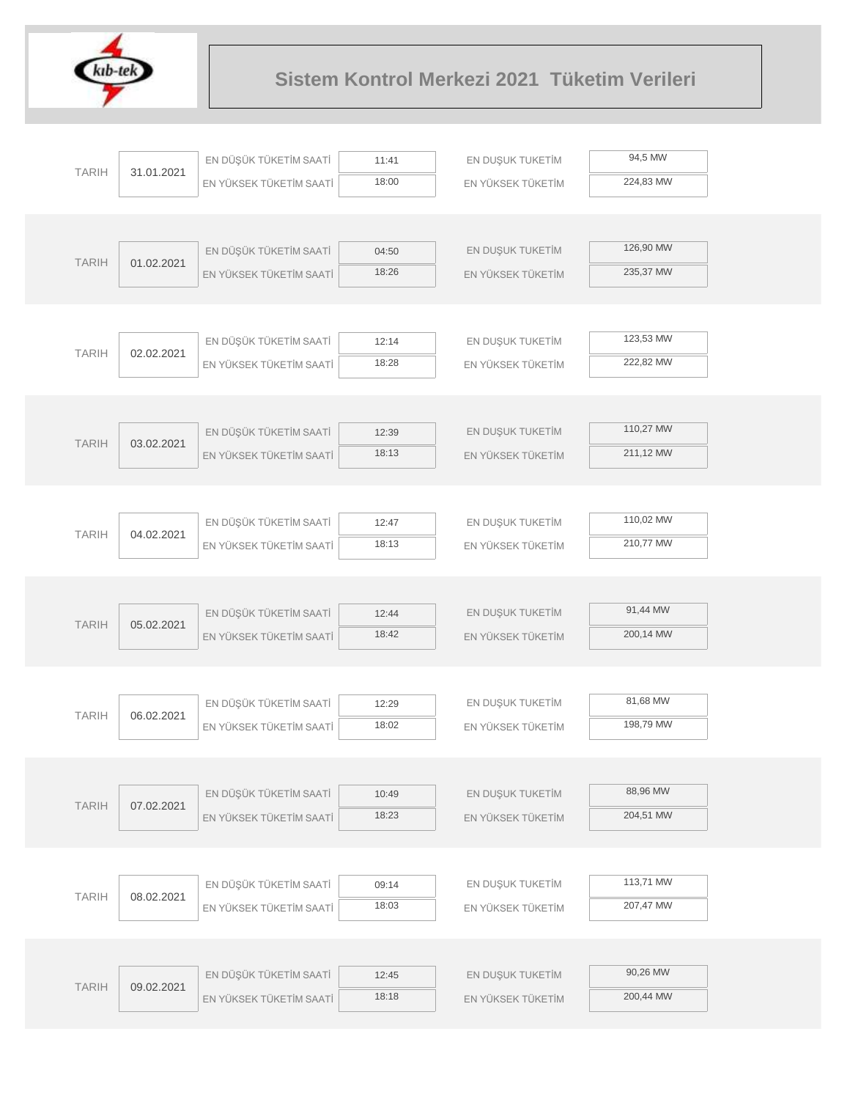

|              |            | EN DÜŞÜK TÜKETİM SAATİ  | 11:41          | EN DUŞUK TUKETİM  | 94,5 MW   |
|--------------|------------|-------------------------|----------------|-------------------|-----------|
| <b>TARIH</b> | 31.01.2021 | EN YÜKSEK TÜKETİM SAATİ | 18:00          | EN YÜKSEK TÜKETİM | 224,83 MW |
|              |            |                         |                |                   |           |
|              |            |                         |                |                   |           |
| <b>TARIH</b> | 01.02.2021 | EN DÜŞÜK TÜKETİM SAATİ  | 04:50          | EN DUŞUK TUKETİM  | 126,90 MW |
|              |            | EN YÜKSEK TÜKETİM SAATİ | 18:26          | EN YÜKSEK TÜKETİM | 235,37 MW |
|              |            |                         |                |                   |           |
|              |            |                         |                |                   |           |
| <b>TARIH</b> | 02.02.2021 | EN DÜŞÜK TÜKETİM SAATİ  | 12:14          | EN DUŞUK TUKETİM  | 123,53 MW |
|              |            | EN YÜKSEK TÜKETİM SAATİ | 18:28          | EN YÜKSEK TÜKETİM | 222,82 MW |
|              |            |                         |                |                   |           |
|              |            | EN DÜŞÜK TÜKETİM SAATİ  |                | EN DUŞUK TUKETİM  | 110,27 MW |
| <b>TARIH</b> | 03.02.2021 | EN YÜKSEK TÜKETİM SAATİ | 12:39<br>18:13 | EN YÜKSEK TÜKETİM | 211,12 MW |
|              |            |                         |                |                   |           |
|              |            |                         |                |                   |           |
|              |            | EN DÜŞÜK TÜKETİM SAATİ  | 12:47          | EN DUŞUK TUKETİM  | 110,02 MW |
| <b>TARIH</b> | 04.02.2021 | EN YÜKSEK TÜKETİM SAATİ | 18:13          | EN YÜKSEK TÜKETİM | 210,77 MW |
|              |            |                         |                |                   |           |
|              |            |                         |                |                   |           |
|              |            | EN DÜŞÜK TÜKETİM SAATİ  | 12:44          | EN DUŞUK TUKETİM  | 91,44 MW  |
| <b>TARIH</b> | 05.02.2021 | EN YÜKSEK TÜKETİM SAATİ | 18:42          | EN YÜKSEK TÜKETİM | 200,14 MW |
|              |            |                         |                |                   |           |
|              |            |                         |                |                   |           |
| <b>TARIH</b> | 06.02.2021 | EN DÜŞÜK TÜKETİM SAATİ  | 12:29          | EN DUŞUK TUKETİM  | 81,68 MW  |
|              |            | EN YÜKSEK TÜKETİM SAATİ | 18:02          | EN YÜKSEK TÜKETİM | 198,79 MW |
|              |            |                         |                |                   |           |
|              |            |                         |                |                   |           |
| <b>TARIH</b> | 07.02.2021 | EN DÜŞÜK TÜKETİM SAATİ  | 10:49          | EN DUŞUK TUKETİM  | 88,96 MW  |
|              |            | EN YÜKSEK TÜKETİM SAATİ | 18:23          | EN YÜKSEK TÜKETİM | 204,51 MW |
|              |            |                         |                |                   |           |
|              |            |                         |                |                   | 113,71 MW |
| <b>TARIH</b> | 08.02.2021 | EN DÜŞÜK TÜKETİM SAATİ  | 09:14<br>18:03 | EN DUŞUK TUKETİM  | 207,47 MW |
|              |            | EN YÜKSEK TÜKETİM SAATİ |                | EN YÜKSEK TÜKETİM |           |
|              |            |                         |                |                   |           |
|              |            | EN DÜŞÜK TÜKETİM SAATİ  | 12:45          | EN DUŞUK TUKETİM  | 90,26 MW  |
| <b>TARIH</b> | 09.02.2021 | EN YÜKSEK TÜKETİM SAATİ | 18:18          | EN YÜKSEK TÜKETİM | 200,44 MW |
|              |            |                         |                |                   |           |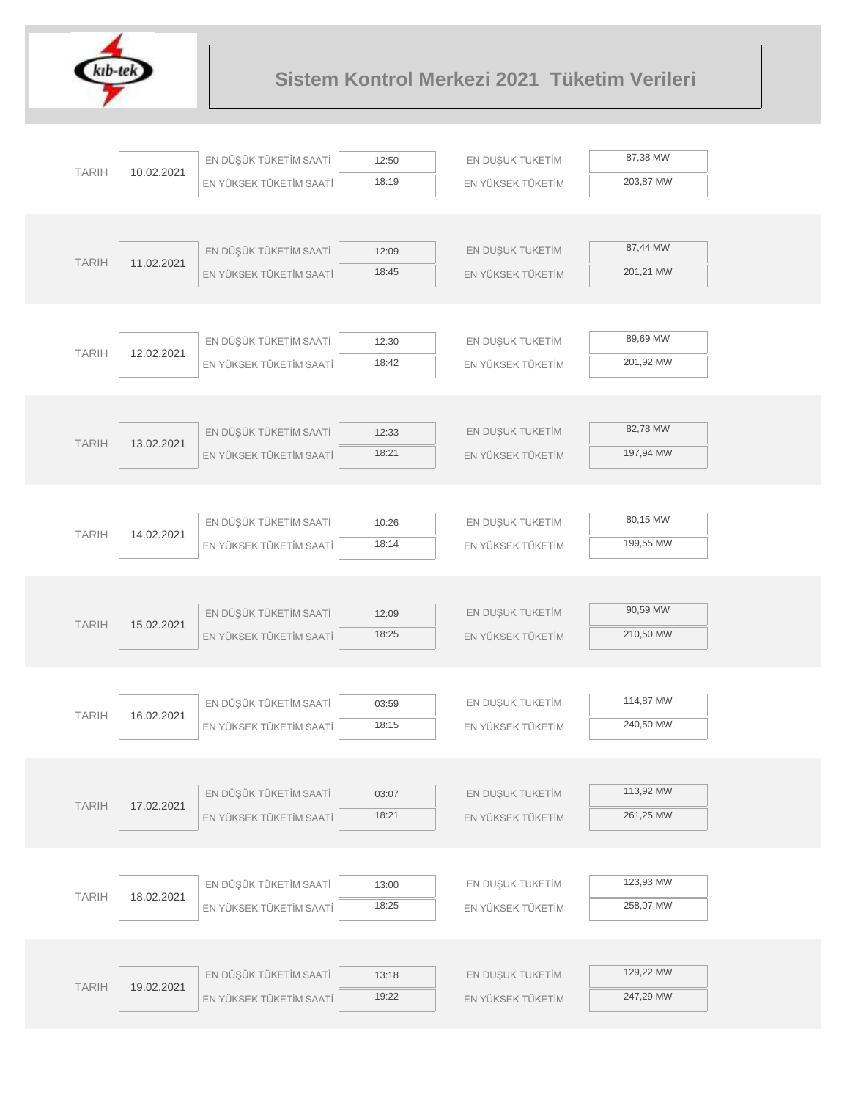

|              |            | EN DÜŞÜK TÜKETİM SAATİ  | 12:50 | EN DUŞUK TUKETİM  | 87,38 MW  |
|--------------|------------|-------------------------|-------|-------------------|-----------|
| <b>TARIH</b> | 10.02.2021 | EN YÜKSEK TÜKETİM SAATİ | 18:19 | EN YÜKSEK TÜKETİM | 203,87 MW |
|              |            |                         |       |                   |           |
|              |            |                         |       |                   |           |
| <b>TARIH</b> | 11.02.2021 | EN DÜŞÜK TÜKETİM SAATİ  | 12:09 | EN DUŞUK TUKETİM  | 87,44 MW  |
|              |            | EN YÜKSEK TÜKETİM SAATİ | 18:45 | EN YÜKSEK TÜKETİM | 201,21 MW |
|              |            |                         |       |                   |           |
|              |            |                         |       |                   |           |
| <b>TARIH</b> | 12.02.2021 | EN DÜŞÜK TÜKETİM SAATİ  | 12:30 | EN DUŞUK TUKETİM  | 89,69 MW  |
|              |            | EN YÜKSEK TÜKETİM SAATİ | 18:42 | EN YÜKSEK TÜKETİM | 201,92 MW |
|              |            |                         |       |                   |           |
|              |            | EN DÜŞÜK TÜKETİM SAATİ  | 12:33 | EN DUŞUK TUKETİM  | 82,78 MW  |
| <b>TARIH</b> | 13.02.2021 | EN YÜKSEK TÜKETİM SAATİ | 18:21 | EN YÜKSEK TÜKETİM | 197,94 MW |
|              |            |                         |       |                   |           |
|              |            |                         |       |                   |           |
|              |            | EN DÜŞÜK TÜKETİM SAATİ  | 10:26 | EN DUŞUK TUKETİM  | 80,15 MW  |
| <b>TARIH</b> | 14.02.2021 | EN YÜKSEK TÜKETİM SAATİ | 18:14 | EN YÜKSEK TÜKETİM | 199,55 MW |
|              |            |                         |       |                   |           |
|              |            |                         |       |                   |           |
| <b>TARIH</b> | 15.02.2021 | EN DÜŞÜK TÜKETİM SAATİ  | 12:09 | EN DUŞUK TUKETİM  | 90,59 MW  |
|              |            | EN YÜKSEK TÜKETİM SAATİ | 18:25 | EN YÜKSEK TÜKETİM | 210,50 MW |
|              |            |                         |       |                   |           |
|              |            |                         |       |                   |           |
| <b>TARIH</b> | 16.02.2021 | EN DÜŞÜK TÜKETİM SAATİ  | 03:59 | EN DUŞUK TUKETİM  | 114,87 MW |
|              |            | EN YÜKSEK TÜKETİM SAATİ | 18:15 | EN YÜKSEK TÜKETİM | 240,50 MW |
|              |            |                         |       |                   |           |
|              |            | EN DÜŞÜK TÜKETİM SAATİ  | 03:07 | EN DUŞUK TUKETİM  | 113,92 MW |
| <b>TARIH</b> | 17.02.2021 | EN YÜKSEK TÜKETİM SAATİ | 18:21 | EN YÜKSEK TÜKETİM | 261,25 MW |
|              |            |                         |       |                   |           |
|              |            |                         |       |                   |           |
|              |            | EN DÜŞÜK TÜKETİM SAATİ  | 13:00 | EN DUŞUK TUKETİM  | 123,93 MW |
| <b>TARIH</b> | 18.02.2021 | EN YÜKSEK TÜKETİM SAATİ | 18:25 | EN YÜKSEK TÜKETİM | 258,07 MW |
|              |            |                         |       |                   |           |
|              |            |                         |       |                   |           |
| <b>TARIH</b> | 19.02.2021 | EN DÜŞÜK TÜKETİM SAATİ  | 13:18 | EN DUŞUK TUKETİM  | 129,22 MW |
|              |            | EN YÜKSEK TÜKETİM SAATİ | 19:22 | EN YÜKSEK TÜKETİM | 247,29 MW |
|              |            |                         |       |                   |           |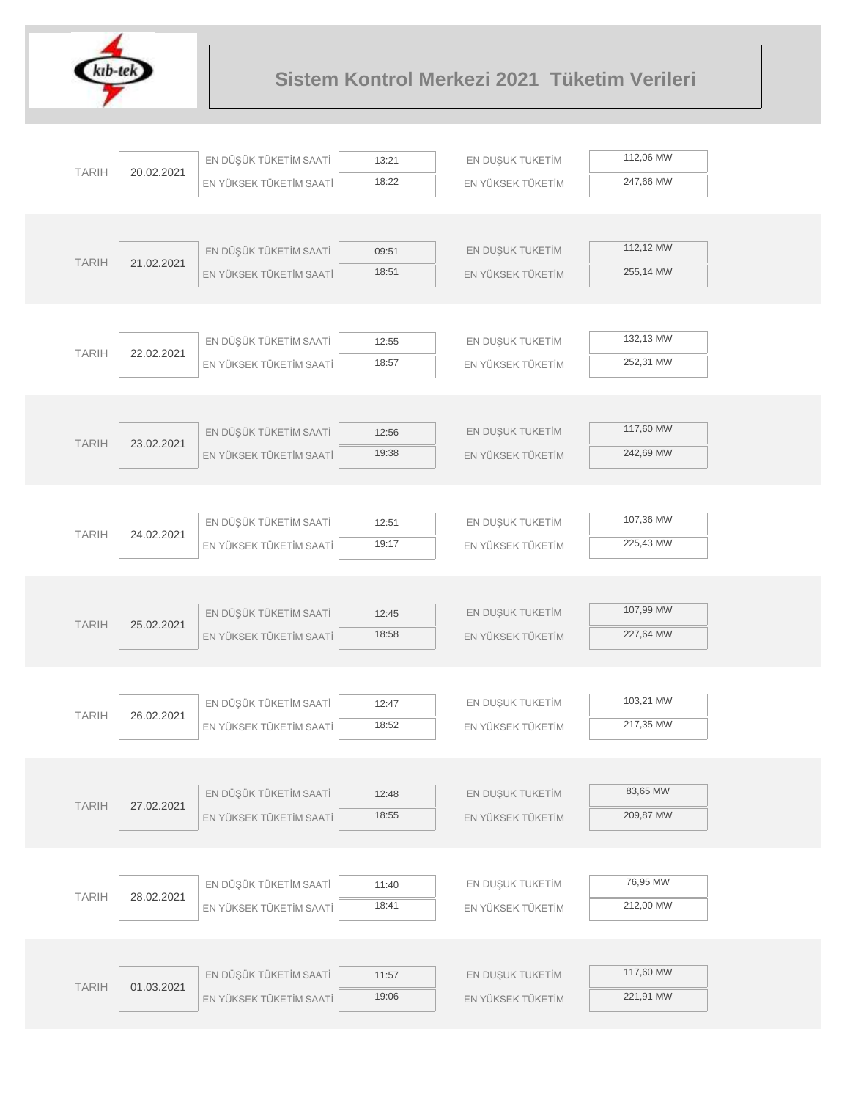

|              |            | EN DÜŞÜK TÜKETİM SAATİ                            | 13:21          | EN DUŞUK TUKETİM  | 112,06 MW |  |
|--------------|------------|---------------------------------------------------|----------------|-------------------|-----------|--|
| <b>TARIH</b> | 20.02.2021 | EN YÜKSEK TÜKETİM SAATİ                           | 18:22          | EN YÜKSEK TÜKETİM | 247,66 MW |  |
|              |            |                                                   |                |                   |           |  |
|              |            |                                                   |                |                   |           |  |
| <b>TARIH</b> | 21.02.2021 | EN DÜŞÜK TÜKETİM SAATİ                            | 09:51          | EN DUŞUK TUKETİM  | 112,12 MW |  |
|              |            | EN YÜKSEK TÜKETİM SAATİ                           | 18:51          | EN YÜKSEK TÜKETİM | 255,14 MW |  |
|              |            |                                                   |                |                   |           |  |
|              |            |                                                   |                |                   |           |  |
| <b>TARIH</b> | 22.02.2021 | EN DÜŞÜK TÜKETİM SAATİ                            | 12:55          | EN DUŞUK TUKETİM  | 132,13 MW |  |
|              |            | EN YÜKSEK TÜKETİM SAATİ                           | 18:57          | EN YÜKSEK TÜKETİM | 252,31 MW |  |
|              |            |                                                   |                |                   |           |  |
|              |            |                                                   |                |                   |           |  |
| <b>TARIH</b> | 23.02.2021 | EN DÜŞÜK TÜKETİM SAATİ                            | 12:56          | EN DUŞUK TUKETİM  | 117,60 MW |  |
|              |            | EN YÜKSEK TÜKETİM SAATİ                           | 19:38          | EN YÜKSEK TÜKETİM | 242,69 MW |  |
|              |            |                                                   |                |                   |           |  |
|              |            |                                                   |                |                   |           |  |
| <b>TARIH</b> | 24.02.2021 | EN DÜŞÜK TÜKETİM SAATİ                            | 12:51          | EN DUŞUK TUKETİM  | 107,36 MW |  |
|              |            | EN YÜKSEK TÜKETİM SAATİ                           | 19:17          | EN YÜKSEK TÜKETİM | 225,43 MW |  |
|              |            |                                                   |                |                   |           |  |
|              |            |                                                   |                | EN DUŞUK TUKETİM  | 107,99 MW |  |
| <b>TARIH</b> | 25.02.2021 | EN DÜŞÜK TÜKETİM SAATİ<br>EN YÜKSEK TÜKETİM SAATİ | 12:45<br>18:58 | EN YÜKSEK TÜKETİM | 227,64 MW |  |
|              |            |                                                   |                |                   |           |  |
|              |            |                                                   |                |                   |           |  |
|              |            | EN DÜŞÜK TÜKETİM SAATİ                            | 12:47          | EN DUŞUK TUKETİM  | 103,21 MW |  |
| <b>TARIH</b> | 26.02.2021 | EN YÜKSEK TÜKETİM SAATİ                           | 18:52          | EN YÜKSEK TÜKETİM | 217,35 MW |  |
|              |            |                                                   |                |                   |           |  |
|              |            |                                                   |                |                   |           |  |
|              |            | EN DÜŞÜK TÜKETİM SAATİ                            | 12:48          | EN DUŞUK TUKETİM  | 83,65 MW  |  |
| <b>TARIH</b> | 27.02.2021 | EN YÜKSEK TÜKETİM SAATİ                           | 18:55          | EN YÜKSEK TÜKETİM | 209,87 MW |  |
|              |            |                                                   |                |                   |           |  |
|              |            |                                                   |                |                   |           |  |
|              |            | EN DÜŞÜK TÜKETİM SAATİ                            | 11:40          | EN DUŞUK TUKETİM  | 76,95 MW  |  |
| <b>TARIH</b> | 28.02.2021 | EN YÜKSEK TÜKETİM SAATİ                           | 18:41          | EN YÜKSEK TÜKETİM | 212,00 MW |  |
|              |            |                                                   |                |                   |           |  |
|              |            |                                                   |                |                   |           |  |
| <b>TARIH</b> |            | EN DÜŞÜK TÜKETİM SAATİ                            | 11:57          | EN DUŞUK TUKETİM  | 117,60 MW |  |
|              | 01.03.2021 | EN YÜKSEK TÜKETİM SAATİ                           | 19:06          | EN YÜKSEK TÜKETİM | 221,91 MW |  |
|              |            |                                                   |                |                   |           |  |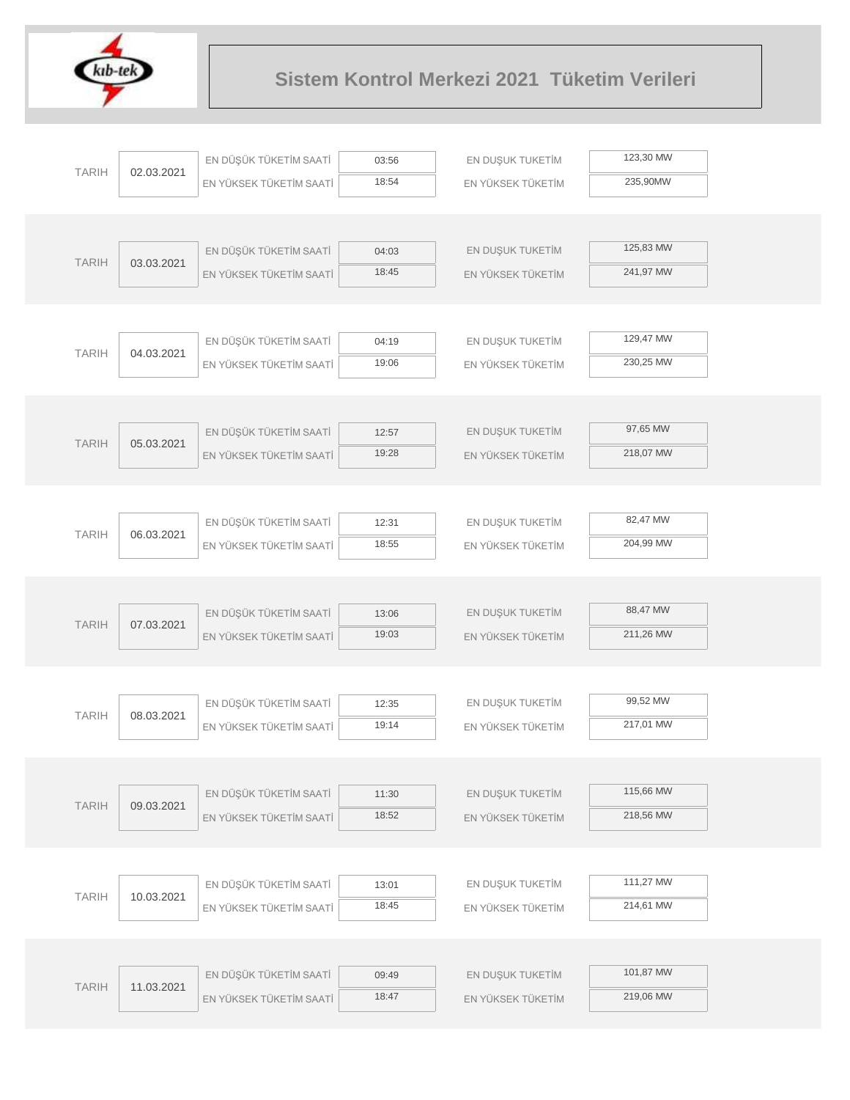

| <b>TARIH</b> | 02.03.2021 | EN DÜŞÜK TÜKETİM SAATİ  | 03:56          | EN DUŞUK TUKETİM  | 123,30 MW |  |
|--------------|------------|-------------------------|----------------|-------------------|-----------|--|
|              |            | EN YÜKSEK TÜKETİM SAATİ | 18:54          | EN YÜKSEK TÜKETİM | 235,90MW  |  |
|              |            |                         |                |                   |           |  |
|              |            |                         |                |                   |           |  |
| <b>TARIH</b> | 03.03.2021 | EN DÜŞÜK TÜKETİM SAATİ  | 04:03          | EN DUŞUK TUKETİM  | 125,83 MW |  |
|              |            | EN YÜKSEK TÜKETİM SAATİ | 18:45          | EN YÜKSEK TÜKETİM | 241,97 MW |  |
|              |            |                         |                |                   |           |  |
|              |            |                         |                |                   |           |  |
| <b>TARIH</b> | 04.03.2021 | EN DÜŞÜK TÜKETİM SAATİ  | 04:19          | EN DUŞUK TUKETİM  | 129,47 MW |  |
|              |            | EN YÜKSEK TÜKETİM SAATİ | 19:06          | EN YÜKSEK TÜKETİM | 230,25 MW |  |
|              |            |                         |                |                   |           |  |
|              |            |                         |                |                   |           |  |
| <b>TARIH</b> | 05.03.2021 | EN DÜŞÜK TÜKETİM SAATİ  | 12:57          | EN DUŞUK TUKETİM  | 97,65 MW  |  |
|              |            | EN YÜKSEK TÜKETİM SAATİ | 19:28          | EN YÜKSEK TÜKETİM | 218,07 MW |  |
|              |            |                         |                |                   |           |  |
|              |            |                         |                |                   |           |  |
| <b>TARIH</b> | 06.03.2021 | EN DÜŞÜK TÜKETİM SAATİ  | 12:31          | EN DUŞUK TUKETİM  | 82,47 MW  |  |
|              |            | EN YÜKSEK TÜKETİM SAATİ | 18:55          | EN YÜKSEK TÜKETİM | 204,99 MW |  |
|              |            |                         |                |                   |           |  |
|              |            |                         |                |                   | 88,47 MW  |  |
| <b>TARIH</b> | 07.03.2021 | EN DÜŞÜK TÜKETİM SAATİ  | 13:06<br>19:03 | EN DUŞUK TUKETİM  | 211,26 MW |  |
|              |            | EN YÜKSEK TÜKETİM SAATİ |                | EN YÜKSEK TÜKETİM |           |  |
|              |            |                         |                |                   |           |  |
|              |            | EN DÜŞÜK TÜKETİM SAATİ  | 12:35          | EN DUŞUK TUKETİM  | 99,52 MW  |  |
| <b>TARIH</b> | 08.03.2021 | EN YÜKSEK TÜKETİM SAATİ | 19:14          | EN YÜKSEK TÜKETİM | 217,01 MW |  |
|              |            |                         |                |                   |           |  |
|              |            |                         |                |                   |           |  |
|              |            | EN DÜŞÜK TÜKETİM SAATİ  | 11:30          | EN DUŞUK TUKETİM  | 115,66 MW |  |
| <b>TARIH</b> | 09.03.2021 | EN YÜKSEK TÜKETİM SAATİ | 18:52          | EN YÜKSEK TÜKETİM | 218,56 MW |  |
|              |            |                         |                |                   |           |  |
|              |            |                         |                |                   |           |  |
|              |            | EN DÜŞÜK TÜKETİM SAATİ  | 13:01          | EN DUŞUK TUKETİM  | 111,27 MW |  |
| <b>TARIH</b> | 10.03.2021 | EN YÜKSEK TÜKETİM SAATİ | 18:45          | EN YÜKSEK TÜKETİM | 214,61 MW |  |
|              |            |                         |                |                   |           |  |
|              |            |                         |                |                   |           |  |
|              |            | EN DÜŞÜK TÜKETİM SAATİ  | 09:49          | EN DUŞUK TUKETİM  | 101,87 MW |  |
| <b>TARIH</b> | 11.03.2021 | EN YÜKSEK TÜKETİM SAATİ | 18:47          | EN YÜKSEK TÜKETİM | 219,06 MW |  |
|              |            |                         |                |                   |           |  |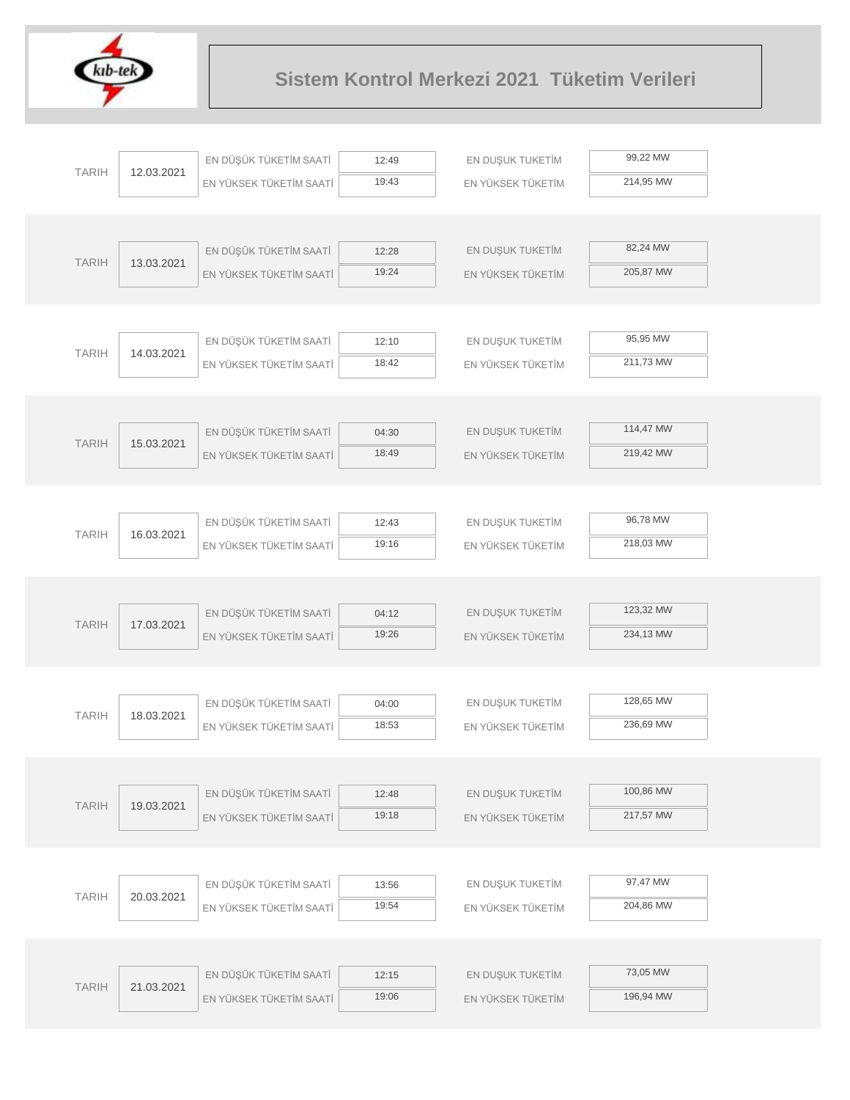

|              |            | EN DÜŞÜK TÜKETİM SAATİ  | 12:49 | EN DUŞUK TUKETİM  | 99,22 MW  |
|--------------|------------|-------------------------|-------|-------------------|-----------|
| <b>TARIH</b> | 12.03.2021 | EN YÜKSEK TÜKETİM SAATİ | 19:43 | EN YÜKSEK TÜKETİM | 214,95 MW |
|              |            |                         |       |                   |           |
|              |            |                         |       |                   |           |
|              |            | EN DÜŞÜK TÜKETİM SAATİ  | 12:28 | EN DUŞUK TUKETİM  | 82,24 MW  |
| <b>TARIH</b> | 13.03.2021 | EN YÜKSEK TÜKETİM SAATİ | 19:24 | EN YÜKSEK TÜKETİM | 205,87 MW |
|              |            |                         |       |                   |           |
|              |            |                         |       |                   |           |
| <b>TARIH</b> | 14.03.2021 | EN DÜŞÜK TÜKETİM SAATİ  | 12:10 | EN DUŞUK TUKETİM  | 95,95 MW  |
|              |            | EN YÜKSEK TÜKETİM SAATİ | 18:42 | EN YÜKSEK TÜKETİM | 211,73 MW |
|              |            |                         |       |                   |           |
|              |            |                         |       |                   |           |
| <b>TARIH</b> | 15.03.2021 | EN DÜŞÜK TÜKETİM SAATİ  | 04:30 | EN DUŞUK TUKETİM  | 114,47 MW |
|              |            | EN YÜKSEK TÜKETİM SAATİ | 18:49 | EN YÜKSEK TÜKETİM | 219,42 MW |
|              |            |                         |       |                   |           |
|              |            |                         |       |                   |           |
| <b>TARIH</b> | 16.03.2021 | EN DÜŞÜK TÜKETİM SAATİ  | 12:43 | EN DUŞUK TUKETİM  | 96,78 MW  |
|              |            | EN YÜKSEK TÜKETİM SAATİ | 19:16 | EN YÜKSEK TÜKETİM | 218,03 MW |
|              |            |                         |       |                   |           |
|              |            |                         |       |                   |           |
| <b>TARIH</b> | 17.03.2021 | EN DÜŞÜK TÜKETİM SAATİ  | 04:12 | EN DUŞUK TUKETİM  | 123,32 MW |
|              |            | EN YÜKSEK TÜKETİM SAATİ | 19:26 | EN YÜKSEK TÜKETİM | 234,13 MW |
|              |            |                         |       |                   |           |
|              |            |                         |       |                   |           |
| <b>TARIH</b> | 18.03.2021 | EN DÜŞÜK TÜKETİM SAATİ  | 04:00 | EN DUŞUK TUKETİM  | 128,65 MW |
|              |            | EN YÜKSEK TÜKETİM SAATİ | 18:53 | EN YÜKSEK TÜKETİM | 236,69 MW |
|              |            |                         |       |                   |           |
|              |            |                         |       |                   |           |
| <b>TARIH</b> | 19.03.2021 | EN DÜŞÜK TÜKETİM SAATİ  | 12:48 | EN DUŞUK TUKETİM  | 100,86 MW |
|              |            | EN YÜKSEK TÜKETİM SAATİ | 19:18 | EN YÜKSEK TÜKETİM | 217,57 MW |
|              |            |                         |       |                   |           |
|              |            |                         |       |                   | 97,47 MW  |
| <b>TARIH</b> | 20.03.2021 | EN DÜŞÜK TÜKETİM SAATİ  | 13:56 | EN DUŞUK TUKETİM  |           |
|              |            | EN YÜKSEK TÜKETİM SAATİ | 19:54 | EN YÜKSEK TÜKETİM | 204,86 MW |
|              |            |                         |       |                   |           |
|              |            |                         |       |                   | 73,05 MW  |
| <b>TARIH</b> | 21.03.2021 | EN DÜŞÜK TÜKETİM SAATİ  | 12:15 | EN DUŞUK TUKETİM  |           |
|              |            | EN YÜKSEK TÜKETİM SAATİ | 19:06 | EN YÜKSEK TÜKETİM | 196,94 MW |
|              |            |                         |       |                   |           |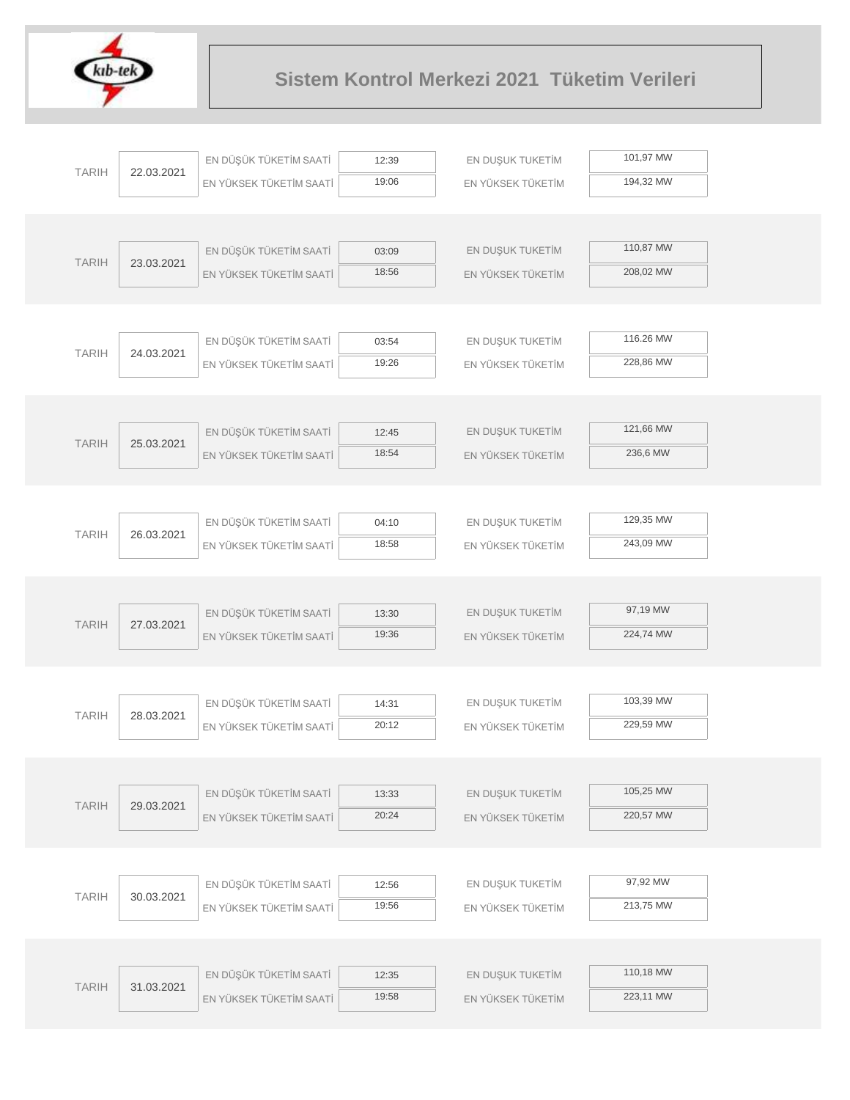

|              |            | EN DÜŞÜK TÜKETİM SAATİ  | 12:39          | EN DUŞUK TUKETİM  | 101,97 MW |  |
|--------------|------------|-------------------------|----------------|-------------------|-----------|--|
| <b>TARIH</b> | 22.03.2021 | EN YÜKSEK TÜKETİM SAATİ | 19:06          | EN YÜKSEK TÜKETİM | 194,32 MW |  |
|              |            |                         |                |                   |           |  |
|              |            |                         |                |                   |           |  |
| <b>TARIH</b> | 23.03.2021 | EN DÜŞÜK TÜKETİM SAATİ  | 03:09          | EN DUŞUK TUKETİM  | 110,87 MW |  |
|              |            | EN YÜKSEK TÜKETİM SAATİ | 18:56          | EN YÜKSEK TÜKETİM | 208,02 MW |  |
|              |            |                         |                |                   |           |  |
|              |            |                         |                |                   |           |  |
| <b>TARIH</b> | 24.03.2021 | EN DÜŞÜK TÜKETİM SAATİ  | 03:54          | EN DUŞUK TUKETİM  | 116.26 MW |  |
|              |            | EN YÜKSEK TÜKETİM SAATİ | 19:26          | EN YÜKSEK TÜKETİM | 228,86 MW |  |
|              |            |                         |                |                   |           |  |
|              |            |                         |                |                   |           |  |
| <b>TARIH</b> | 25.03.2021 | EN DÜŞÜK TÜKETİM SAATİ  | 12:45          | EN DUŞUK TUKETİM  | 121,66 MW |  |
|              |            | EN YÜKSEK TÜKETİM SAATİ | 18:54          | EN YÜKSEK TÜKETİM | 236,6 MW  |  |
|              |            |                         |                |                   |           |  |
|              |            |                         |                |                   |           |  |
| <b>TARIH</b> | 26.03.2021 | EN DÜŞÜK TÜKETİM SAATİ  | 04:10          | EN DUŞUK TUKETİM  | 129,35 MW |  |
|              |            | EN YÜKSEK TÜKETİM SAATİ | 18:58          | EN YÜKSEK TÜKETİM | 243,09 MW |  |
|              |            |                         |                |                   |           |  |
|              |            |                         |                |                   | 97,19 MW  |  |
| <b>TARIH</b> | 27.03.2021 | EN DÜŞÜK TÜKETİM SAATİ  | 13:30          | EN DUŞUK TUKETİM  |           |  |
|              |            | EN YÜKSEK TÜKETİM SAATİ | 19:36          | EN YÜKSEK TÜKETİM | 224,74 MW |  |
|              |            |                         |                |                   |           |  |
|              |            |                         |                |                   | 103,39 MW |  |
| <b>TARIH</b> | 28.03.2021 | EN DÜŞÜK TÜKETİM SAATİ  | 14:31<br>20:12 | EN DUŞUK TUKETİM  | 229,59 MW |  |
|              |            | EN YÜKSEK TÜKETİM SAATİ |                | EN YÜKSEK TÜKETİM |           |  |
|              |            |                         |                |                   |           |  |
|              |            | EN DÜŞÜK TÜKETİM SAATİ  | 13:33          | EN DUŞUK TUKETİM  | 105,25 MW |  |
| <b>TARIH</b> | 29.03.2021 | EN YÜKSEK TÜKETİM SAATİ | 20:24          | EN YÜKSEK TÜKETİM | 220,57 MW |  |
|              |            |                         |                |                   |           |  |
|              |            |                         |                |                   |           |  |
|              |            | EN DÜŞÜK TÜKETİM SAATİ  | 12:56          | EN DUŞUK TUKETİM  | 97,92 MW  |  |
| <b>TARIH</b> | 30.03.2021 | EN YÜKSEK TÜKETİM SAATİ | 19:56          | EN YÜKSEK TÜKETİM | 213,75 MW |  |
|              |            |                         |                |                   |           |  |
|              |            |                         |                |                   |           |  |
|              |            | EN DÜŞÜK TÜKETİM SAATİ  | 12:35          | EN DUŞUK TUKETİM  | 110,18 MW |  |
| <b>TARIH</b> | 31.03.2021 | EN YÜKSEK TÜKETİM SAATİ | 19:58          | EN YÜKSEK TÜKETİM | 223,11 MW |  |
|              |            |                         |                |                   |           |  |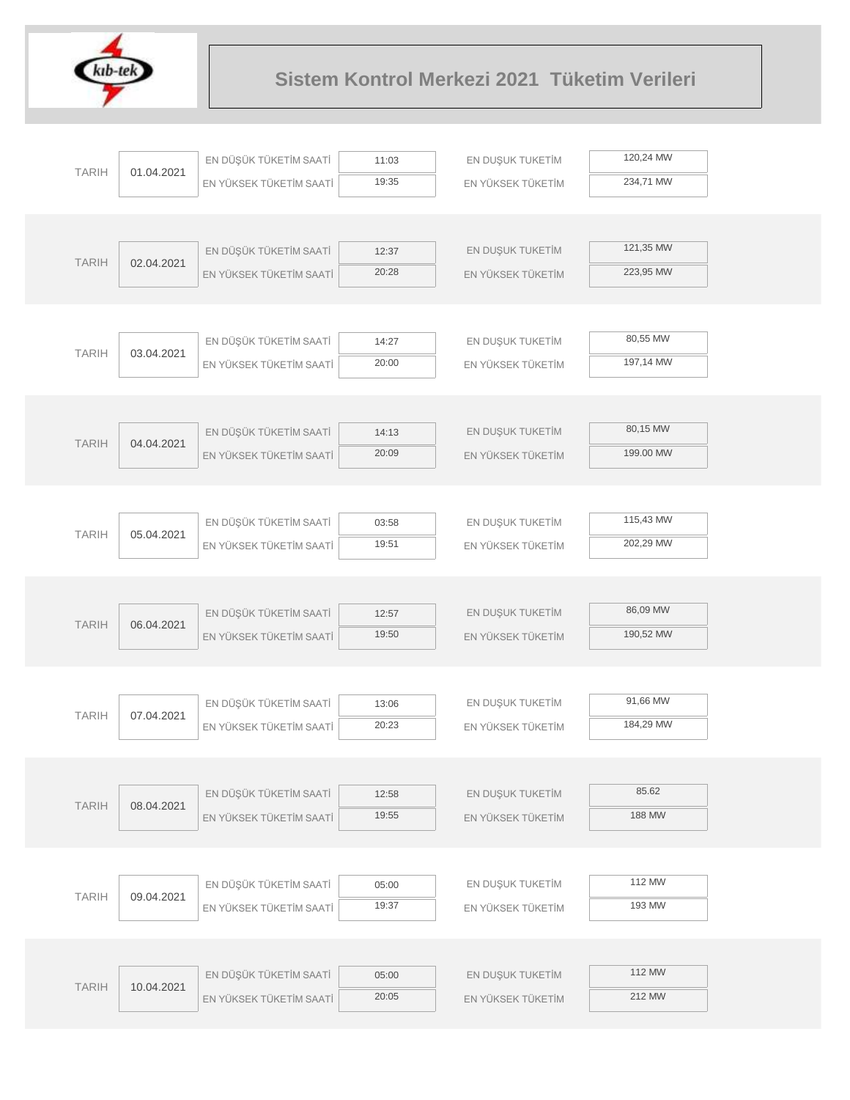

| 120,24 MW<br>EN DÜŞÜK TÜKETİM SAATİ<br>EN DUŞUK TUKETİM<br>11:03<br><b>TARIH</b><br>01.04.2021<br>19:35<br>234,71 MW<br>EN YÜKSEK TÜKETİM SAATİ<br>EN YÜKSEK TÜKETİM<br>121,35 MW<br>EN DÜŞÜK TÜKETİM SAATİ<br>EN DUŞUK TUKETİM<br>12:37<br><b>TARIH</b><br>02.04.2021<br>20:28<br>223,95 MW<br>EN YÜKSEK TÜKETİM SAATİ<br>EN YÜKSEK TÜKETİM<br>80,55 MW<br>EN DÜŞÜK TÜKETİM SAATİ<br>EN DUŞUK TUKETİM<br>14:27<br><b>TARIH</b><br>03.04.2021<br>197,14 MW<br>20:00<br>EN YÜKSEK TÜKETİM SAATİ<br>EN YÜKSEK TÜKETİM<br>80,15 MW<br>EN DÜŞÜK TÜKETİM SAATİ<br>EN DUŞUK TUKETİM<br>14:13<br><b>TARIH</b><br>04.04.2021<br>20:09<br>199.00 MW<br>EN YÜKSEK TÜKETİM SAATİ<br>EN YÜKSEK TÜKETİM<br>115,43 MW<br>EN DÜŞÜK TÜKETİM SAATİ<br>EN DUŞUK TUKETİM<br>03:58<br><b>TARIH</b><br>05.04.2021<br>202,29 MW<br>19:51<br>EN YÜKSEK TÜKETİM SAATİ<br>EN YÜKSEK TÜKETİM<br>86,09 MW<br>EN DÜŞÜK TÜKETİM SAATİ<br>EN DUŞUK TUKETİM<br>12:57<br><b>TARIH</b><br>06.04.2021<br>19:50<br>190,52 MW<br>EN YÜKSEK TÜKETİM SAATİ<br>EN YÜKSEK TÜKETİM<br>91,66 MW<br>EN DÜŞÜK TÜKETİM SAATİ<br>EN DUŞUK TUKETİM<br>13:06<br><b>TARIH</b><br>07.04.2021<br>20:23<br>184,29 MW<br>EN YÜKSEK TÜKETİM SAATİ<br>EN YÜKSEK TÜKETİM<br>85.62<br>EN DÜŞÜK TÜKETİM SAATİ<br>EN DUŞUK TUKETİM<br>12:58<br><b>TARIH</b><br>08.04.2021<br>188 MW<br>19:55<br>EN YÜKSEK TÜKETİM SAATİ<br>EN YÜKSEK TÜKETİM<br>112 MW<br>EN DÜŞÜK TÜKETİM SAATİ<br>EN DUŞUK TUKETİM<br>05:00<br><b>TARIH</b><br>09.04.2021<br>193 MW<br>19:37<br>EN YÜKSEK TÜKETİM SAATİ<br>EN YÜKSEK TÜKETİM<br>112 MW<br>EN DÜŞÜK TÜKETİM SAATİ<br>EN DUŞUK TUKETİM<br>05:00<br><b>TARIH</b><br>10.04.2021<br>212 MW<br>20:05<br>EN YÜKSEK TÜKETİM SAATİ<br>EN YÜKSEK TÜKETİM |  |  |  |
|-----------------------------------------------------------------------------------------------------------------------------------------------------------------------------------------------------------------------------------------------------------------------------------------------------------------------------------------------------------------------------------------------------------------------------------------------------------------------------------------------------------------------------------------------------------------------------------------------------------------------------------------------------------------------------------------------------------------------------------------------------------------------------------------------------------------------------------------------------------------------------------------------------------------------------------------------------------------------------------------------------------------------------------------------------------------------------------------------------------------------------------------------------------------------------------------------------------------------------------------------------------------------------------------------------------------------------------------------------------------------------------------------------------------------------------------------------------------------------------------------------------------------------------------------------------------------------------------------------------------------------------------------------------------------------------------------------------------------|--|--|--|
|                                                                                                                                                                                                                                                                                                                                                                                                                                                                                                                                                                                                                                                                                                                                                                                                                                                                                                                                                                                                                                                                                                                                                                                                                                                                                                                                                                                                                                                                                                                                                                                                                                                                                                                       |  |  |  |
|                                                                                                                                                                                                                                                                                                                                                                                                                                                                                                                                                                                                                                                                                                                                                                                                                                                                                                                                                                                                                                                                                                                                                                                                                                                                                                                                                                                                                                                                                                                                                                                                                                                                                                                       |  |  |  |
|                                                                                                                                                                                                                                                                                                                                                                                                                                                                                                                                                                                                                                                                                                                                                                                                                                                                                                                                                                                                                                                                                                                                                                                                                                                                                                                                                                                                                                                                                                                                                                                                                                                                                                                       |  |  |  |
|                                                                                                                                                                                                                                                                                                                                                                                                                                                                                                                                                                                                                                                                                                                                                                                                                                                                                                                                                                                                                                                                                                                                                                                                                                                                                                                                                                                                                                                                                                                                                                                                                                                                                                                       |  |  |  |
|                                                                                                                                                                                                                                                                                                                                                                                                                                                                                                                                                                                                                                                                                                                                                                                                                                                                                                                                                                                                                                                                                                                                                                                                                                                                                                                                                                                                                                                                                                                                                                                                                                                                                                                       |  |  |  |
|                                                                                                                                                                                                                                                                                                                                                                                                                                                                                                                                                                                                                                                                                                                                                                                                                                                                                                                                                                                                                                                                                                                                                                                                                                                                                                                                                                                                                                                                                                                                                                                                                                                                                                                       |  |  |  |
|                                                                                                                                                                                                                                                                                                                                                                                                                                                                                                                                                                                                                                                                                                                                                                                                                                                                                                                                                                                                                                                                                                                                                                                                                                                                                                                                                                                                                                                                                                                                                                                                                                                                                                                       |  |  |  |
|                                                                                                                                                                                                                                                                                                                                                                                                                                                                                                                                                                                                                                                                                                                                                                                                                                                                                                                                                                                                                                                                                                                                                                                                                                                                                                                                                                                                                                                                                                                                                                                                                                                                                                                       |  |  |  |
|                                                                                                                                                                                                                                                                                                                                                                                                                                                                                                                                                                                                                                                                                                                                                                                                                                                                                                                                                                                                                                                                                                                                                                                                                                                                                                                                                                                                                                                                                                                                                                                                                                                                                                                       |  |  |  |
|                                                                                                                                                                                                                                                                                                                                                                                                                                                                                                                                                                                                                                                                                                                                                                                                                                                                                                                                                                                                                                                                                                                                                                                                                                                                                                                                                                                                                                                                                                                                                                                                                                                                                                                       |  |  |  |
|                                                                                                                                                                                                                                                                                                                                                                                                                                                                                                                                                                                                                                                                                                                                                                                                                                                                                                                                                                                                                                                                                                                                                                                                                                                                                                                                                                                                                                                                                                                                                                                                                                                                                                                       |  |  |  |
|                                                                                                                                                                                                                                                                                                                                                                                                                                                                                                                                                                                                                                                                                                                                                                                                                                                                                                                                                                                                                                                                                                                                                                                                                                                                                                                                                                                                                                                                                                                                                                                                                                                                                                                       |  |  |  |
|                                                                                                                                                                                                                                                                                                                                                                                                                                                                                                                                                                                                                                                                                                                                                                                                                                                                                                                                                                                                                                                                                                                                                                                                                                                                                                                                                                                                                                                                                                                                                                                                                                                                                                                       |  |  |  |
|                                                                                                                                                                                                                                                                                                                                                                                                                                                                                                                                                                                                                                                                                                                                                                                                                                                                                                                                                                                                                                                                                                                                                                                                                                                                                                                                                                                                                                                                                                                                                                                                                                                                                                                       |  |  |  |
|                                                                                                                                                                                                                                                                                                                                                                                                                                                                                                                                                                                                                                                                                                                                                                                                                                                                                                                                                                                                                                                                                                                                                                                                                                                                                                                                                                                                                                                                                                                                                                                                                                                                                                                       |  |  |  |
|                                                                                                                                                                                                                                                                                                                                                                                                                                                                                                                                                                                                                                                                                                                                                                                                                                                                                                                                                                                                                                                                                                                                                                                                                                                                                                                                                                                                                                                                                                                                                                                                                                                                                                                       |  |  |  |
|                                                                                                                                                                                                                                                                                                                                                                                                                                                                                                                                                                                                                                                                                                                                                                                                                                                                                                                                                                                                                                                                                                                                                                                                                                                                                                                                                                                                                                                                                                                                                                                                                                                                                                                       |  |  |  |
|                                                                                                                                                                                                                                                                                                                                                                                                                                                                                                                                                                                                                                                                                                                                                                                                                                                                                                                                                                                                                                                                                                                                                                                                                                                                                                                                                                                                                                                                                                                                                                                                                                                                                                                       |  |  |  |
|                                                                                                                                                                                                                                                                                                                                                                                                                                                                                                                                                                                                                                                                                                                                                                                                                                                                                                                                                                                                                                                                                                                                                                                                                                                                                                                                                                                                                                                                                                                                                                                                                                                                                                                       |  |  |  |
|                                                                                                                                                                                                                                                                                                                                                                                                                                                                                                                                                                                                                                                                                                                                                                                                                                                                                                                                                                                                                                                                                                                                                                                                                                                                                                                                                                                                                                                                                                                                                                                                                                                                                                                       |  |  |  |
|                                                                                                                                                                                                                                                                                                                                                                                                                                                                                                                                                                                                                                                                                                                                                                                                                                                                                                                                                                                                                                                                                                                                                                                                                                                                                                                                                                                                                                                                                                                                                                                                                                                                                                                       |  |  |  |
|                                                                                                                                                                                                                                                                                                                                                                                                                                                                                                                                                                                                                                                                                                                                                                                                                                                                                                                                                                                                                                                                                                                                                                                                                                                                                                                                                                                                                                                                                                                                                                                                                                                                                                                       |  |  |  |
|                                                                                                                                                                                                                                                                                                                                                                                                                                                                                                                                                                                                                                                                                                                                                                                                                                                                                                                                                                                                                                                                                                                                                                                                                                                                                                                                                                                                                                                                                                                                                                                                                                                                                                                       |  |  |  |
|                                                                                                                                                                                                                                                                                                                                                                                                                                                                                                                                                                                                                                                                                                                                                                                                                                                                                                                                                                                                                                                                                                                                                                                                                                                                                                                                                                                                                                                                                                                                                                                                                                                                                                                       |  |  |  |
|                                                                                                                                                                                                                                                                                                                                                                                                                                                                                                                                                                                                                                                                                                                                                                                                                                                                                                                                                                                                                                                                                                                                                                                                                                                                                                                                                                                                                                                                                                                                                                                                                                                                                                                       |  |  |  |
|                                                                                                                                                                                                                                                                                                                                                                                                                                                                                                                                                                                                                                                                                                                                                                                                                                                                                                                                                                                                                                                                                                                                                                                                                                                                                                                                                                                                                                                                                                                                                                                                                                                                                                                       |  |  |  |
|                                                                                                                                                                                                                                                                                                                                                                                                                                                                                                                                                                                                                                                                                                                                                                                                                                                                                                                                                                                                                                                                                                                                                                                                                                                                                                                                                                                                                                                                                                                                                                                                                                                                                                                       |  |  |  |
|                                                                                                                                                                                                                                                                                                                                                                                                                                                                                                                                                                                                                                                                                                                                                                                                                                                                                                                                                                                                                                                                                                                                                                                                                                                                                                                                                                                                                                                                                                                                                                                                                                                                                                                       |  |  |  |
|                                                                                                                                                                                                                                                                                                                                                                                                                                                                                                                                                                                                                                                                                                                                                                                                                                                                                                                                                                                                                                                                                                                                                                                                                                                                                                                                                                                                                                                                                                                                                                                                                                                                                                                       |  |  |  |
|                                                                                                                                                                                                                                                                                                                                                                                                                                                                                                                                                                                                                                                                                                                                                                                                                                                                                                                                                                                                                                                                                                                                                                                                                                                                                                                                                                                                                                                                                                                                                                                                                                                                                                                       |  |  |  |
|                                                                                                                                                                                                                                                                                                                                                                                                                                                                                                                                                                                                                                                                                                                                                                                                                                                                                                                                                                                                                                                                                                                                                                                                                                                                                                                                                                                                                                                                                                                                                                                                                                                                                                                       |  |  |  |
|                                                                                                                                                                                                                                                                                                                                                                                                                                                                                                                                                                                                                                                                                                                                                                                                                                                                                                                                                                                                                                                                                                                                                                                                                                                                                                                                                                                                                                                                                                                                                                                                                                                                                                                       |  |  |  |
|                                                                                                                                                                                                                                                                                                                                                                                                                                                                                                                                                                                                                                                                                                                                                                                                                                                                                                                                                                                                                                                                                                                                                                                                                                                                                                                                                                                                                                                                                                                                                                                                                                                                                                                       |  |  |  |
|                                                                                                                                                                                                                                                                                                                                                                                                                                                                                                                                                                                                                                                                                                                                                                                                                                                                                                                                                                                                                                                                                                                                                                                                                                                                                                                                                                                                                                                                                                                                                                                                                                                                                                                       |  |  |  |
|                                                                                                                                                                                                                                                                                                                                                                                                                                                                                                                                                                                                                                                                                                                                                                                                                                                                                                                                                                                                                                                                                                                                                                                                                                                                                                                                                                                                                                                                                                                                                                                                                                                                                                                       |  |  |  |
|                                                                                                                                                                                                                                                                                                                                                                                                                                                                                                                                                                                                                                                                                                                                                                                                                                                                                                                                                                                                                                                                                                                                                                                                                                                                                                                                                                                                                                                                                                                                                                                                                                                                                                                       |  |  |  |
|                                                                                                                                                                                                                                                                                                                                                                                                                                                                                                                                                                                                                                                                                                                                                                                                                                                                                                                                                                                                                                                                                                                                                                                                                                                                                                                                                                                                                                                                                                                                                                                                                                                                                                                       |  |  |  |
|                                                                                                                                                                                                                                                                                                                                                                                                                                                                                                                                                                                                                                                                                                                                                                                                                                                                                                                                                                                                                                                                                                                                                                                                                                                                                                                                                                                                                                                                                                                                                                                                                                                                                                                       |  |  |  |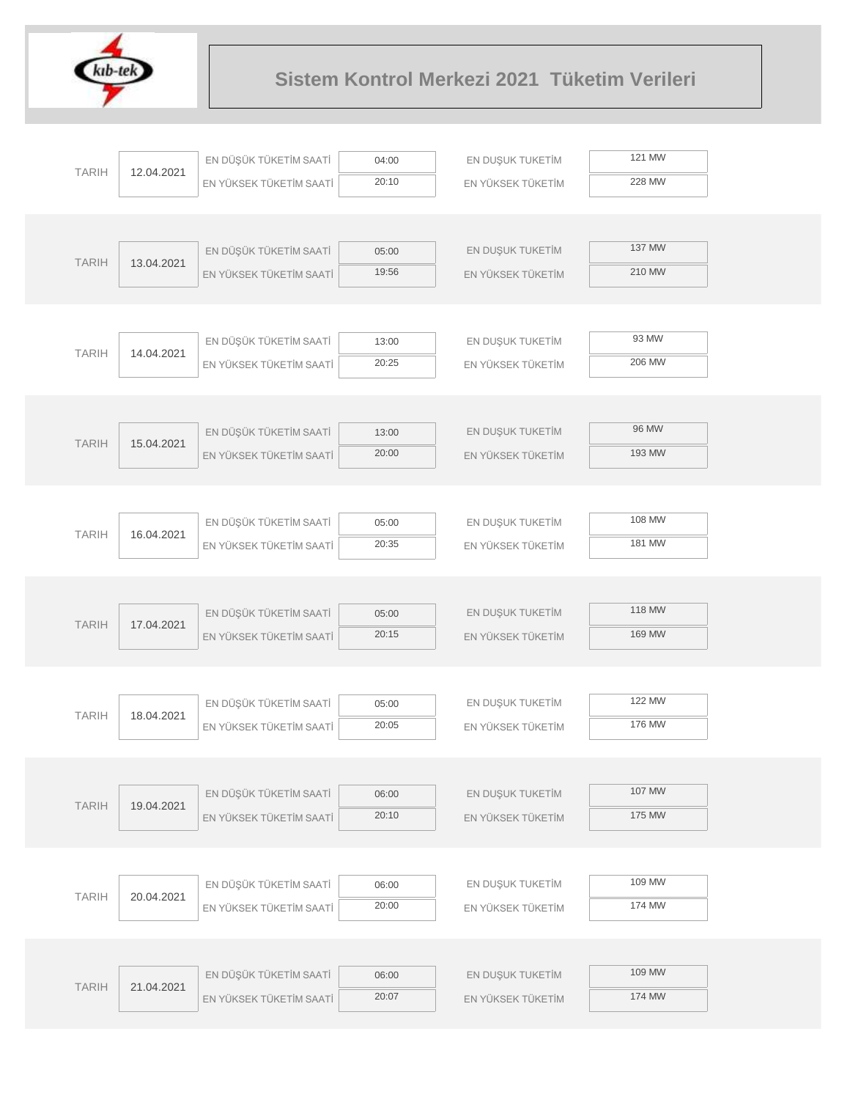

| <b>TARIH</b> | 12.04.2021 | EN DÜŞÜK TÜKETİM SAATİ                            | 04:00          | EN DUŞUK TUKETİM                      | 121 MW |  |
|--------------|------------|---------------------------------------------------|----------------|---------------------------------------|--------|--|
|              |            | EN YÜKSEK TÜKETİM SAATİ                           | 20:10          | EN YÜKSEK TÜKETİM                     | 228 MW |  |
|              |            |                                                   |                |                                       |        |  |
|              |            |                                                   |                |                                       |        |  |
| <b>TARIH</b> | 13.04.2021 | EN DÜŞÜK TÜKETİM SAATİ                            | 05:00          | EN DUŞUK TUKETİM                      | 137 MW |  |
|              |            | EN YÜKSEK TÜKETİM SAATİ                           | 19:56          | EN YÜKSEK TÜKETİM                     | 210 MW |  |
|              |            |                                                   |                |                                       |        |  |
|              |            | EN DÜŞÜK TÜKETİM SAATİ                            | 13:00          | EN DUŞUK TUKETİM                      | 93 MW  |  |
| <b>TARIH</b> | 14.04.2021 | EN YÜKSEK TÜKETİM SAATİ                           | 20:25          | EN YÜKSEK TÜKETİM                     | 206 MW |  |
|              |            |                                                   |                |                                       |        |  |
|              |            |                                                   |                |                                       |        |  |
|              |            | EN DÜŞÜK TÜKETİM SAATİ                            | 13:00          | EN DUŞUK TUKETİM                      | 96 MW  |  |
| <b>TARIH</b> | 15.04.2021 | EN YÜKSEK TÜKETİM SAATİ                           | 20:00          | EN YÜKSEK TÜKETİM                     | 193 MW |  |
|              |            |                                                   |                |                                       |        |  |
|              |            |                                                   |                |                                       |        |  |
| <b>TARIH</b> | 16.04.2021 | EN DÜŞÜK TÜKETİM SAATİ                            | 05:00          | EN DUŞUK TUKETİM                      | 108 MW |  |
|              |            | EN YÜKSEK TÜKETİM SAATİ                           | 20:35          | EN YÜKSEK TÜKETİM                     | 181 MW |  |
|              |            |                                                   |                |                                       |        |  |
|              |            |                                                   |                |                                       | 118 MW |  |
| <b>TARIH</b> | 17.04.2021 | EN DÜŞÜK TÜKETİM SAATİ<br>EN YÜKSEK TÜKETİM SAATİ | 05:00<br>20:15 | EN DUŞUK TUKETİM<br>EN YÜKSEK TÜKETİM | 169 MW |  |
|              |            |                                                   |                |                                       |        |  |
|              |            |                                                   |                |                                       |        |  |
|              |            | EN DÜŞÜK TÜKETİM SAATİ                            | 05:00          | EN DUŞUK TUKETİM                      | 122 MW |  |
| <b>TARIH</b> | 18.04.2021 | EN YÜKSEK TÜKETİM SAATİ                           | 20:05          | EN YÜKSEK TÜKETİM                     | 176 MW |  |
|              |            |                                                   |                |                                       |        |  |
|              |            |                                                   |                |                                       |        |  |
| <b>TARIH</b> | 19.04.2021 | EN DÜŞÜK TÜKETİM SAATİ                            | 06:00          | EN DUŞUK TUKETİM                      | 107 MW |  |
|              |            | EN YÜKSEK TÜKETİM SAATİ                           | 20:10          | EN YÜKSEK TÜKETİM                     | 175 MW |  |
|              |            |                                                   |                |                                       |        |  |
|              |            |                                                   |                |                                       | 109 MW |  |
| <b>TARIH</b> | 20.04.2021 | EN DÜŞÜK TÜKETİM SAATİ                            | 06:00<br>20:00 | EN DUŞUK TUKETİM                      | 174 MW |  |
|              |            | EN YÜKSEK TÜKETİM SAATİ                           |                | EN YÜKSEK TÜKETİM                     |        |  |
|              |            |                                                   |                |                                       |        |  |
|              |            | EN DÜŞÜK TÜKETİM SAATİ                            | 06:00          | EN DUŞUK TUKETİM                      | 109 MW |  |
| <b>TARIH</b> | 21.04.2021 | EN YÜKSEK TÜKETİM SAATİ                           | 20:07          | EN YÜKSEK TÜKETİM                     | 174 MW |  |
|              |            |                                                   |                |                                       |        |  |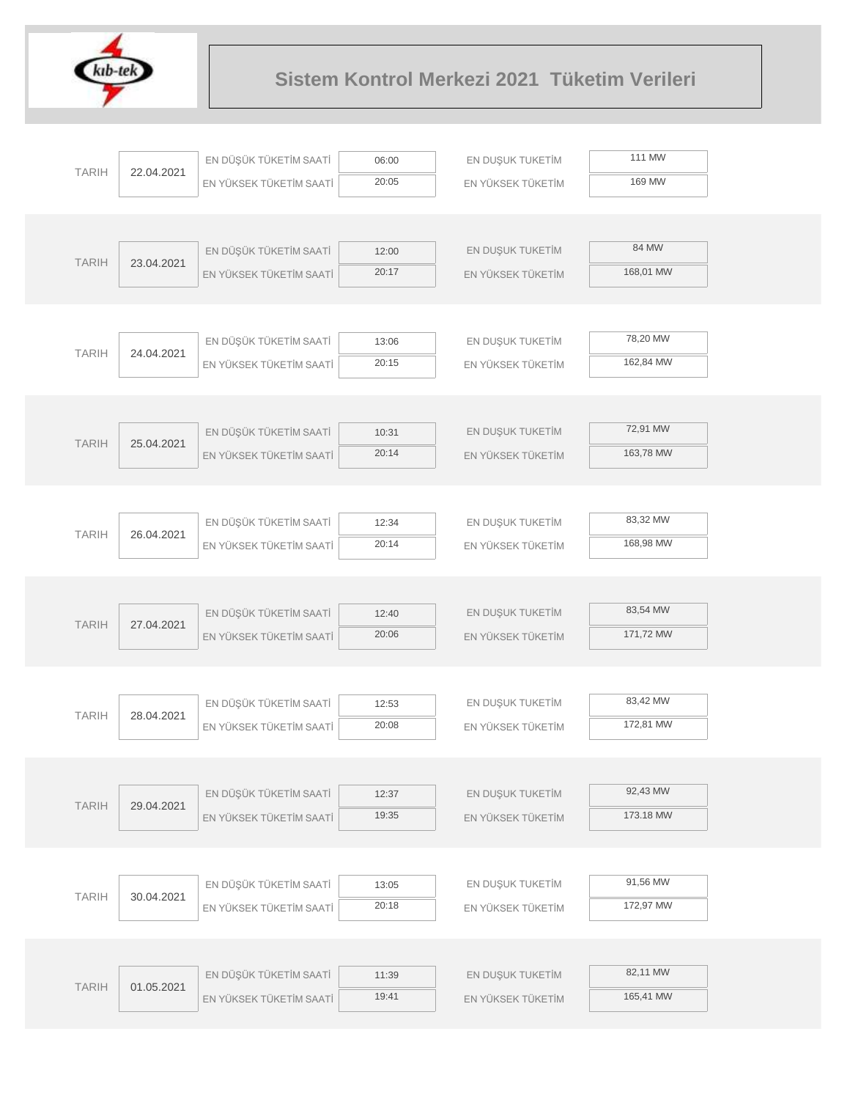

|              |            | EN DÜŞÜK TÜKETİM SAATİ  | 06:00 | EN DUŞUK TUKETİM  | 111 MW    |
|--------------|------------|-------------------------|-------|-------------------|-----------|
| <b>TARIH</b> | 22.04.2021 | EN YÜKSEK TÜKETİM SAATİ | 20:05 | EN YÜKSEK TÜKETİM | 169 MW    |
|              |            |                         |       |                   |           |
|              |            |                         |       |                   |           |
|              |            | EN DÜŞÜK TÜKETİM SAATİ  | 12:00 | EN DUŞUK TUKETİM  | 84 MW     |
| <b>TARIH</b> | 23.04.2021 | EN YÜKSEK TÜKETİM SAATİ | 20:17 | EN YÜKSEK TÜKETİM | 168,01 MW |
|              |            |                         |       |                   |           |
|              |            |                         |       |                   |           |
| <b>TARIH</b> | 24.04.2021 | EN DÜŞÜK TÜKETİM SAATİ  | 13:06 | EN DUŞUK TUKETİM  | 78,20 MW  |
|              |            | EN YÜKSEK TÜKETİM SAATİ | 20:15 | EN YÜKSEK TÜKETİM | 162,84 MW |
|              |            |                         |       |                   |           |
|              |            |                         |       |                   |           |
| <b>TARIH</b> | 25.04.2021 | EN DÜŞÜK TÜKETİM SAATİ  | 10:31 | EN DUŞUK TUKETİM  | 72,91 MW  |
|              |            | EN YÜKSEK TÜKETİM SAATİ | 20:14 | EN YÜKSEK TÜKETİM | 163,78 MW |
|              |            |                         |       |                   |           |
|              |            |                         |       |                   |           |
| <b>TARIH</b> | 26.04.2021 | EN DÜŞÜK TÜKETİM SAATİ  | 12:34 | EN DUŞUK TUKETİM  | 83,32 MW  |
|              |            | EN YÜKSEK TÜKETİM SAATİ | 20:14 | EN YÜKSEK TÜKETİM | 168,98 MW |
|              |            |                         |       |                   |           |
|              |            |                         |       |                   |           |
| <b>TARIH</b> | 27.04.2021 | EN DÜŞÜK TÜKETİM SAATİ  | 12:40 | EN DUŞUK TUKETİM  | 83,54 MW  |
|              |            | EN YÜKSEK TÜKETİM SAATİ | 20:06 | EN YÜKSEK TÜKETİM | 171,72 MW |
|              |            |                         |       |                   |           |
|              |            |                         |       |                   |           |
| <b>TARIH</b> | 28.04.2021 | EN DÜŞÜK TÜKETİM SAATİ  | 12:53 | EN DUŞUK TUKETİM  | 83,42 MW  |
|              |            | EN YÜKSEK TÜKETİM SAATİ | 20:08 | EN YÜKSEK TÜKETİM | 172,81 MW |
|              |            |                         |       |                   |           |
|              |            |                         |       |                   | 92,43 MW  |
| <b>TARIH</b> | 29.04.2021 | EN DÜŞÜK TÜKETİM SAATİ  | 12:37 | EN DUŞUK TUKETİM  |           |
|              |            | EN YÜKSEK TÜKETİM SAATİ | 19:35 | EN YÜKSEK TÜKETİM | 173.18 MW |
|              |            |                         |       |                   |           |
|              |            |                         |       |                   | 91,56 MW  |
| <b>TARIH</b> | 30.04.2021 | EN DÜŞÜK TÜKETİM SAATİ  | 13:05 | EN DUŞUK TUKETİM  | 172,97 MW |
|              |            | EN YÜKSEK TÜKETİM SAATİ | 20:18 | EN YÜKSEK TÜKETİM |           |
|              |            |                         |       |                   |           |
|              |            | EN DÜŞÜK TÜKETİM SAATİ  |       |                   | 82,11 MW  |
| <b>TARIH</b> | 01.05.2021 |                         | 11:39 | EN DUŞUK TUKETİM  | 165,41 MW |
|              |            | EN YÜKSEK TÜKETİM SAATİ | 19:41 | EN YÜKSEK TÜKETİM |           |
|              |            |                         |       |                   |           |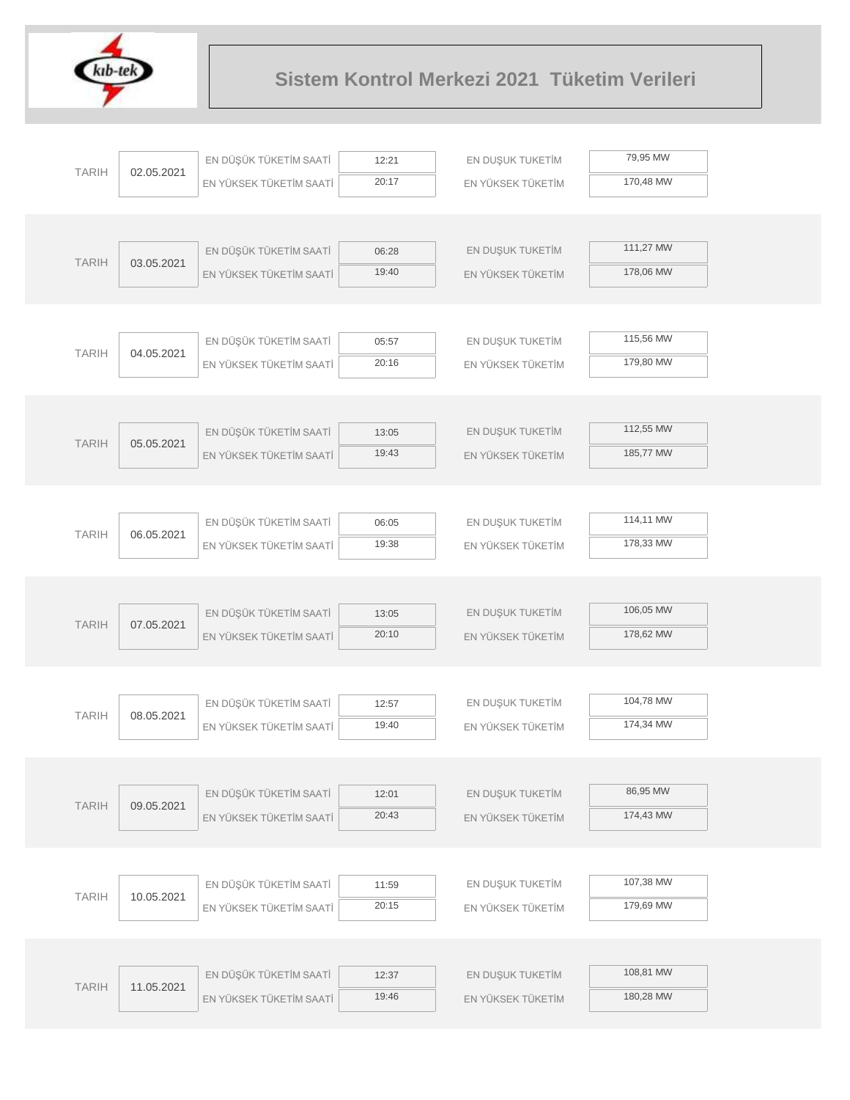

|              |            | EN DÜŞÜK TÜKETİM SAATİ  | 12:21          | EN DUŞUK TUKETİM  | 79,95 MW  |
|--------------|------------|-------------------------|----------------|-------------------|-----------|
| <b>TARIH</b> | 02.05.2021 | EN YÜKSEK TÜKETİM SAATİ | 20:17          | EN YÜKSEK TÜKETİM | 170,48 MW |
|              |            |                         |                |                   |           |
|              |            |                         |                |                   |           |
| <b>TARIH</b> | 03.05.2021 | EN DÜŞÜK TÜKETİM SAATİ  | 06:28          | EN DUŞUK TUKETİM  | 111,27 MW |
|              |            | EN YÜKSEK TÜKETİM SAATİ | 19:40          | EN YÜKSEK TÜKETİM | 178,06 MW |
|              |            |                         |                |                   |           |
|              |            |                         |                |                   |           |
| <b>TARIH</b> | 04.05.2021 | EN DÜŞÜK TÜKETİM SAATİ  | 05:57          | EN DUŞUK TUKETİM  | 115,56 MW |
|              |            | EN YÜKSEK TÜKETİM SAATİ | 20:16          | EN YÜKSEK TÜKETİM | 179,80 MW |
|              |            |                         |                |                   |           |
|              |            |                         |                |                   |           |
| <b>TARIH</b> | 05.05.2021 | EN DÜŞÜK TÜKETİM SAATİ  | 13:05          | EN DUŞUK TUKETİM  | 112,55 MW |
|              |            | EN YÜKSEK TÜKETİM SAATİ | 19:43          | EN YÜKSEK TÜKETİM | 185,77 MW |
|              |            |                         |                |                   |           |
|              |            |                         |                | EN DUŞUK TUKETİM  | 114,11 MW |
| <b>TARIH</b> | 06.05.2021 | EN DÜŞÜK TÜKETİM SAATİ  | 06:05<br>19:38 |                   | 178,33 MW |
|              |            | EN YÜKSEK TÜKETİM SAATİ |                | EN YÜKSEK TÜKETİM |           |
|              |            |                         |                |                   |           |
|              |            | EN DÜŞÜK TÜKETİM SAATİ  | 13:05          | EN DUŞUK TUKETİM  | 106,05 MW |
| <b>TARIH</b> | 07.05.2021 | EN YÜKSEK TÜKETİM SAATİ | 20:10          | EN YÜKSEK TÜKETİM | 178,62 MW |
|              |            |                         |                |                   |           |
|              |            |                         |                |                   |           |
|              |            | EN DÜŞÜK TÜKETİM SAATİ  | 12:57          | EN DUŞUK TUKETİM  | 104,78 MW |
| <b>TARIH</b> | 08.05.2021 | EN YÜKSEK TÜKETİM SAATİ | 19:40          | EN YÜKSEK TÜKETİM | 174,34 MW |
|              |            |                         |                |                   |           |
|              |            |                         |                |                   |           |
| <b>TARIH</b> | 09.05.2021 | EN DÜŞÜK TÜKETİM SAATİ  | 12:01          | EN DUŞUK TUKETİM  | 86,95 MW  |
|              |            | EN YÜKSEK TÜKETİM SAATİ | 20:43          | EN YÜKSEK TÜKETİM | 174,43 MW |
|              |            |                         |                |                   |           |
|              |            |                         |                |                   |           |
| <b>TARIH</b> | 10.05.2021 | EN DÜŞÜK TÜKETİM SAATİ  | 11:59          | EN DUŞUK TUKETİM  | 107,38 MW |
|              |            | EN YÜKSEK TÜKETİM SAATİ | 20:15          | EN YÜKSEK TÜKETİM | 179,69 MW |
|              |            |                         |                |                   |           |
|              |            |                         |                |                   |           |
| <b>TARIH</b> | 11.05.2021 | EN DÜŞÜK TÜKETİM SAATİ  | 12:37          | EN DUŞUK TUKETİM  | 108,81 MW |
|              |            | EN YÜKSEK TÜKETİM SAATİ | 19:46          | EN YÜKSEK TÜKETİM | 180,28 MW |
|              |            |                         |                |                   |           |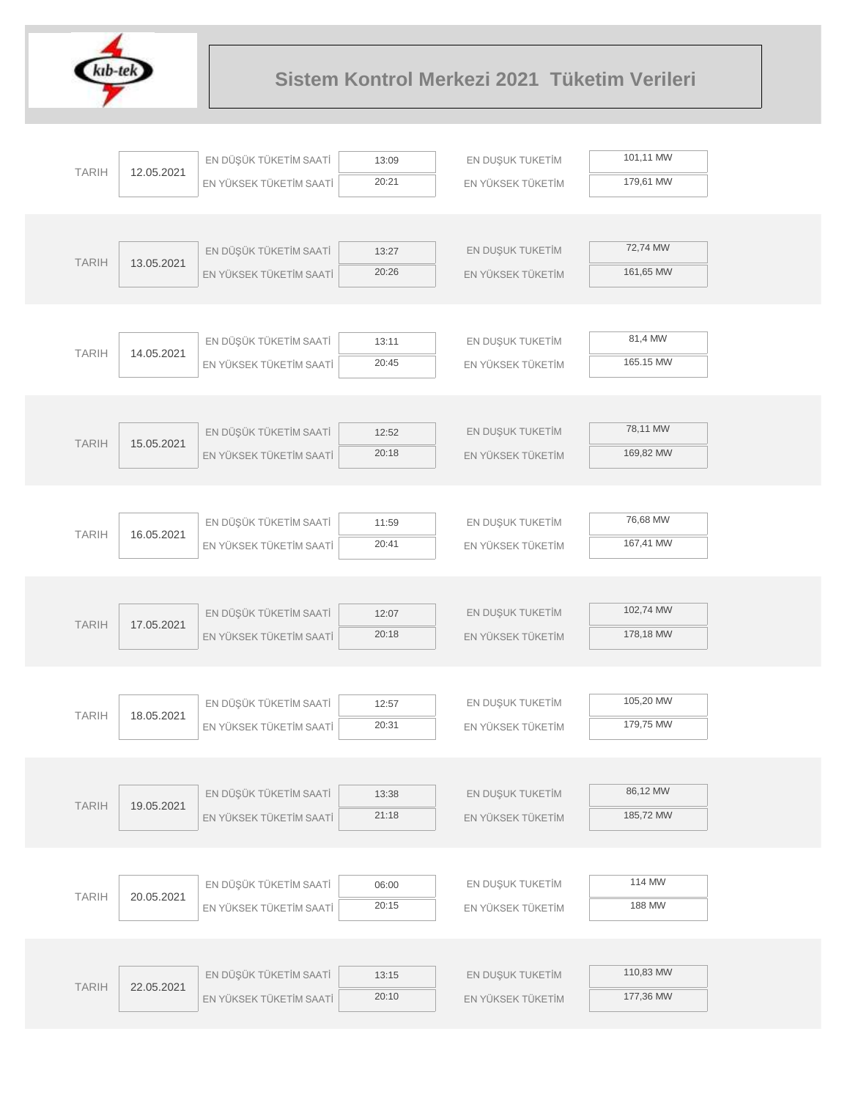

|              |            | EN DÜŞÜK TÜKETİM SAATİ  | 13:09          | EN DUŞUK TUKETİM  | 101,11 MW              |  |
|--------------|------------|-------------------------|----------------|-------------------|------------------------|--|
| <b>TARIH</b> | 12.05.2021 | EN YÜKSEK TÜKETİM SAATİ | 20:21          | EN YÜKSEK TÜKETİM | 179,61 MW              |  |
|              |            |                         |                |                   |                        |  |
|              |            |                         |                |                   |                        |  |
| <b>TARIH</b> | 13.05.2021 | EN DÜŞÜK TÜKETİM SAATİ  | 13:27          | EN DUŞUK TUKETİM  | 72,74 MW               |  |
|              |            | EN YÜKSEK TÜKETİM SAATİ | 20:26          | EN YÜKSEK TÜKETİM | 161,65 MW              |  |
|              |            |                         |                |                   |                        |  |
|              |            | EN DÜŞÜK TÜKETİM SAATİ  |                |                   | 81,4 MW                |  |
| <b>TARIH</b> | 14.05.2021 |                         | 13:11<br>20:45 | EN DUŞUK TUKETİM  | 165.15 MW              |  |
|              |            | EN YÜKSEK TÜKETİM SAATİ |                | EN YÜKSEK TÜKETİM |                        |  |
|              |            |                         |                |                   |                        |  |
|              |            | EN DÜŞÜK TÜKETİM SAATİ  | 12:52          | EN DUŞUK TUKETİM  | 78,11 MW               |  |
| <b>TARIH</b> | 15.05.2021 | EN YÜKSEK TÜKETİM SAATİ | 20:18          | EN YÜKSEK TÜKETİM | 169,82 MW              |  |
|              |            |                         |                |                   |                        |  |
|              |            |                         |                |                   |                        |  |
|              |            | EN DÜŞÜK TÜKETİM SAATİ  | 11:59          | EN DUŞUK TUKETİM  | 76,68 MW               |  |
| <b>TARIH</b> | 16.05.2021 | EN YÜKSEK TÜKETİM SAATİ | 20:41          | EN YÜKSEK TÜKETİM | 167,41 MW              |  |
|              |            |                         |                |                   |                        |  |
|              |            |                         |                |                   |                        |  |
| <b>TARIH</b> | 17.05.2021 | EN DÜŞÜK TÜKETİM SAATİ  | 12:07          | EN DUŞUK TUKETİM  | 102,74 MW              |  |
|              |            | EN YÜKSEK TÜKETİM SAATİ | 20:18          | EN YÜKSEK TÜKETİM | 178,18 MW              |  |
|              |            |                         |                |                   |                        |  |
|              |            |                         |                |                   | 105,20 MW              |  |
| <b>TARIH</b> | 18.05.2021 | EN DÜŞÜK TÜKETİM SAATİ  | 12:57<br>20:31 | EN DUŞUK TUKETİM  | 179,75 MW              |  |
|              |            | EN YÜKSEK TÜKETİM SAATİ |                | EN YÜKSEK TÜKETİM |                        |  |
|              |            |                         |                |                   |                        |  |
|              |            | EN DÜŞÜK TÜKETİM SAATİ  | 13:38          | EN DUŞUK TUKETİM  | 86,12 MW               |  |
| <b>TARIH</b> | 19.05.2021 | EN YÜKSEK TÜKETİM SAATİ | 21:18          | EN YÜKSEK TÜKETİM | 185,72 MW              |  |
|              |            |                         |                |                   |                        |  |
|              |            |                         |                |                   |                        |  |
|              |            | EN DÜŞÜK TÜKETİM SAATİ  | 06:00          | EN DUŞUK TUKETİM  | 114 MW                 |  |
| <b>TARIH</b> | 20.05.2021 | EN YÜKSEK TÜKETİM SAATİ | 20:15          | EN YÜKSEK TÜKETİM | 188 MW                 |  |
|              |            |                         |                |                   |                        |  |
|              |            |                         |                |                   |                        |  |
|              |            |                         |                |                   |                        |  |
| <b>TARIH</b> | 22.05.2021 | EN DÜŞÜK TÜKETİM SAATİ  | 13:15          | EN DUŞUK TUKETİM  | 110,83 MW<br>177,36 MW |  |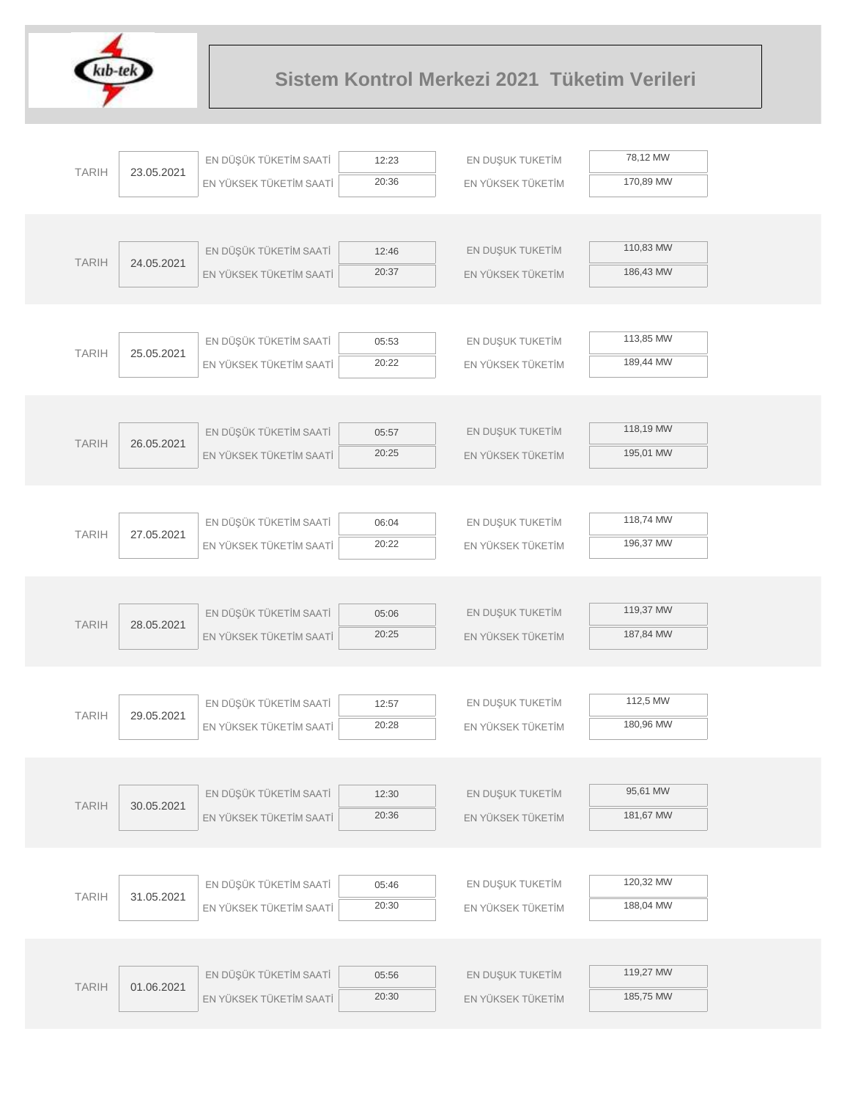

|              |            | EN DÜŞÜK TÜKETİM SAATİ  | 12:23          | EN DUŞUK TUKETİM  | 78,12 MW  |  |
|--------------|------------|-------------------------|----------------|-------------------|-----------|--|
| <b>TARIH</b> | 23.05.2021 | EN YÜKSEK TÜKETİM SAATİ | 20:36          | EN YÜKSEK TÜKETİM | 170,89 MW |  |
|              |            |                         |                |                   |           |  |
|              |            |                         |                |                   |           |  |
| <b>TARIH</b> | 24.05.2021 | EN DÜŞÜK TÜKETİM SAATİ  | 12:46          | EN DUŞUK TUKETİM  | 110,83 MW |  |
|              |            | EN YÜKSEK TÜKETİM SAATİ | 20:37          | EN YÜKSEK TÜKETİM | 186,43 MW |  |
|              |            |                         |                |                   |           |  |
|              |            |                         |                |                   |           |  |
| <b>TARIH</b> | 25.05.2021 | EN DÜŞÜK TÜKETİM SAATİ  | 05:53          | EN DUŞUK TUKETİM  | 113,85 MW |  |
|              |            | EN YÜKSEK TÜKETİM SAATİ | 20:22          | EN YÜKSEK TÜKETİM | 189,44 MW |  |
|              |            |                         |                |                   |           |  |
|              |            | EN DÜŞÜK TÜKETİM SAATİ  | 05:57          | EN DUŞUK TUKETİM  | 118,19 MW |  |
| <b>TARIH</b> | 26.05.2021 | EN YÜKSEK TÜKETİM SAATİ | 20:25          | EN YÜKSEK TÜKETİM | 195,01 MW |  |
|              |            |                         |                |                   |           |  |
|              |            |                         |                |                   |           |  |
|              |            | EN DÜŞÜK TÜKETİM SAATİ  | 06:04          | EN DUŞUK TUKETİM  | 118,74 MW |  |
| <b>TARIH</b> | 27.05.2021 | EN YÜKSEK TÜKETİM SAATİ | 20:22          | EN YÜKSEK TÜKETİM | 196,37 MW |  |
|              |            |                         |                |                   |           |  |
|              |            |                         |                |                   |           |  |
|              |            | EN DÜŞÜK TÜKETİM SAATİ  | 05:06          | EN DUŞUK TUKETİM  | 119,37 MW |  |
| <b>TARIH</b> | 28.05.2021 | EN YÜKSEK TÜKETİM SAATİ | 20:25          | EN YÜKSEK TÜKETİM | 187,84 MW |  |
|              |            |                         |                |                   |           |  |
|              |            |                         |                |                   |           |  |
| <b>TARIH</b> | 29.05.2021 | EN DÜŞÜK TÜKETİM SAATİ  | 12:57          | EN DUŞUK TUKETİM  | 112,5 MW  |  |
|              |            | EN YÜKSEK TÜKETİM SAATİ | 20:28          | EN YÜKSEK TÜKETİM | 180,96 MW |  |
|              |            |                         |                |                   |           |  |
|              |            |                         |                |                   | 95,61 MW  |  |
| <b>TARIH</b> | 30.05.2021 | EN DÜŞÜK TÜKETİM SAATİ  | 12:30<br>20:36 | EN DUŞUK TUKETİM  | 181,67 MW |  |
|              |            | EN YÜKSEK TÜKETİM SAATİ |                | EN YÜKSEK TÜKETİM |           |  |
|              |            |                         |                |                   |           |  |
|              |            | EN DÜŞÜK TÜKETİM SAATİ  | 05:46          | EN DUŞUK TUKETİM  | 120,32 MW |  |
| <b>TARIH</b> | 31.05.2021 | EN YÜKSEK TÜKETİM SAATİ | 20:30          | EN YÜKSEK TÜKETİM | 188,04 MW |  |
|              |            |                         |                |                   |           |  |
|              |            |                         |                |                   |           |  |
|              |            | EN DÜŞÜK TÜKETİM SAATİ  | 05:56          | EN DUŞUK TUKETİM  | 119,27 MW |  |
| <b>TARIH</b> | 01.06.2021 | EN YÜKSEK TÜKETİM SAATİ | 20:30          | EN YÜKSEK TÜKETİM | 185,75 MW |  |
|              |            |                         |                |                   |           |  |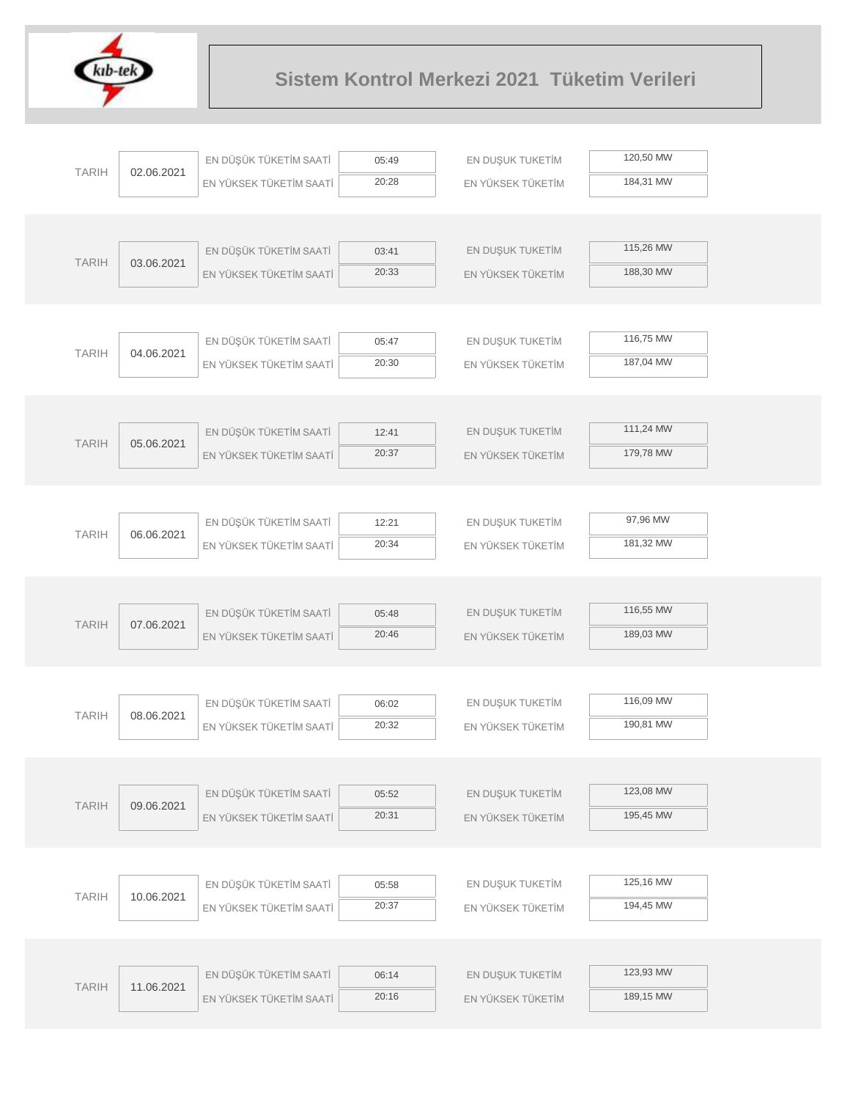

| <b>TARIH</b> | 02.06.2021 | EN DÜŞÜK TÜKETİM SAATİ  | 05:49 | EN DUŞUK TUKETİM  | 120,50 MW |  |
|--------------|------------|-------------------------|-------|-------------------|-----------|--|
|              |            | EN YÜKSEK TÜKETİM SAATİ | 20:28 | EN YÜKSEK TÜKETİM | 184,31 MW |  |
|              |            |                         |       |                   |           |  |
|              |            |                         |       |                   |           |  |
|              |            | EN DÜŞÜK TÜKETİM SAATİ  | 03:41 | EN DUŞUK TUKETİM  | 115,26 MW |  |
| <b>TARIH</b> | 03.06.2021 | EN YÜKSEK TÜKETİM SAATİ | 20:33 | EN YÜKSEK TÜKETİM | 188,30 MW |  |
|              |            |                         |       |                   |           |  |
|              |            |                         |       |                   |           |  |
|              |            | EN DÜŞÜK TÜKETİM SAATİ  | 05:47 | EN DUŞUK TUKETİM  | 116,75 MW |  |
| <b>TARIH</b> | 04.06.2021 | EN YÜKSEK TÜKETİM SAATİ | 20:30 | EN YÜKSEK TÜKETİM | 187,04 MW |  |
|              |            |                         |       |                   |           |  |
|              |            |                         |       |                   |           |  |
|              |            | EN DÜŞÜK TÜKETİM SAATİ  | 12:41 | EN DUŞUK TUKETİM  | 111,24 MW |  |
| <b>TARIH</b> | 05.06.2021 | EN YÜKSEK TÜKETİM SAATİ | 20:37 | EN YÜKSEK TÜKETİM | 179,78 MW |  |
|              |            |                         |       |                   |           |  |
|              |            |                         |       |                   |           |  |
|              |            | EN DÜŞÜK TÜKETİM SAATİ  | 12:21 | EN DUŞUK TUKETİM  | 97,96 MW  |  |
| <b>TARIH</b> | 06.06.2021 | EN YÜKSEK TÜKETİM SAATİ | 20:34 | EN YÜKSEK TÜKETİM | 181,32 MW |  |
|              |            |                         |       |                   |           |  |
|              |            |                         |       |                   |           |  |
|              |            | EN DÜŞÜK TÜKETİM SAATİ  | 05:48 | EN DUŞUK TUKETİM  | 116,55 MW |  |
| <b>TARIH</b> | 07.06.2021 | EN YÜKSEK TÜKETİM SAATİ | 20:46 | EN YÜKSEK TÜKETİM | 189,03 MW |  |
|              |            |                         |       |                   |           |  |
|              |            |                         |       |                   |           |  |
|              |            | EN DÜŞÜK TÜKETİM SAATİ  | 06:02 | EN DUŞUK TUKETİM  | 116,09 MW |  |
| <b>TARIH</b> | 08.06.2021 | EN YÜKSEK TÜKETİM SAATİ | 20:32 | EN YÜKSEK TÜKETİM | 190,81 MW |  |
|              |            |                         |       |                   |           |  |
|              |            |                         |       |                   |           |  |
|              |            | EN DÜŞÜK TÜKETİM SAATİ  | 05:52 | EN DUŞUK TUKETİM  | 123,08 MW |  |
| <b>TARIH</b> | 09.06.2021 | EN YÜKSEK TÜKETİM SAATİ | 20:31 | EN YÜKSEK TÜKETİM | 195,45 MW |  |
|              |            |                         |       |                   |           |  |
|              |            |                         |       |                   |           |  |
|              |            | EN DÜŞÜK TÜKETİM SAATİ  | 05:58 | EN DUŞUK TUKETİM  | 125,16 MW |  |
| <b>TARIH</b> | 10.06.2021 | EN YÜKSEK TÜKETİM SAATİ | 20:37 | EN YÜKSEK TÜKETİM | 194,45 MW |  |
|              |            |                         |       |                   |           |  |
|              |            |                         |       |                   |           |  |
|              |            | EN DÜŞÜK TÜKETİM SAATİ  | 06:14 | EN DUŞUK TUKETİM  | 123,93 MW |  |
| <b>TARIH</b> | 11.06.2021 | EN YÜKSEK TÜKETİM SAATİ | 20:16 | EN YÜKSEK TÜKETİM | 189,15 MW |  |
|              |            |                         |       |                   |           |  |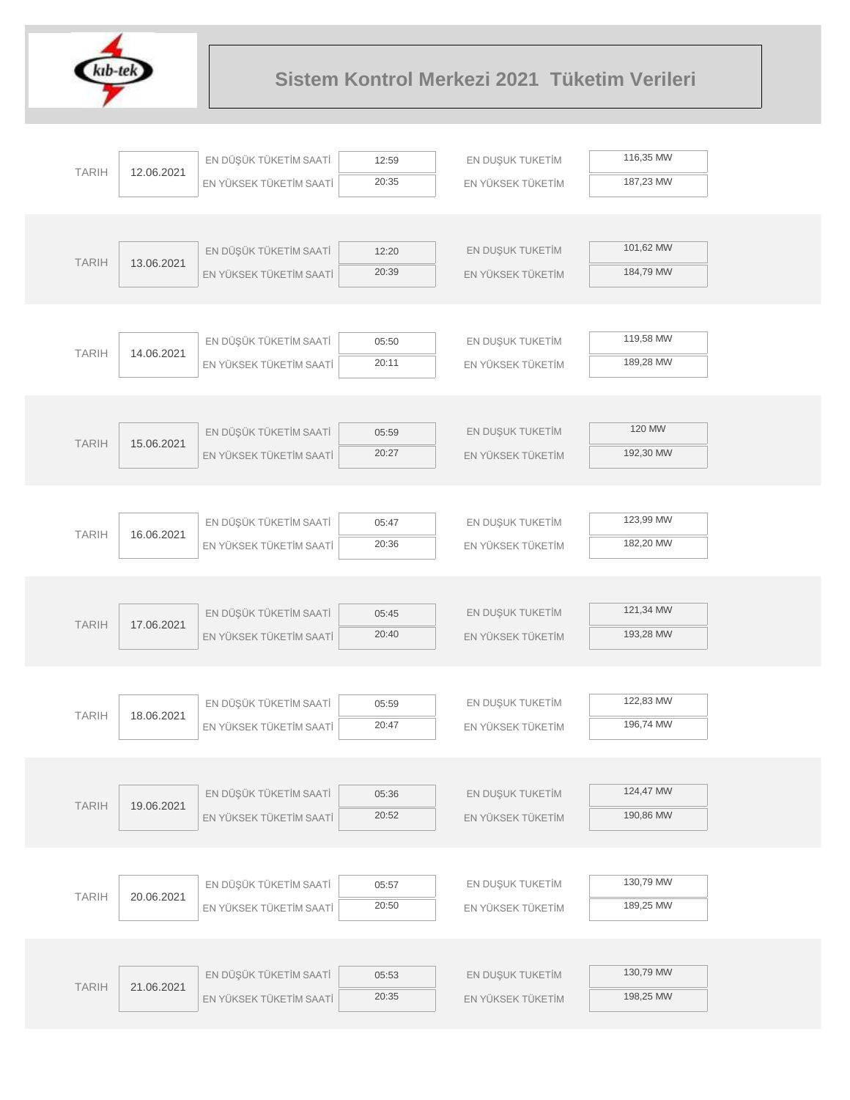

| <b>TARIH</b> |            | EN DÜŞÜK TÜKETİM SAATİ  | 12:59 | EN DUŞUK TUKETİM  | 116,35 MW |
|--------------|------------|-------------------------|-------|-------------------|-----------|
|              | 12.06.2021 | EN YÜKSEK TÜKETİM SAATİ | 20:35 | EN YÜKSEK TÜKETİM | 187,23 MW |
|              |            |                         |       |                   |           |
|              |            |                         |       |                   |           |
| <b>TARIH</b> | 13.06.2021 | EN DÜŞÜK TÜKETİM SAATİ  | 12:20 | EN DUŞUK TUKETİM  | 101,62 MW |
|              |            | EN YÜKSEK TÜKETİM SAATİ | 20:39 | EN YÜKSEK TÜKETİM | 184,79 MW |
|              |            |                         |       |                   |           |
|              |            |                         |       |                   |           |
| <b>TARIH</b> | 14.06.2021 | EN DÜŞÜK TÜKETİM SAATİ  | 05:50 | EN DUŞUK TUKETİM  | 119,58 MW |
|              |            | EN YÜKSEK TÜKETİM SAATİ | 20:11 | EN YÜKSEK TÜKETİM | 189,28 MW |
|              |            |                         |       |                   |           |
|              |            |                         |       |                   |           |
| <b>TARIH</b> | 15.06.2021 | EN DÜŞÜK TÜKETİM SAATİ  | 05:59 | EN DUŞUK TUKETİM  | 120 MW    |
|              |            | EN YÜKSEK TÜKETİM SAATİ | 20:27 | EN YÜKSEK TÜKETİM | 192,30 MW |
|              |            |                         |       |                   |           |
|              |            |                         |       |                   | 123,99 MW |
| <b>TARIH</b> | 16.06.2021 | EN DÜŞÜK TÜKETİM SAATİ  | 05:47 | EN DUŞUK TUKETİM  |           |
|              |            | EN YÜKSEK TÜKETİM SAATİ | 20:36 | EN YÜKSEK TÜKETİM | 182,20 MW |
|              |            |                         |       |                   |           |
|              |            | EN DÜŞÜK TÜKETİM SAATİ  | 05:45 | EN DUŞUK TUKETİM  | 121,34 MW |
| <b>TARIH</b> | 17.06.2021 | EN YÜKSEK TÜKETİM SAATİ | 20:40 | EN YÜKSEK TÜKETİM | 193,28 MW |
|              |            |                         |       |                   |           |
|              |            |                         |       |                   |           |
|              |            | EN DÜŞÜK TÜKETİM SAATİ  | 05:59 | EN DUŞUK TUKETİM  | 122,83 MW |
| <b>TARIH</b> | 18.06.2021 | EN YÜKSEK TÜKETİM SAATİ | 20:47 | EN YÜKSEK TÜKETİM | 196,74 MW |
|              |            |                         |       |                   |           |
|              |            |                         |       |                   |           |
|              |            | EN DÜŞÜK TÜKETİM SAATİ  | 05:36 | EN DUŞUK TUKETİM  | 124,47 MW |
| <b>TARIH</b> | 19.06.2021 | EN YÜKSEK TÜKETİM SAATİ | 20:52 | EN YÜKSEK TÜKETİM | 190,86 MW |
|              |            |                         |       |                   |           |
|              |            |                         |       |                   |           |
|              |            | EN DÜŞÜK TÜKETİM SAATİ  | 05:57 | EN DUŞUK TUKETİM  | 130,79 MW |
| <b>TARIH</b> | 20.06.2021 | EN YÜKSEK TÜKETİM SAATİ | 20:50 | EN YÜKSEK TÜKETİM | 189,25 MW |
|              |            |                         |       |                   |           |
|              |            |                         |       |                   |           |
| <b>TARIH</b> | 21.06.2021 | EN DÜŞÜK TÜKETİM SAATİ  | 05:53 | EN DUŞUK TUKETİM  | 130,79 MW |
|              |            | EN YÜKSEK TÜKETİM SAATİ | 20:35 | EN YÜKSEK TÜKETİM | 198,25 MW |
|              |            |                         |       |                   |           |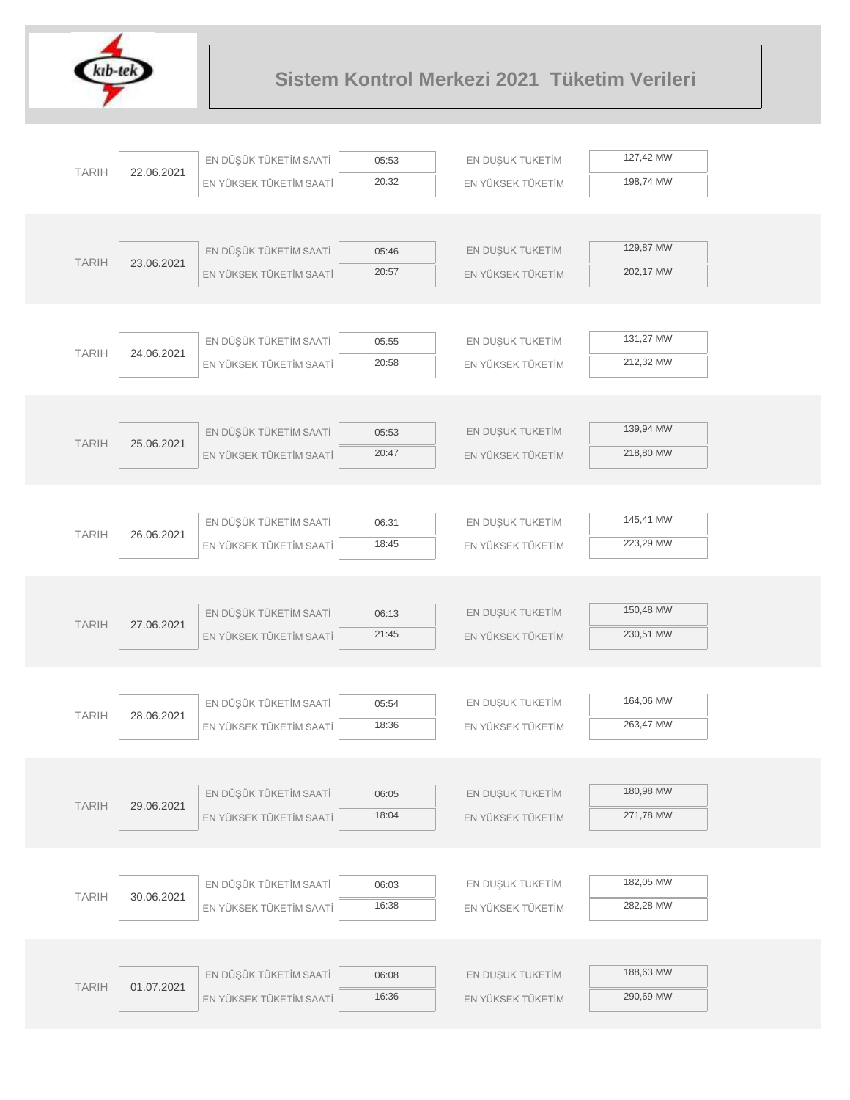

|              |                         | EN DÜŞÜK TÜKETİM SAATİ  | 05:53             | EN DUŞUK TUKETİM  | 127,42 MW |
|--------------|-------------------------|-------------------------|-------------------|-------------------|-----------|
| <b>TARIH</b> | 22.06.2021              | EN YÜKSEK TÜKETİM SAATİ | 20:32             | EN YÜKSEK TÜKETİM | 198,74 MW |
|              |                         |                         |                   |                   |           |
|              |                         |                         |                   |                   |           |
| <b>TARIH</b> | 23.06.2021              | EN DÜŞÜK TÜKETİM SAATİ  | 05:46             | EN DUŞUK TUKETİM  | 129,87 MW |
|              | EN YÜKSEK TÜKETİM SAATİ | 20:57                   | EN YÜKSEK TÜKETİM | 202,17 MW         |           |
|              |                         |                         |                   |                   |           |
|              |                         |                         |                   |                   |           |
| <b>TARIH</b> | 24.06.2021              | EN DÜŞÜK TÜKETİM SAATİ  | 05:55             | EN DUŞUK TUKETİM  | 131,27 MW |
|              |                         | EN YÜKSEK TÜKETİM SAATİ | 20:58             | EN YÜKSEK TÜKETİM | 212,32 MW |
|              |                         |                         |                   |                   |           |
|              |                         |                         |                   |                   |           |
| <b>TARIH</b> | 25.06.2021              | EN DÜŞÜK TÜKETİM SAATİ  | 05:53             | EN DUŞUK TUKETİM  | 139,94 MW |
|              |                         | EN YÜKSEK TÜKETİM SAATİ | 20:47             | EN YÜKSEK TÜKETİM | 218,80 MW |
|              |                         |                         |                   |                   |           |
|              |                         | EN DÜŞÜK TÜKETİM SAATİ  | 06:31             | EN DUŞUK TUKETİM  | 145,41 MW |
| <b>TARIH</b> | 26.06.2021              | EN YÜKSEK TÜKETİM SAATİ | 18:45             | EN YÜKSEK TÜKETİM | 223,29 MW |
|              |                         |                         |                   |                   |           |
|              |                         |                         |                   |                   |           |
|              |                         | EN DÜŞÜK TÜKETİM SAATİ  | 06:13             | EN DUŞUK TUKETİM  | 150,48 MW |
| <b>TARIH</b> | 27.06.2021              | EN YÜKSEK TÜKETİM SAATİ | 21:45             | EN YÜKSEK TÜKETİM | 230,51 MW |
|              |                         |                         |                   |                   |           |
|              |                         |                         |                   |                   |           |
|              |                         | EN DÜŞÜK TÜKETİM SAATİ  | 05:54             | EN DUŞUK TUKETİM  | 164,06 MW |
| <b>TARIH</b> | 28.06.2021              | EN YÜKSEK TÜKETİM SAATİ | 18:36             | EN YÜKSEK TÜKETİM | 263,47 MW |
|              |                         |                         |                   |                   |           |
|              |                         |                         |                   |                   |           |
| <b>TARIH</b> | 29.06.2021              | EN DÜŞÜK TÜKETİM SAATİ  | 06:05             | EN DUŞUK TUKETİM  | 180,98 MW |
|              |                         | EN YÜKSEK TÜKETİM SAATİ | 18:04             | EN YÜKSEK TÜKETİM | 271,78 MW |
|              |                         |                         |                   |                   |           |
|              |                         |                         |                   |                   |           |
| <b>TARIH</b> | 30.06.2021              | EN DÜŞÜK TÜKETİM SAATİ  | 06:03             | EN DUŞUK TUKETİM  | 182,05 MW |
|              |                         | EN YÜKSEK TÜKETİM SAATİ | 16:38             | EN YÜKSEK TÜKETİM | 282,28 MW |
|              |                         |                         |                   |                   |           |
|              |                         | EN DÜŞÜK TÜKETİM SAATİ  | 06:08             | EN DUŞUK TUKETİM  | 188,63 MW |
| <b>TARIH</b> | 01.07.2021              |                         | 16:36             |                   | 290,69 MW |
|              |                         | EN YÜKSEK TÜKETİM SAATİ |                   | EN YÜKSEK TÜKETİM |           |
|              |                         |                         |                   |                   |           |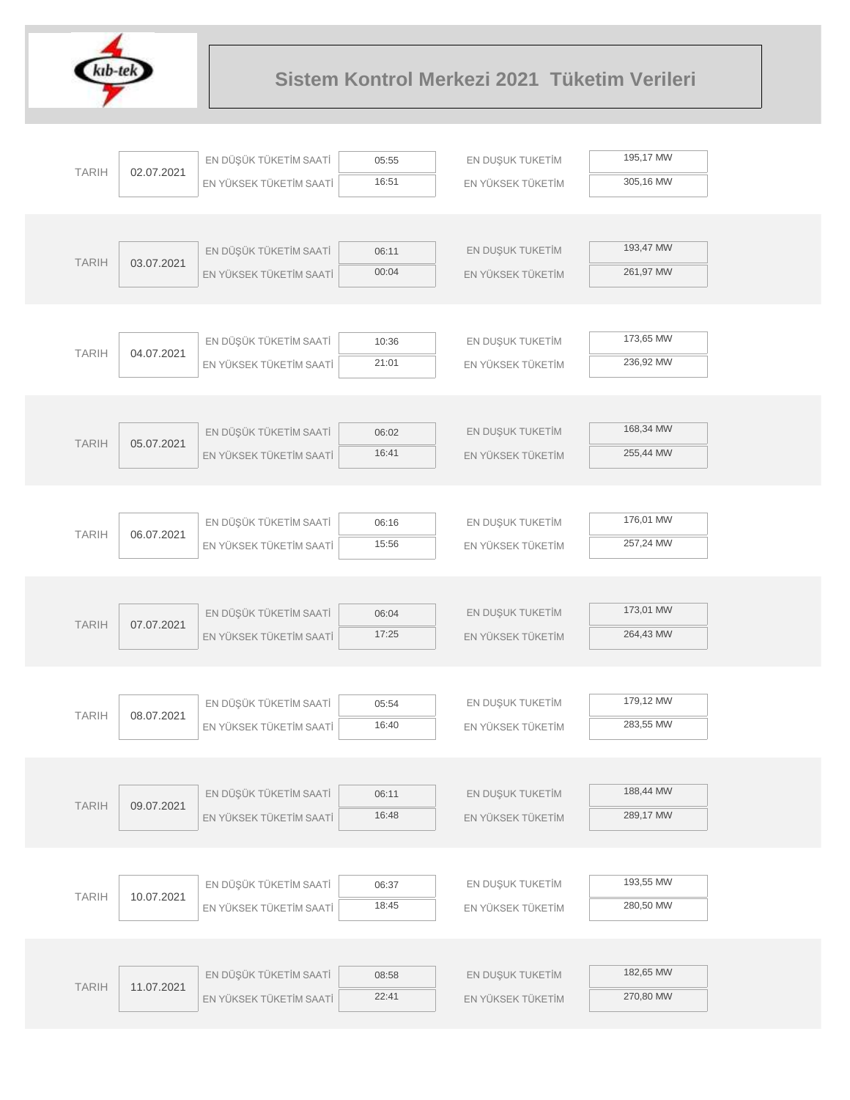

|              |            | EN DÜŞÜK TÜKETİM SAATİ  | 05:55          | EN DUŞUK TUKETİM  | 195,17 MW |  |
|--------------|------------|-------------------------|----------------|-------------------|-----------|--|
| <b>TARIH</b> | 02.07.2021 | EN YÜKSEK TÜKETİM SAATİ | 16:51          | EN YÜKSEK TÜKETİM | 305,16 MW |  |
|              |            |                         |                |                   |           |  |
|              |            |                         |                |                   |           |  |
| <b>TARIH</b> | 03.07.2021 | EN DÜŞÜK TÜKETİM SAATİ  | 06:11          | EN DUŞUK TUKETİM  | 193,47 MW |  |
|              |            | EN YÜKSEK TÜKETİM SAATİ | 00:04          | EN YÜKSEK TÜKETİM | 261,97 MW |  |
|              |            |                         |                |                   |           |  |
|              |            |                         |                |                   |           |  |
| <b>TARIH</b> | 04.07.2021 | EN DÜŞÜK TÜKETİM SAATİ  | 10:36          | EN DUŞUK TUKETİM  | 173,65 MW |  |
|              |            | EN YÜKSEK TÜKETİM SAATİ | 21:01          | EN YÜKSEK TÜKETİM | 236,92 MW |  |
|              |            |                         |                |                   |           |  |
|              |            |                         |                |                   |           |  |
| <b>TARIH</b> | 05.07.2021 | EN DÜŞÜK TÜKETİM SAATİ  | 06:02          | EN DUŞUK TUKETİM  | 168,34 MW |  |
|              |            | EN YÜKSEK TÜKETİM SAATİ | 16:41          | EN YÜKSEK TÜKETİM | 255,44 MW |  |
|              |            |                         |                |                   |           |  |
|              |            |                         |                |                   |           |  |
| <b>TARIH</b> | 06.07.2021 | EN DÜŞÜK TÜKETİM SAATİ  | 06:16          | EN DUŞUK TUKETİM  | 176,01 MW |  |
|              |            | EN YÜKSEK TÜKETİM SAATİ | 15:56          | EN YÜKSEK TÜKETİM | 257,24 MW |  |
|              |            |                         |                |                   |           |  |
|              |            |                         |                |                   | 173,01 MW |  |
| <b>TARIH</b> | 07.07.2021 | EN DÜŞÜK TÜKETİM SAATİ  | 06:04<br>17:25 | EN DUŞUK TUKETİM  |           |  |
|              |            | EN YÜKSEK TÜKETİM SAATİ |                | EN YÜKSEK TÜKETİM | 264,43 MW |  |
|              |            |                         |                |                   |           |  |
|              |            | EN DÜŞÜK TÜKETİM SAATİ  | 05:54          | EN DUŞUK TUKETİM  | 179,12 MW |  |
| <b>TARIH</b> | 08.07.2021 | EN YÜKSEK TÜKETİM SAATİ | 16:40          | EN YÜKSEK TÜKETİM | 283,55 MW |  |
|              |            |                         |                |                   |           |  |
|              |            |                         |                |                   |           |  |
|              |            | EN DÜŞÜK TÜKETİM SAATİ  | 06:11          | EN DUŞUK TUKETİM  | 188,44 MW |  |
| <b>TARIH</b> | 09.07.2021 | EN YÜKSEK TÜKETİM SAATİ | 16:48          | EN YÜKSEK TÜKETİM | 289,17 MW |  |
|              |            |                         |                |                   |           |  |
|              |            |                         |                |                   |           |  |
|              |            | EN DÜŞÜK TÜKETİM SAATİ  | 06:37          | EN DUŞUK TUKETİM  | 193,55 MW |  |
| <b>TARIH</b> | 10.07.2021 | EN YÜKSEK TÜKETİM SAATİ | 18:45          | EN YÜKSEK TÜKETİM | 280,50 MW |  |
|              |            |                         |                |                   |           |  |
|              |            |                         |                |                   |           |  |
|              |            | EN DÜŞÜK TÜKETİM SAATİ  | 08:58          | EN DUŞUK TUKETİM  | 182,65 MW |  |
| <b>TARIH</b> | 11.07.2021 | EN YÜKSEK TÜKETİM SAATİ | 22:41          | EN YÜKSEK TÜKETİM | 270,80 MW |  |
|              |            |                         |                |                   |           |  |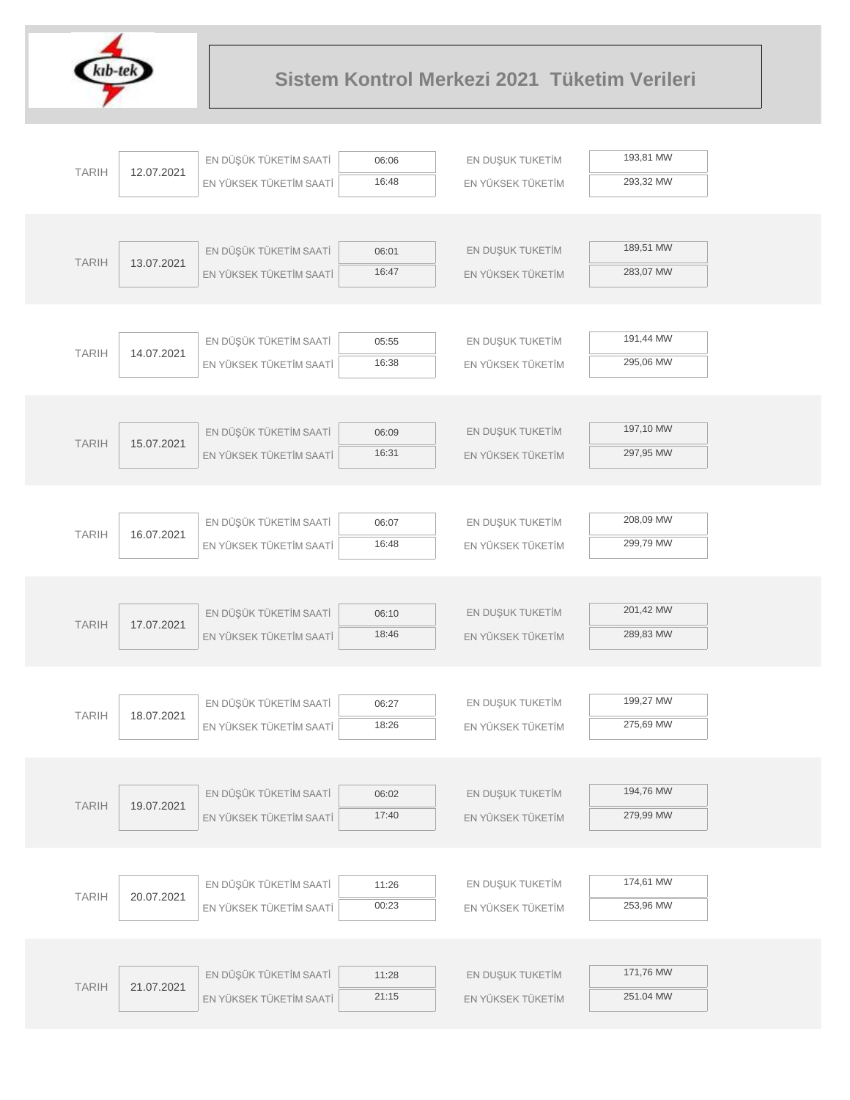

|              |            | EN DÜŞÜK TÜKETİM SAATİ  | 06:06          | EN DUŞUK TUKETİM  | 193,81 MW |  |
|--------------|------------|-------------------------|----------------|-------------------|-----------|--|
| <b>TARIH</b> | 12.07.2021 | EN YÜKSEK TÜKETİM SAATİ | 16:48          | EN YÜKSEK TÜKETİM | 293,32 MW |  |
|              |            |                         |                |                   |           |  |
|              |            |                         |                |                   |           |  |
|              |            | EN DÜŞÜK TÜKETİM SAATİ  | 06:01          | EN DUŞUK TUKETİM  | 189,51 MW |  |
| <b>TARIH</b> | 13.07.2021 | EN YÜKSEK TÜKETİM SAATİ | 16:47          | EN YÜKSEK TÜKETİM | 283,07 MW |  |
|              |            |                         |                |                   |           |  |
|              |            |                         |                |                   |           |  |
| <b>TARIH</b> | 14.07.2021 | EN DÜŞÜK TÜKETİM SAATİ  | 05:55          | EN DUŞUK TUKETİM  | 191,44 MW |  |
|              |            | EN YÜKSEK TÜKETİM SAATİ | 16:38          | EN YÜKSEK TÜKETİM | 295,06 MW |  |
|              |            |                         |                |                   |           |  |
|              |            |                         |                |                   | 197,10 MW |  |
| <b>TARIH</b> | 15.07.2021 | EN DÜŞÜK TÜKETİM SAATİ  | 06:09<br>16:31 | EN DUŞUK TUKETİM  | 297,95 MW |  |
|              |            | EN YÜKSEK TÜKETİM SAATİ |                | EN YÜKSEK TÜKETİM |           |  |
|              |            |                         |                |                   |           |  |
|              |            | EN DÜŞÜK TÜKETİM SAATİ  | 06:07          | EN DUŞUK TUKETİM  | 208,09 MW |  |
| <b>TARIH</b> | 16.07.2021 | EN YÜKSEK TÜKETİM SAATİ | 16:48          | EN YÜKSEK TÜKETİM | 299,79 MW |  |
|              |            |                         |                |                   |           |  |
|              |            |                         |                |                   |           |  |
| <b>TARIH</b> | 17.07.2021 | EN DÜŞÜK TÜKETİM SAATİ  | 06:10          | EN DUŞUK TUKETİM  | 201,42 MW |  |
|              |            | EN YÜKSEK TÜKETİM SAATİ | 18:46          | EN YÜKSEK TÜKETİM | 289,83 MW |  |
|              |            |                         |                |                   |           |  |
|              |            |                         |                |                   |           |  |
| <b>TARIH</b> | 18.07.2021 | EN DÜŞÜK TÜKETİM SAATİ  | 06:27          | EN DUŞUK TUKETİM  | 199,27 MW |  |
|              |            | EN YÜKSEK TÜKETİM SAATİ | 18:26          | EN YÜKSEK TÜKETİM | 275,69 MW |  |
|              |            |                         |                |                   |           |  |
|              |            | EN DÜŞÜK TÜKETİM SAATİ  | 06:02          | EN DUŞUK TUKETİM  | 194,76 MW |  |
| <b>TARIH</b> | 19.07.2021 | EN YÜKSEK TÜKETİM SAATİ | 17:40          | EN YÜKSEK TÜKETİM | 279,99 MW |  |
|              |            |                         |                |                   |           |  |
|              |            |                         |                |                   |           |  |
| <b>TARIH</b> | 20.07.2021 | EN DÜŞÜK TÜKETİM SAATİ  | 11:26          | EN DUŞUK TUKETİM  | 174,61 MW |  |
|              |            | EN YÜKSEK TÜKETİM SAATİ | 00:23          | EN YÜKSEK TÜKETİM | 253,96 MW |  |
|              |            |                         |                |                   |           |  |
|              |            |                         |                |                   | 171,76 MW |  |
| <b>TARIH</b> | 21.07.2021 | EN DÜŞÜK TÜKETİM SAATİ  | 11:28<br>21:15 | EN DUŞUK TUKETİM  | 251.04 MW |  |
|              |            | EN YÜKSEK TÜKETİM SAATİ |                | EN YÜKSEK TÜKETİM |           |  |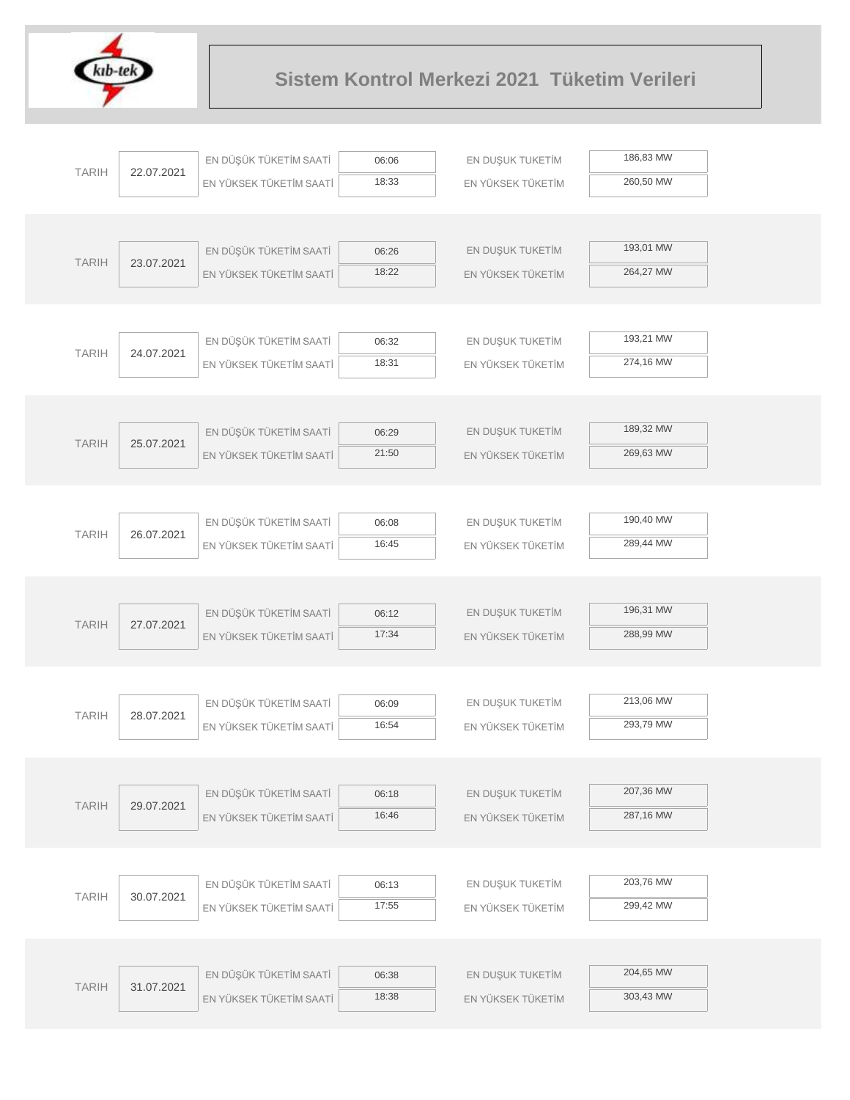

|              |                                                                                                                      | EN DÜŞÜK TÜKETİM SAATİ  | 06:06 | EN DUŞUK TUKETİM  | 186,83 MW |
|--------------|----------------------------------------------------------------------------------------------------------------------|-------------------------|-------|-------------------|-----------|
| <b>TARIH</b> | 22.07.2021                                                                                                           | EN YÜKSEK TÜKETİM SAATİ | 18:33 | EN YÜKSEK TÜKETİM | 260,50 MW |
|              |                                                                                                                      |                         |       |                   |           |
|              |                                                                                                                      |                         |       |                   |           |
|              |                                                                                                                      | EN DÜŞÜK TÜKETİM SAATİ  | 06:26 | EN DUŞUK TUKETİM  | 193,01 MW |
| <b>TARIH</b> | 23.07.2021                                                                                                           | EN YÜKSEK TÜKETİM SAATİ | 18:22 | EN YÜKSEK TÜKETİM | 264,27 MW |
|              |                                                                                                                      |                         |       |                   |           |
|              |                                                                                                                      |                         |       |                   |           |
|              |                                                                                                                      | EN DÜŞÜK TÜKETİM SAATİ  | 06:32 | EN DUŞUK TUKETİM  | 193,21 MW |
|              |                                                                                                                      | EN YÜKSEK TÜKETİM SAATİ | 18:31 | EN YÜKSEK TÜKETİM | 274,16 MW |
|              |                                                                                                                      |                         |       |                   |           |
|              |                                                                                                                      |                         |       |                   |           |
|              | <b>TARIH</b><br>25.07.2021                                                                                           | EN DÜŞÜK TÜKETİM SAATİ  | 06:29 | EN DUŞUK TUKETİM  | 189,32 MW |
|              |                                                                                                                      | EN YÜKSEK TÜKETİM SAATİ | 21:50 | EN YÜKSEK TÜKETİM | 269,63 MW |
|              |                                                                                                                      |                         |       |                   |           |
|              |                                                                                                                      |                         |       |                   |           |
|              | <b>TARIH</b><br>26.07.2021                                                                                           | EN DÜŞÜK TÜKETİM SAATİ  | 06:08 | EN DUŞUK TUKETİM  | 190,40 MW |
|              |                                                                                                                      | EN YÜKSEK TÜKETİM SAATİ | 16:45 | EN YÜKSEK TÜKETİM | 289,44 MW |
|              |                                                                                                                      |                         |       |                   |           |
|              |                                                                                                                      |                         |       |                   |           |
|              |                                                                                                                      | EN DÜŞÜK TÜKETİM SAATİ  | 06:12 | EN DUŞUK TUKETİM  | 196,31 MW |
|              |                                                                                                                      | EN YÜKSEK TÜKETİM SAATİ | 17:34 | EN YÜKSEK TÜKETİM | 288,99 MW |
|              |                                                                                                                      |                         |       |                   |           |
|              |                                                                                                                      |                         |       |                   |           |
|              | <b>TARIH</b><br>24.07.2021<br><b>TARIH</b><br>27.07.2021<br><b>TARIH</b><br>28.07.2021<br><b>TARIH</b><br>29.07.2021 | EN DÜŞÜK TÜKETİM SAATİ  | 06:09 | EN DUŞUK TUKETİM  | 213,06 MW |
|              |                                                                                                                      | EN YÜKSEK TÜKETİM SAATİ | 16:54 | EN YÜKSEK TÜKETİM | 293,79 MW |
|              |                                                                                                                      |                         |       |                   |           |
|              |                                                                                                                      |                         |       |                   |           |
|              |                                                                                                                      | EN DÜŞÜK TÜKETİM SAATİ  | 06:18 | EN DUŞUK TUKETİM  | 207,36 MW |
|              |                                                                                                                      | EN YÜKSEK TÜKETİM SAATİ | 16:46 | EN YÜKSEK TÜKETİM | 287,16 MW |
|              |                                                                                                                      |                         |       |                   |           |
|              |                                                                                                                      |                         |       |                   |           |
| <b>TARIH</b> | 30.07.2021                                                                                                           | EN DÜŞÜK TÜKETİM SAATİ  | 06:13 | EN DUŞUK TUKETİM  | 203,76 MW |
|              |                                                                                                                      | EN YÜKSEK TÜKETİM SAATİ | 17:55 | EN YÜKSEK TÜKETİM | 299,42 MW |
|              |                                                                                                                      |                         |       |                   |           |
|              |                                                                                                                      |                         |       |                   |           |
| <b>TARIH</b> | 31.07.2021                                                                                                           | EN DÜŞÜK TÜKETİM SAATİ  | 06:38 | EN DUŞUK TUKETİM  | 204,65 MW |
|              |                                                                                                                      | EN YÜKSEK TÜKETİM SAATİ | 18:38 | EN YÜKSEK TÜKETİM | 303,43 MW |
|              |                                                                                                                      |                         |       |                   |           |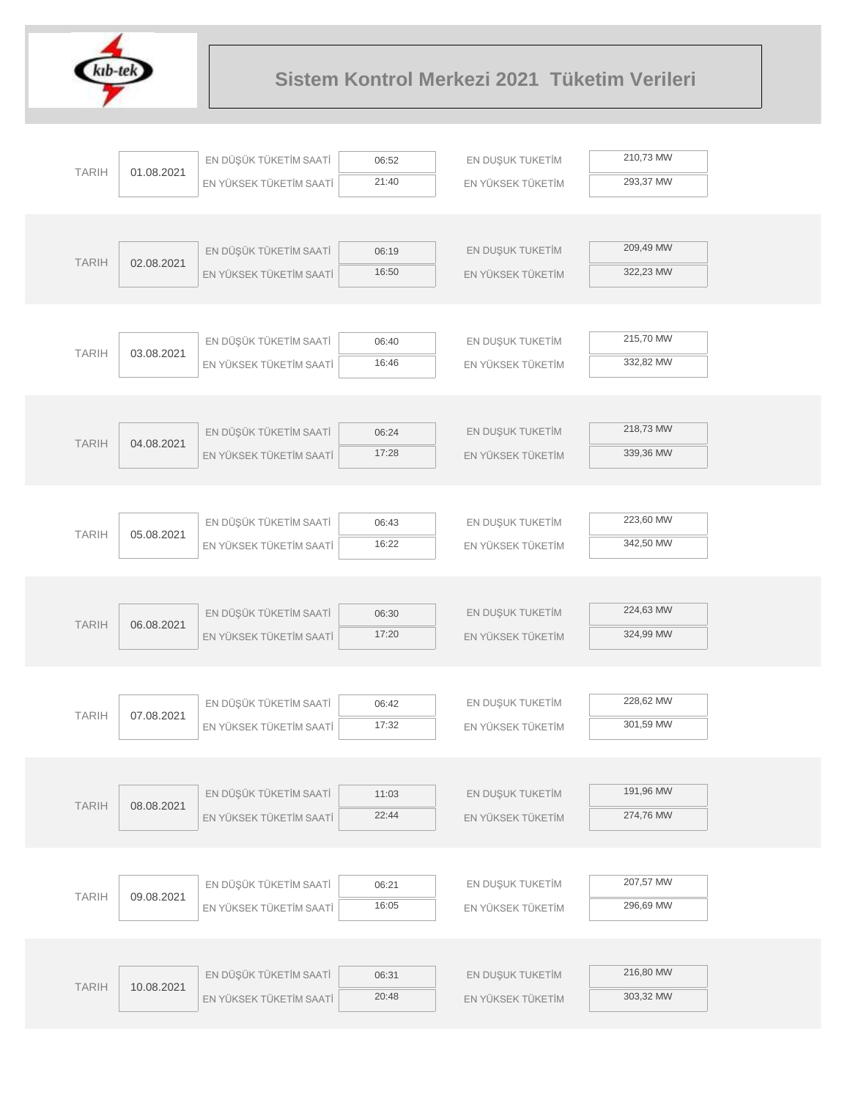

|              |            | EN DÜŞÜK TÜKETİM SAATİ  | 06:52          | EN DUŞUK TUKETİM  | 210,73 MW |  |
|--------------|------------|-------------------------|----------------|-------------------|-----------|--|
| <b>TARIH</b> | 01.08.2021 | EN YÜKSEK TÜKETİM SAATİ | 21:40          | EN YÜKSEK TÜKETİM | 293,37 MW |  |
|              |            |                         |                |                   |           |  |
|              |            |                         |                |                   |           |  |
| <b>TARIH</b> | 02.08.2021 | EN DÜŞÜK TÜKETİM SAATİ  | 06:19          | EN DUŞUK TUKETİM  | 209,49 MW |  |
|              |            | EN YÜKSEK TÜKETİM SAATİ | 16:50          | EN YÜKSEK TÜKETİM | 322,23 MW |  |
|              |            |                         |                |                   |           |  |
|              |            |                         |                |                   |           |  |
| <b>TARIH</b> | 03.08.2021 | EN DÜŞÜK TÜKETİM SAATİ  | 06:40          | EN DUŞUK TUKETİM  | 215,70 MW |  |
|              |            | EN YÜKSEK TÜKETİM SAATİ | 16:46          | EN YÜKSEK TÜKETİM | 332,82 MW |  |
|              |            |                         |                |                   |           |  |
|              |            |                         |                |                   |           |  |
| <b>TARIH</b> | 04.08.2021 | EN DÜŞÜK TÜKETİM SAATİ  | 06:24          | EN DUŞUK TUKETİM  | 218,73 MW |  |
|              |            | EN YÜKSEK TÜKETİM SAATİ | 17:28          | EN YÜKSEK TÜKETİM | 339,36 MW |  |
|              |            |                         |                |                   |           |  |
|              |            | EN DÜŞÜK TÜKETİM SAATİ  | 06:43          | EN DUŞUK TUKETİM  | 223,60 MW |  |
| <b>TARIH</b> | 05.08.2021 | EN YÜKSEK TÜKETİM SAATİ | 16:22          | EN YÜKSEK TÜKETİM | 342,50 MW |  |
|              |            |                         |                |                   |           |  |
|              |            |                         |                |                   |           |  |
|              |            | EN DÜŞÜK TÜKETİM SAATİ  | 06:30          | EN DUŞUK TUKETİM  | 224,63 MW |  |
| <b>TARIH</b> | 06.08.2021 | EN YÜKSEK TÜKETİM SAATİ | 17:20          | EN YÜKSEK TÜKETİM | 324,99 MW |  |
|              |            |                         |                |                   |           |  |
|              |            |                         |                |                   |           |  |
|              |            | EN DÜŞÜK TÜKETİM SAATİ  | 06:42          | EN DUŞUK TUKETİM  | 228,62 MW |  |
| <b>TARIH</b> | 07.08.2021 | EN YÜKSEK TÜKETİM SAATİ | 17:32          | EN YÜKSEK TÜKETİM | 301,59 MW |  |
|              |            |                         |                |                   |           |  |
|              |            |                         |                |                   |           |  |
| <b>TARIH</b> | 08.08.2021 | EN DÜŞÜK TÜKETİM SAATİ  | 11:03          | EN DUŞUK TUKETİM  | 191,96 MW |  |
|              |            | EN YÜKSEK TÜKETİM SAATİ | 22:44          | EN YÜKSEK TÜKETİM | 274,76 MW |  |
|              |            |                         |                |                   |           |  |
|              |            |                         |                |                   |           |  |
| <b>TARIH</b> | 09.08.2021 | EN DÜŞÜK TÜKETİM SAATİ  | 06:21          | EN DUŞUK TUKETİM  | 207,57 MW |  |
|              |            | EN YÜKSEK TÜKETİM SAATİ | 16:05          | EN YÜKSEK TÜKETİM | 296,69 MW |  |
|              |            |                         |                |                   |           |  |
|              |            |                         |                |                   | 216,80 MW |  |
| <b>TARIH</b> | 10.08.2021 | EN DÜŞÜK TÜKETİM SAATİ  | 06:31<br>20:48 | EN DUŞUK TUKETİM  | 303,32 MW |  |
|              |            | EN YÜKSEK TÜKETİM SAATİ |                | EN YÜKSEK TÜKETİM |           |  |
|              |            |                         |                |                   |           |  |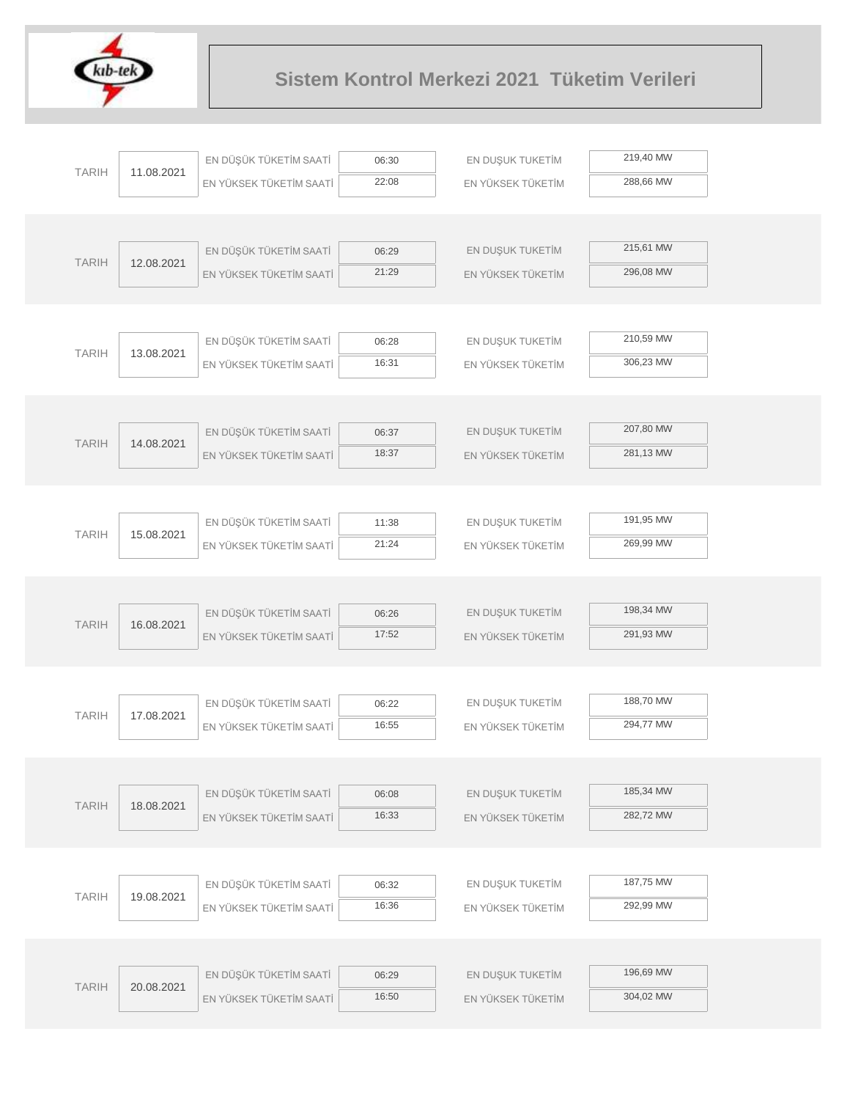

|              |            | EN DÜŞÜK TÜKETİM SAATİ  | 06:30          | EN DUŞUK TUKETİM  | 219,40 MW |  |
|--------------|------------|-------------------------|----------------|-------------------|-----------|--|
| <b>TARIH</b> | 11.08.2021 | EN YÜKSEK TÜKETİM SAATİ | 22:08          | EN YÜKSEK TÜKETİM | 288,66 MW |  |
|              |            |                         |                |                   |           |  |
|              |            |                         |                |                   |           |  |
|              |            | EN DÜŞÜK TÜKETİM SAATİ  | 06:29          | EN DUŞUK TUKETİM  | 215,61 MW |  |
| <b>TARIH</b> | 12.08.2021 | EN YÜKSEK TÜKETİM SAATİ | 21:29          | EN YÜKSEK TÜKETİM | 296,08 MW |  |
|              |            |                         |                |                   |           |  |
|              |            |                         |                |                   |           |  |
| <b>TARIH</b> | 13.08.2021 | EN DÜŞÜK TÜKETİM SAATİ  | 06:28          | EN DUŞUK TUKETİM  | 210,59 MW |  |
|              |            | EN YÜKSEK TÜKETİM SAATİ | 16:31          | EN YÜKSEK TÜKETİM | 306,23 MW |  |
|              |            |                         |                |                   |           |  |
|              |            |                         |                |                   | 207,80 MW |  |
| <b>TARIH</b> | 14.08.2021 | EN DÜŞÜK TÜKETİM SAATİ  | 06:37<br>18:37 | EN DUŞUK TUKETİM  | 281,13 MW |  |
|              |            | EN YÜKSEK TÜKETİM SAATİ |                | EN YÜKSEK TÜKETİM |           |  |
|              |            |                         |                |                   |           |  |
|              |            | EN DÜŞÜK TÜKETİM SAATİ  | 11:38          | EN DUŞUK TUKETİM  | 191,95 MW |  |
| <b>TARIH</b> | 15.08.2021 | EN YÜKSEK TÜKETİM SAATİ | 21:24          | EN YÜKSEK TÜKETİM | 269,99 MW |  |
|              |            |                         |                |                   |           |  |
|              |            |                         |                |                   |           |  |
|              |            | EN DÜŞÜK TÜKETİM SAATİ  | 06:26          | EN DUŞUK TUKETİM  | 198,34 MW |  |
| <b>TARIH</b> | 16.08.2021 | EN YÜKSEK TÜKETİM SAATİ | 17:52          | EN YÜKSEK TÜKETİM | 291,93 MW |  |
|              |            |                         |                |                   |           |  |
|              |            |                         |                |                   |           |  |
| <b>TARIH</b> | 17.08.2021 | EN DÜŞÜK TÜKETİM SAATİ  | 06:22          | EN DUŞUK TUKETİM  | 188,70 MW |  |
|              |            | EN YÜKSEK TÜKETİM SAATİ | 16:55          | EN YÜKSEK TÜKETİM | 294,77 MW |  |
|              |            |                         |                |                   |           |  |
|              |            | EN DÜŞÜK TÜKETİM SAATİ  | 06:08          | EN DUŞUK TUKETİM  | 185,34 MW |  |
| <b>TARIH</b> | 18.08.2021 | EN YÜKSEK TÜKETİM SAATİ | 16:33          | EN YÜKSEK TÜKETİM | 282,72 MW |  |
|              |            |                         |                |                   |           |  |
|              |            |                         |                |                   |           |  |
|              |            | EN DÜŞÜK TÜKETİM SAATİ  | 06:32          | EN DUŞUK TUKETİM  | 187,75 MW |  |
| <b>TARIH</b> | 19.08.2021 | EN YÜKSEK TÜKETİM SAATİ | 16:36          | EN YÜKSEK TÜKETİM | 292,99 MW |  |
|              |            |                         |                |                   |           |  |
|              |            |                         |                |                   |           |  |
| <b>TARIH</b> | 20.08.2021 | EN DÜŞÜK TÜKETİM SAATİ  | 06:29          | EN DUŞUK TUKETİM  | 196,69 MW |  |
|              |            | EN YÜKSEK TÜKETİM SAATİ | 16:50          | EN YÜKSEK TÜKETİM | 304,02 MW |  |
|              |            |                         |                |                   |           |  |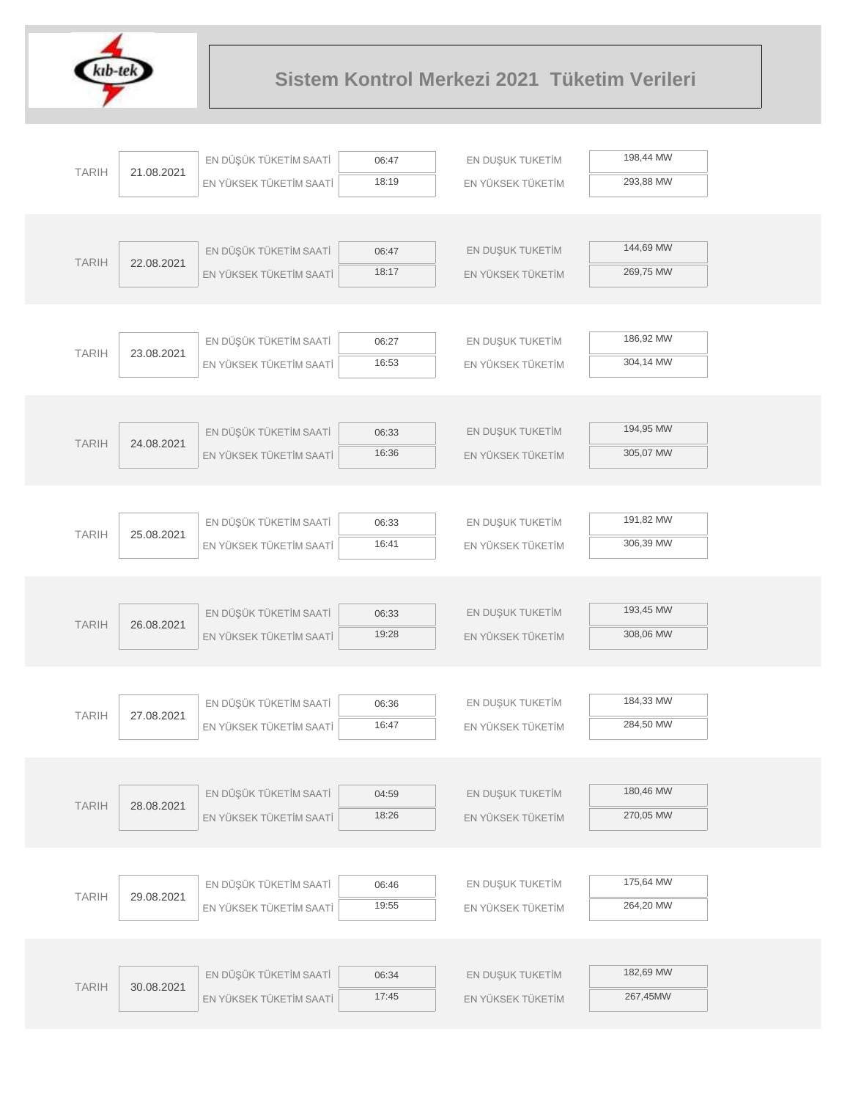

|              |            | EN DÜŞÜK TÜKETİM SAATİ  | 06:47 | EN DUŞUK TUKETİM  | 198,44 MW |  |
|--------------|------------|-------------------------|-------|-------------------|-----------|--|
| <b>TARIH</b> | 21.08.2021 | EN YÜKSEK TÜKETİM SAATİ | 18:19 | EN YÜKSEK TÜKETİM | 293,88 MW |  |
|              |            |                         |       |                   |           |  |
|              |            |                         |       |                   |           |  |
| <b>TARIH</b> | 22.08.2021 | EN DÜŞÜK TÜKETİM SAATİ  | 06:47 | EN DUŞUK TUKETİM  | 144,69 MW |  |
|              |            | EN YÜKSEK TÜKETİM SAATİ | 18:17 | EN YÜKSEK TÜKETİM | 269,75 MW |  |
|              |            |                         |       |                   |           |  |
|              |            |                         |       |                   |           |  |
| <b>TARIH</b> | 23.08.2021 | EN DÜŞÜK TÜKETİM SAATİ  | 06:27 | EN DUŞUK TUKETİM  | 186,92 MW |  |
|              |            | EN YÜKSEK TÜKETİM SAATİ | 16:53 | EN YÜKSEK TÜKETİM | 304,14 MW |  |
|              |            |                         |       |                   |           |  |
|              |            |                         |       |                   |           |  |
| <b>TARIH</b> | 24.08.2021 | EN DÜŞÜK TÜKETİM SAATİ  | 06:33 | EN DUŞUK TUKETİM  | 194,95 MW |  |
|              |            | EN YÜKSEK TÜKETİM SAATİ | 16:36 | EN YÜKSEK TÜKETİM | 305,07 MW |  |
|              |            |                         |       |                   |           |  |
|              |            | EN DÜŞÜK TÜKETİM SAATİ  | 06:33 | EN DUŞUK TUKETİM  | 191,82 MW |  |
| <b>TARIH</b> | 25.08.2021 |                         | 16:41 |                   | 306,39 MW |  |
|              |            | EN YÜKSEK TÜKETİM SAATİ |       | EN YÜKSEK TÜKETİM |           |  |
|              |            |                         |       |                   |           |  |
|              |            | EN DÜŞÜK TÜKETİM SAATİ  | 06:33 | EN DUŞUK TUKETİM  | 193,45 MW |  |
| <b>TARIH</b> | 26.08.2021 | EN YÜKSEK TÜKETİM SAATİ | 19:28 | EN YÜKSEK TÜKETİM | 308,06 MW |  |
|              |            |                         |       |                   |           |  |
|              |            |                         |       |                   |           |  |
|              |            | EN DÜŞÜK TÜKETİM SAATİ  | 06:36 | EN DUŞUK TUKETİM  | 184,33 MW |  |
| <b>TARIH</b> | 27.08.2021 | EN YÜKSEK TÜKETİM SAATİ | 16:47 | EN YÜKSEK TÜKETİM | 284,50 MW |  |
|              |            |                         |       |                   |           |  |
|              |            |                         |       |                   |           |  |
| <b>TARIH</b> | 28.08.2021 | EN DÜŞÜK TÜKETİM SAATİ  | 04:59 | EN DUŞUK TUKETİM  | 180,46 MW |  |
|              |            | EN YÜKSEK TÜKETİM SAATİ | 18:26 | EN YÜKSEK TÜKETİM | 270,05 MW |  |
|              |            |                         |       |                   |           |  |
|              |            |                         |       |                   |           |  |
| <b>TARIH</b> | 29.08.2021 | EN DÜŞÜK TÜKETİM SAATİ  | 06:46 | EN DUŞUK TUKETİM  | 175,64 MW |  |
|              |            | EN YÜKSEK TÜKETİM SAATİ | 19:55 | EN YÜKSEK TÜKETİM | 264,20 MW |  |
|              |            |                         |       |                   |           |  |
|              |            |                         |       |                   | 182,69 MW |  |
| <b>TARIH</b> | 30.08.2021 | EN DÜŞÜK TÜKETİM SAATİ  | 06:34 | EN DUŞUK TUKETİM  |           |  |
|              |            | EN YÜKSEK TÜKETİM SAATİ | 17:45 | EN YÜKSEK TÜKETİM | 267,45MW  |  |
|              |            |                         |       |                   |           |  |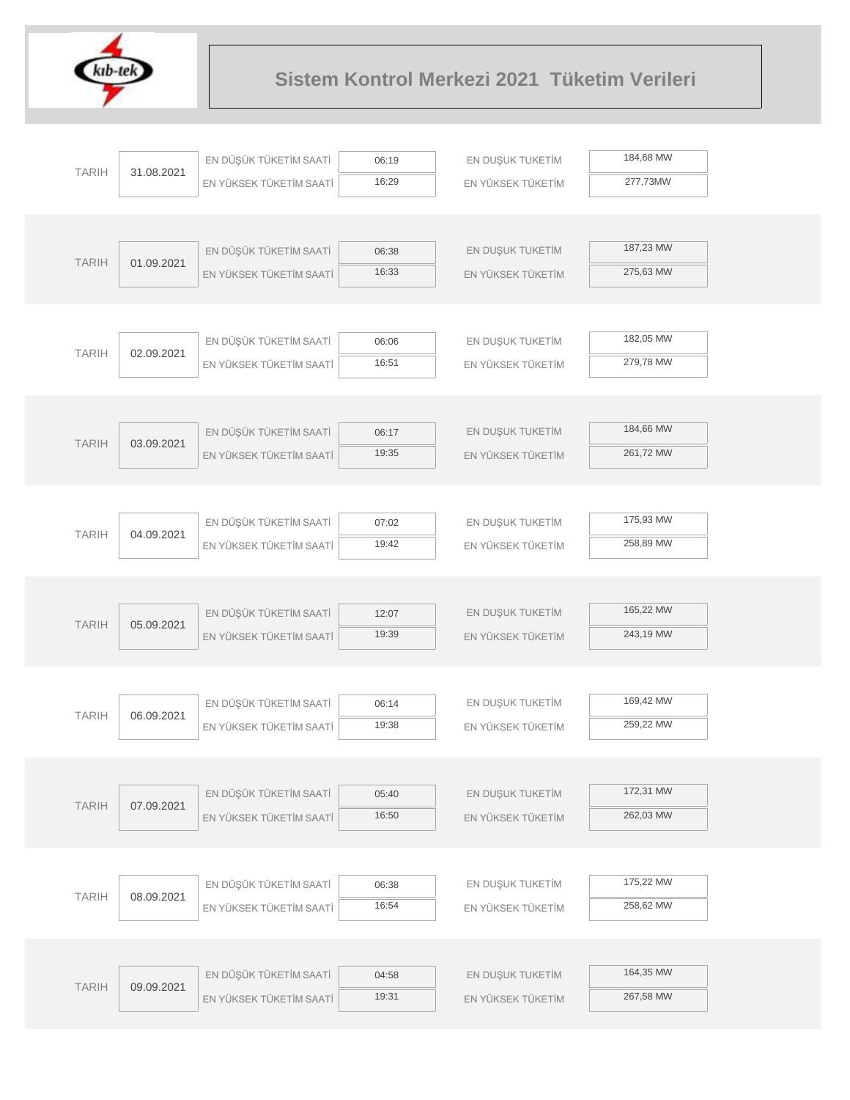

|              |            | EN DÜŞÜK TÜKETİM SAATİ  | 06:19          | EN DUŞUK TUKETİM  | 184,68 MW |  |
|--------------|------------|-------------------------|----------------|-------------------|-----------|--|
| <b>TARIH</b> | 31.08.2021 | EN YÜKSEK TÜKETİM SAATİ | 16:29          | EN YÜKSEK TÜKETİM | 277,73MW  |  |
|              |            |                         |                |                   |           |  |
|              |            |                         |                |                   |           |  |
| <b>TARIH</b> | 01.09.2021 | EN DÜŞÜK TÜKETİM SAATİ  | 06:38          | EN DUŞUK TUKETİM  | 187,23 MW |  |
|              |            | EN YÜKSEK TÜKETİM SAATİ | 16:33          | EN YÜKSEK TÜKETİM | 275,63 MW |  |
|              |            |                         |                |                   |           |  |
|              |            |                         |                |                   |           |  |
| <b>TARIH</b> | 02.09.2021 | EN DÜŞÜK TÜKETİM SAATİ  | 06:06          | EN DUŞUK TUKETİM  | 182,05 MW |  |
|              |            | EN YÜKSEK TÜKETİM SAATİ | 16:51          | EN YÜKSEK TÜKETİM | 279,78 MW |  |
|              |            |                         |                |                   |           |  |
|              |            | EN DÜŞÜK TÜKETİM SAATİ  | 06:17          | EN DUŞUK TUKETİM  | 184,66 MW |  |
| <b>TARIH</b> | 03.09.2021 | EN YÜKSEK TÜKETİM SAATİ | 19:35          | EN YÜKSEK TÜKETİM | 261,72 MW |  |
|              |            |                         |                |                   |           |  |
|              |            |                         |                |                   |           |  |
|              |            | EN DÜŞÜK TÜKETİM SAATİ  | 07:02          | EN DUŞUK TUKETİM  | 175,93 MW |  |
| <b>TARIH</b> | 04.09.2021 | EN YÜKSEK TÜKETİM SAATİ | 19:42          | EN YÜKSEK TÜKETİM | 258,89 MW |  |
|              |            |                         |                |                   |           |  |
|              |            |                         |                |                   |           |  |
|              |            | EN DÜŞÜK TÜKETİM SAATİ  | 12:07          | EN DUŞUK TUKETİM  | 165,22 MW |  |
| <b>TARIH</b> | 05.09.2021 | EN YÜKSEK TÜKETİM SAATİ | 19:39          | EN YÜKSEK TÜKETİM | 243,19 MW |  |
|              |            |                         |                |                   |           |  |
|              |            |                         |                |                   |           |  |
| <b>TARIH</b> | 06.09.2021 | EN DÜŞÜK TÜKETİM SAATİ  | 06:14          | EN DUŞUK TUKETİM  | 169,42 MW |  |
|              |            | EN YÜKSEK TÜKETİM SAATİ | 19:38          | EN YÜKSEK TÜKETİM | 259,22 MW |  |
|              |            |                         |                |                   |           |  |
|              |            |                         |                |                   | 172,31 MW |  |
| <b>TARIH</b> | 07.09.2021 | EN DÜŞÜK TÜKETİM SAATİ  | 05:40<br>16:50 | EN DUŞUK TUKETİM  | 262,03 MW |  |
|              |            | EN YÜKSEK TÜKETİM SAATİ |                | EN YÜKSEK TÜKETİM |           |  |
|              |            |                         |                |                   |           |  |
|              |            | EN DÜŞÜK TÜKETİM SAATİ  | 06:38          | EN DUŞUK TUKETİM  | 175,22 MW |  |
| <b>TARIH</b> | 08.09.2021 | EN YÜKSEK TÜKETİM SAATİ | 16:54          | EN YÜKSEK TÜKETİM | 258,62 MW |  |
|              |            |                         |                |                   |           |  |
|              |            |                         |                |                   |           |  |
|              |            | EN DÜŞÜK TÜKETİM SAATİ  | 04:58          | EN DUŞUK TUKETİM  | 164,35 MW |  |
| <b>TARIH</b> | 09.09.2021 | EN YÜKSEK TÜKETİM SAATİ | 19:31          | EN YÜKSEK TÜKETİM | 267,58 MW |  |
|              |            |                         |                |                   |           |  |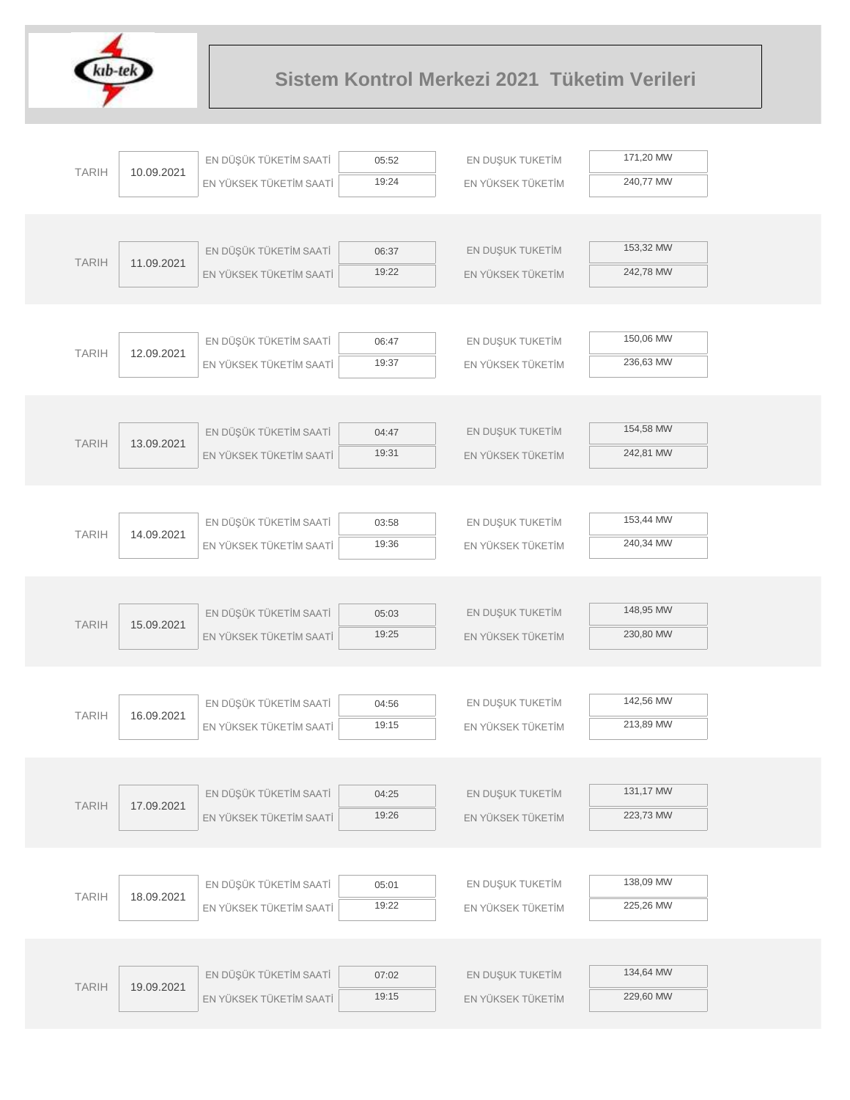

| 171,20 MW<br>EN DÜŞÜK TÜKETİM SAATİ<br>EN DUŞUK TUKETİM<br>05:52<br><b>TARIH</b><br>10.09.2021<br>19:24<br>240,77 MW<br>EN YÜKSEK TÜKETİM SAATİ<br>EN YÜKSEK TÜKETİM<br>153,32 MW<br>EN DÜŞÜK TÜKETİM SAATİ<br>EN DUŞUK TUKETİM<br>06:37<br><b>TARIH</b><br>11.09.2021<br>19:22<br>242,78 MW<br>EN YÜKSEK TÜKETİM SAATİ<br>EN YÜKSEK TÜKETİM<br>150,06 MW<br>EN DÜŞÜK TÜKETİM SAATİ<br>EN DUŞUK TUKETİM<br>06:47<br><b>TARIH</b><br>12.09.2021<br>19:37<br>236,63 MW<br>EN YÜKSEK TÜKETİM SAATİ<br>EN YÜKSEK TÜKETİM<br>154,58 MW<br>EN DÜŞÜK TÜKETİM SAATİ<br>EN DUŞUK TUKETİM<br>04:47<br><b>TARIH</b><br>13.09.2021<br>19:31<br>242,81 MW<br>EN YÜKSEK TÜKETİM SAATİ<br>EN YÜKSEK TÜKETİM<br>153,44 MW<br>EN DÜŞÜK TÜKETİM SAATİ<br>EN DUŞUK TUKETİM<br>03:58<br><b>TARIH</b><br>14.09.2021<br>19:36<br>240,34 MW<br>EN YÜKSEK TÜKETİM SAATİ<br>EN YÜKSEK TÜKETİM<br>148,95 MW<br>EN DÜŞÜK TÜKETİM SAATİ<br>EN DUŞUK TUKETİM<br>05:03<br><b>TARIH</b><br>15.09.2021<br>19:25<br>230,80 MW<br>EN YÜKSEK TÜKETİM SAATİ<br>EN YÜKSEK TÜKETİM<br>142,56 MW<br>EN DÜŞÜK TÜKETİM SAATİ<br>EN DUŞUK TUKETİM<br>04:56<br><b>TARIH</b><br>16.09.2021<br>19:15<br>213,89 MW<br>EN YÜKSEK TÜKETİM SAATİ<br>EN YÜKSEK TÜKETİM<br>131,17 MW<br>EN DÜŞÜK TÜKETİM SAATİ<br>EN DUŞUK TUKETİM<br>04:25<br><b>TARIH</b><br>17.09.2021<br>223,73 MW<br>19:26<br>EN YÜKSEK TÜKETİM SAATİ<br>EN YÜKSEK TÜKETİM<br>138,09 MW<br>EN DÜŞÜK TÜKETİM SAATİ<br>EN DUŞUK TUKETİM<br>05:01<br><b>TARIH</b><br>18.09.2021<br>225,26 MW<br>19:22<br>EN YÜKSEK TÜKETİM SAATİ<br>EN YÜKSEK TÜKETİM<br>134,64 MW<br>EN DÜŞÜK TÜKETİM SAATİ<br>EN DUŞUK TUKETİM<br>07:02<br><b>TARIH</b><br>19.09.2021<br>229,60 MW<br>19:15<br>EN YÜKSEK TÜKETİM SAATİ<br>EN YÜKSEK TÜKETİM |  |  |  |  |
|----------------------------------------------------------------------------------------------------------------------------------------------------------------------------------------------------------------------------------------------------------------------------------------------------------------------------------------------------------------------------------------------------------------------------------------------------------------------------------------------------------------------------------------------------------------------------------------------------------------------------------------------------------------------------------------------------------------------------------------------------------------------------------------------------------------------------------------------------------------------------------------------------------------------------------------------------------------------------------------------------------------------------------------------------------------------------------------------------------------------------------------------------------------------------------------------------------------------------------------------------------------------------------------------------------------------------------------------------------------------------------------------------------------------------------------------------------------------------------------------------------------------------------------------------------------------------------------------------------------------------------------------------------------------------------------------------------------------------------------------|--|--|--|--|
|                                                                                                                                                                                                                                                                                                                                                                                                                                                                                                                                                                                                                                                                                                                                                                                                                                                                                                                                                                                                                                                                                                                                                                                                                                                                                                                                                                                                                                                                                                                                                                                                                                                                                                                                              |  |  |  |  |
|                                                                                                                                                                                                                                                                                                                                                                                                                                                                                                                                                                                                                                                                                                                                                                                                                                                                                                                                                                                                                                                                                                                                                                                                                                                                                                                                                                                                                                                                                                                                                                                                                                                                                                                                              |  |  |  |  |
|                                                                                                                                                                                                                                                                                                                                                                                                                                                                                                                                                                                                                                                                                                                                                                                                                                                                                                                                                                                                                                                                                                                                                                                                                                                                                                                                                                                                                                                                                                                                                                                                                                                                                                                                              |  |  |  |  |
|                                                                                                                                                                                                                                                                                                                                                                                                                                                                                                                                                                                                                                                                                                                                                                                                                                                                                                                                                                                                                                                                                                                                                                                                                                                                                                                                                                                                                                                                                                                                                                                                                                                                                                                                              |  |  |  |  |
|                                                                                                                                                                                                                                                                                                                                                                                                                                                                                                                                                                                                                                                                                                                                                                                                                                                                                                                                                                                                                                                                                                                                                                                                                                                                                                                                                                                                                                                                                                                                                                                                                                                                                                                                              |  |  |  |  |
|                                                                                                                                                                                                                                                                                                                                                                                                                                                                                                                                                                                                                                                                                                                                                                                                                                                                                                                                                                                                                                                                                                                                                                                                                                                                                                                                                                                                                                                                                                                                                                                                                                                                                                                                              |  |  |  |  |
|                                                                                                                                                                                                                                                                                                                                                                                                                                                                                                                                                                                                                                                                                                                                                                                                                                                                                                                                                                                                                                                                                                                                                                                                                                                                                                                                                                                                                                                                                                                                                                                                                                                                                                                                              |  |  |  |  |
|                                                                                                                                                                                                                                                                                                                                                                                                                                                                                                                                                                                                                                                                                                                                                                                                                                                                                                                                                                                                                                                                                                                                                                                                                                                                                                                                                                                                                                                                                                                                                                                                                                                                                                                                              |  |  |  |  |
|                                                                                                                                                                                                                                                                                                                                                                                                                                                                                                                                                                                                                                                                                                                                                                                                                                                                                                                                                                                                                                                                                                                                                                                                                                                                                                                                                                                                                                                                                                                                                                                                                                                                                                                                              |  |  |  |  |
|                                                                                                                                                                                                                                                                                                                                                                                                                                                                                                                                                                                                                                                                                                                                                                                                                                                                                                                                                                                                                                                                                                                                                                                                                                                                                                                                                                                                                                                                                                                                                                                                                                                                                                                                              |  |  |  |  |
|                                                                                                                                                                                                                                                                                                                                                                                                                                                                                                                                                                                                                                                                                                                                                                                                                                                                                                                                                                                                                                                                                                                                                                                                                                                                                                                                                                                                                                                                                                                                                                                                                                                                                                                                              |  |  |  |  |
|                                                                                                                                                                                                                                                                                                                                                                                                                                                                                                                                                                                                                                                                                                                                                                                                                                                                                                                                                                                                                                                                                                                                                                                                                                                                                                                                                                                                                                                                                                                                                                                                                                                                                                                                              |  |  |  |  |
|                                                                                                                                                                                                                                                                                                                                                                                                                                                                                                                                                                                                                                                                                                                                                                                                                                                                                                                                                                                                                                                                                                                                                                                                                                                                                                                                                                                                                                                                                                                                                                                                                                                                                                                                              |  |  |  |  |
|                                                                                                                                                                                                                                                                                                                                                                                                                                                                                                                                                                                                                                                                                                                                                                                                                                                                                                                                                                                                                                                                                                                                                                                                                                                                                                                                                                                                                                                                                                                                                                                                                                                                                                                                              |  |  |  |  |
|                                                                                                                                                                                                                                                                                                                                                                                                                                                                                                                                                                                                                                                                                                                                                                                                                                                                                                                                                                                                                                                                                                                                                                                                                                                                                                                                                                                                                                                                                                                                                                                                                                                                                                                                              |  |  |  |  |
|                                                                                                                                                                                                                                                                                                                                                                                                                                                                                                                                                                                                                                                                                                                                                                                                                                                                                                                                                                                                                                                                                                                                                                                                                                                                                                                                                                                                                                                                                                                                                                                                                                                                                                                                              |  |  |  |  |
|                                                                                                                                                                                                                                                                                                                                                                                                                                                                                                                                                                                                                                                                                                                                                                                                                                                                                                                                                                                                                                                                                                                                                                                                                                                                                                                                                                                                                                                                                                                                                                                                                                                                                                                                              |  |  |  |  |
|                                                                                                                                                                                                                                                                                                                                                                                                                                                                                                                                                                                                                                                                                                                                                                                                                                                                                                                                                                                                                                                                                                                                                                                                                                                                                                                                                                                                                                                                                                                                                                                                                                                                                                                                              |  |  |  |  |
|                                                                                                                                                                                                                                                                                                                                                                                                                                                                                                                                                                                                                                                                                                                                                                                                                                                                                                                                                                                                                                                                                                                                                                                                                                                                                                                                                                                                                                                                                                                                                                                                                                                                                                                                              |  |  |  |  |
|                                                                                                                                                                                                                                                                                                                                                                                                                                                                                                                                                                                                                                                                                                                                                                                                                                                                                                                                                                                                                                                                                                                                                                                                                                                                                                                                                                                                                                                                                                                                                                                                                                                                                                                                              |  |  |  |  |
|                                                                                                                                                                                                                                                                                                                                                                                                                                                                                                                                                                                                                                                                                                                                                                                                                                                                                                                                                                                                                                                                                                                                                                                                                                                                                                                                                                                                                                                                                                                                                                                                                                                                                                                                              |  |  |  |  |
|                                                                                                                                                                                                                                                                                                                                                                                                                                                                                                                                                                                                                                                                                                                                                                                                                                                                                                                                                                                                                                                                                                                                                                                                                                                                                                                                                                                                                                                                                                                                                                                                                                                                                                                                              |  |  |  |  |
|                                                                                                                                                                                                                                                                                                                                                                                                                                                                                                                                                                                                                                                                                                                                                                                                                                                                                                                                                                                                                                                                                                                                                                                                                                                                                                                                                                                                                                                                                                                                                                                                                                                                                                                                              |  |  |  |  |
|                                                                                                                                                                                                                                                                                                                                                                                                                                                                                                                                                                                                                                                                                                                                                                                                                                                                                                                                                                                                                                                                                                                                                                                                                                                                                                                                                                                                                                                                                                                                                                                                                                                                                                                                              |  |  |  |  |
|                                                                                                                                                                                                                                                                                                                                                                                                                                                                                                                                                                                                                                                                                                                                                                                                                                                                                                                                                                                                                                                                                                                                                                                                                                                                                                                                                                                                                                                                                                                                                                                                                                                                                                                                              |  |  |  |  |
|                                                                                                                                                                                                                                                                                                                                                                                                                                                                                                                                                                                                                                                                                                                                                                                                                                                                                                                                                                                                                                                                                                                                                                                                                                                                                                                                                                                                                                                                                                                                                                                                                                                                                                                                              |  |  |  |  |
|                                                                                                                                                                                                                                                                                                                                                                                                                                                                                                                                                                                                                                                                                                                                                                                                                                                                                                                                                                                                                                                                                                                                                                                                                                                                                                                                                                                                                                                                                                                                                                                                                                                                                                                                              |  |  |  |  |
|                                                                                                                                                                                                                                                                                                                                                                                                                                                                                                                                                                                                                                                                                                                                                                                                                                                                                                                                                                                                                                                                                                                                                                                                                                                                                                                                                                                                                                                                                                                                                                                                                                                                                                                                              |  |  |  |  |
|                                                                                                                                                                                                                                                                                                                                                                                                                                                                                                                                                                                                                                                                                                                                                                                                                                                                                                                                                                                                                                                                                                                                                                                                                                                                                                                                                                                                                                                                                                                                                                                                                                                                                                                                              |  |  |  |  |
|                                                                                                                                                                                                                                                                                                                                                                                                                                                                                                                                                                                                                                                                                                                                                                                                                                                                                                                                                                                                                                                                                                                                                                                                                                                                                                                                                                                                                                                                                                                                                                                                                                                                                                                                              |  |  |  |  |
|                                                                                                                                                                                                                                                                                                                                                                                                                                                                                                                                                                                                                                                                                                                                                                                                                                                                                                                                                                                                                                                                                                                                                                                                                                                                                                                                                                                                                                                                                                                                                                                                                                                                                                                                              |  |  |  |  |
|                                                                                                                                                                                                                                                                                                                                                                                                                                                                                                                                                                                                                                                                                                                                                                                                                                                                                                                                                                                                                                                                                                                                                                                                                                                                                                                                                                                                                                                                                                                                                                                                                                                                                                                                              |  |  |  |  |
|                                                                                                                                                                                                                                                                                                                                                                                                                                                                                                                                                                                                                                                                                                                                                                                                                                                                                                                                                                                                                                                                                                                                                                                                                                                                                                                                                                                                                                                                                                                                                                                                                                                                                                                                              |  |  |  |  |
|                                                                                                                                                                                                                                                                                                                                                                                                                                                                                                                                                                                                                                                                                                                                                                                                                                                                                                                                                                                                                                                                                                                                                                                                                                                                                                                                                                                                                                                                                                                                                                                                                                                                                                                                              |  |  |  |  |
|                                                                                                                                                                                                                                                                                                                                                                                                                                                                                                                                                                                                                                                                                                                                                                                                                                                                                                                                                                                                                                                                                                                                                                                                                                                                                                                                                                                                                                                                                                                                                                                                                                                                                                                                              |  |  |  |  |
|                                                                                                                                                                                                                                                                                                                                                                                                                                                                                                                                                                                                                                                                                                                                                                                                                                                                                                                                                                                                                                                                                                                                                                                                                                                                                                                                                                                                                                                                                                                                                                                                                                                                                                                                              |  |  |  |  |
|                                                                                                                                                                                                                                                                                                                                                                                                                                                                                                                                                                                                                                                                                                                                                                                                                                                                                                                                                                                                                                                                                                                                                                                                                                                                                                                                                                                                                                                                                                                                                                                                                                                                                                                                              |  |  |  |  |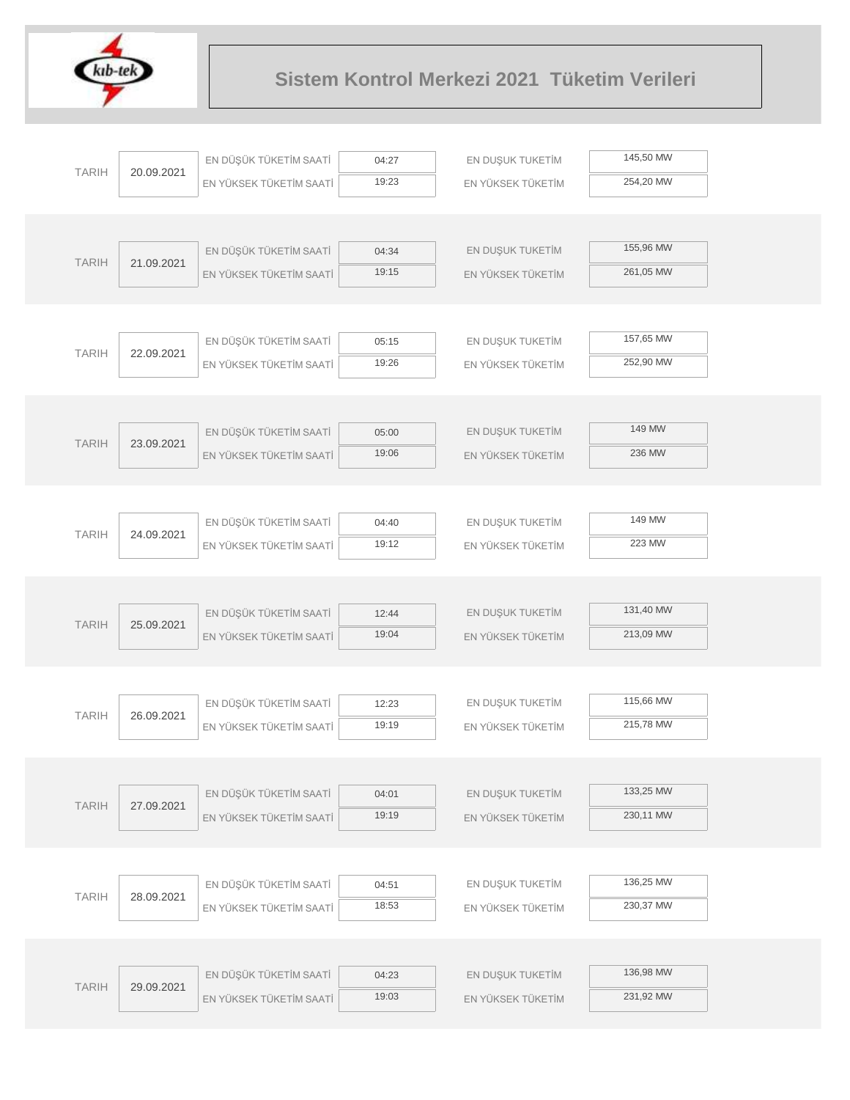

|              |            | EN DÜŞÜK TÜKETİM SAATİ  | 04:27          | EN DUŞUK TUKETİM                      | 145,50 MW |  |
|--------------|------------|-------------------------|----------------|---------------------------------------|-----------|--|
| <b>TARIH</b> | 20.09.2021 | EN YÜKSEK TÜKETİM SAATİ | 19:23          | EN YÜKSEK TÜKETİM                     | 254,20 MW |  |
|              |            |                         |                |                                       |           |  |
|              |            |                         |                |                                       |           |  |
| <b>TARIH</b> | 21.09.2021 | EN DÜŞÜK TÜKETİM SAATİ  | 04:34          | EN DUŞUK TUKETİM                      | 155,96 MW |  |
|              |            | EN YÜKSEK TÜKETİM SAATİ | 19:15          | EN YÜKSEK TÜKETİM                     | 261,05 MW |  |
|              |            |                         |                |                                       |           |  |
|              |            |                         |                |                                       |           |  |
| <b>TARIH</b> | 22.09.2021 | EN DÜŞÜK TÜKETİM SAATİ  | 05:15          | EN DUŞUK TUKETİM                      | 157,65 MW |  |
|              |            | EN YÜKSEK TÜKETİM SAATİ | 19:26          | EN YÜKSEK TÜKETİM                     | 252,90 MW |  |
|              |            |                         |                |                                       |           |  |
|              |            | EN DÜŞÜK TÜKETİM SAATİ  | 05:00          | EN DUŞUK TUKETİM                      | 149 MW    |  |
| <b>TARIH</b> | 23.09.2021 | EN YÜKSEK TÜKETİM SAATİ | 19:06          | EN YÜKSEK TÜKETİM                     | 236 MW    |  |
|              |            |                         |                |                                       |           |  |
|              |            |                         |                |                                       |           |  |
|              |            | EN DÜŞÜK TÜKETİM SAATİ  | 04:40          | EN DUŞUK TUKETİM                      | 149 MW    |  |
| <b>TARIH</b> | 24.09.2021 | EN YÜKSEK TÜKETİM SAATİ | 19:12          | EN YÜKSEK TÜKETİM                     | 223 MW    |  |
|              |            |                         |                |                                       |           |  |
|              |            |                         |                |                                       |           |  |
| <b>TARIH</b> |            | EN DÜŞÜK TÜKETİM SAATİ  | 12:44          | EN DUŞUK TUKETİM                      | 131,40 MW |  |
|              | 25.09.2021 | EN YÜKSEK TÜKETİM SAATİ | 19:04          | EN YÜKSEK TÜKETİM                     | 213,09 MW |  |
|              |            |                         |                |                                       |           |  |
|              |            |                         |                |                                       |           |  |
| <b>TARIH</b> | 26.09.2021 | EN DÜŞÜK TÜKETİM SAATİ  | 12:23          | EN DUŞUK TUKETİM                      | 115,66 MW |  |
|              |            | EN YÜKSEK TÜKETİM SAATİ | 19:19          | EN YÜKSEK TÜKETİM                     | 215,78 MW |  |
|              |            |                         |                |                                       |           |  |
|              |            | EN DÜŞÜK TÜKETİM SAATİ  |                |                                       | 133,25 MW |  |
| <b>TARIH</b> | 27.09.2021 | EN YÜKSEK TÜKETİM SAATİ | 04:01<br>19:19 | EN DUŞUK TUKETİM<br>EN YÜKSEK TÜKETİM | 230,11 MW |  |
|              |            |                         |                |                                       |           |  |
|              |            |                         |                |                                       |           |  |
|              |            | EN DÜŞÜK TÜKETİM SAATİ  | 04:51          | EN DUŞUK TUKETİM                      | 136,25 MW |  |
| <b>TARIH</b> | 28.09.2021 | EN YÜKSEK TÜKETİM SAATİ | 18:53          | EN YÜKSEK TÜKETİM                     | 230,37 MW |  |
|              |            |                         |                |                                       |           |  |
|              |            |                         |                |                                       |           |  |
|              |            | EN DÜŞÜK TÜKETİM SAATİ  | 04:23          | EN DUŞUK TUKETİM                      | 136,98 MW |  |
| <b>TARIH</b> | 29.09.2021 | EN YÜKSEK TÜKETİM SAATİ | 19:03          | EN YÜKSEK TÜKETİM                     | 231,92 MW |  |
|              |            |                         |                |                                       |           |  |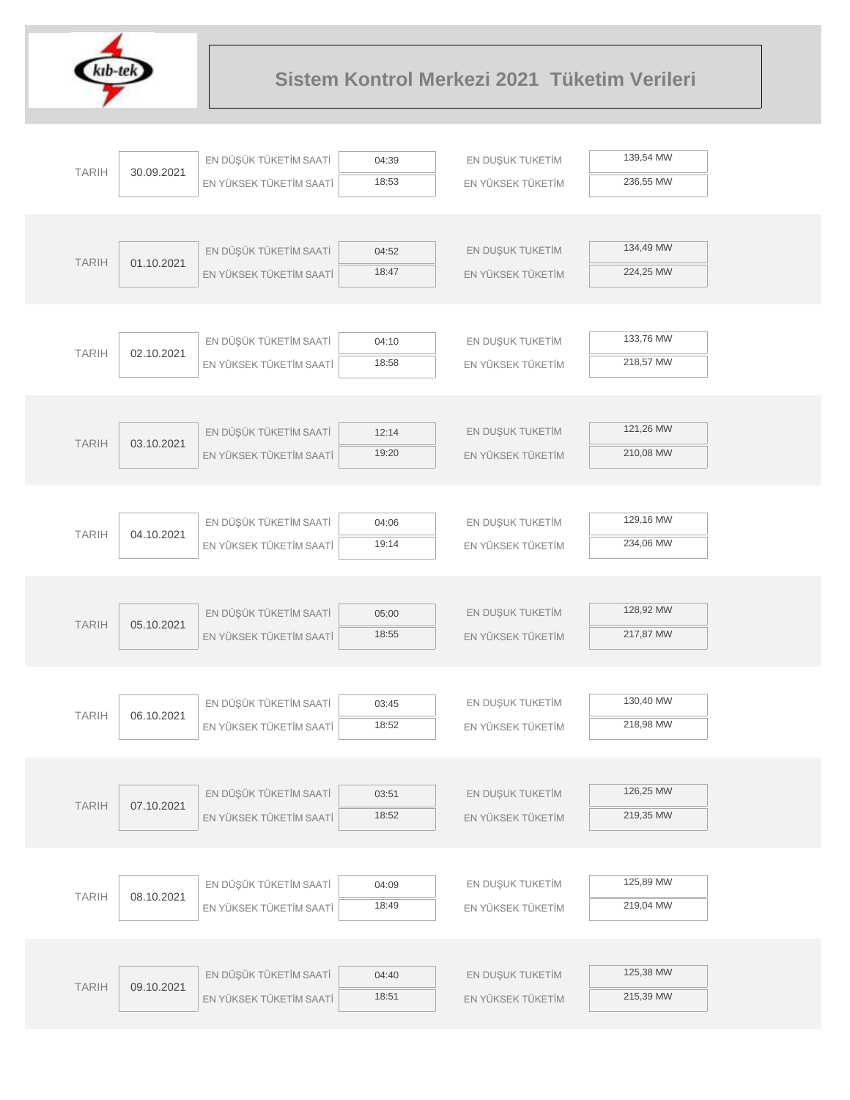

| <b>TARIH</b> | 30.09.2021 | EN DÜŞÜK TÜKETİM SAATİ  | 04:39 | EN DUŞUK TUKETİM  | 139,54 MW |  |
|--------------|------------|-------------------------|-------|-------------------|-----------|--|
|              |            | EN YÜKSEK TÜKETİM SAATİ | 18:53 | EN YÜKSEK TÜKETİM | 236,55 MW |  |
|              |            |                         |       |                   |           |  |
|              |            |                         |       |                   |           |  |
| <b>TARIH</b> | 01.10.2021 | EN DÜŞÜK TÜKETİM SAATİ  | 04:52 | EN DUŞUK TUKETİM  | 134,49 MW |  |
|              |            | EN YÜKSEK TÜKETİM SAATİ | 18:47 | EN YÜKSEK TÜKETİM | 224,25 MW |  |
|              |            |                         |       |                   |           |  |
|              |            |                         |       |                   |           |  |
| <b>TARIH</b> | 02.10.2021 | EN DÜŞÜK TÜKETİM SAATİ  | 04:10 | EN DUŞUK TUKETİM  | 133,76 MW |  |
|              |            | EN YÜKSEK TÜKETİM SAATİ | 18:58 | EN YÜKSEK TÜKETİM | 218,57 MW |  |
|              |            |                         |       |                   |           |  |
|              |            |                         |       |                   |           |  |
| <b>TARIH</b> |            | EN DÜŞÜK TÜKETİM SAATİ  | 12:14 | EN DUŞUK TUKETİM  | 121,26 MW |  |
|              | 03.10.2021 | EN YÜKSEK TÜKETİM SAATİ | 19:20 | EN YÜKSEK TÜKETİM | 210,08 MW |  |
|              |            |                         |       |                   |           |  |
|              |            |                         |       |                   |           |  |
|              |            | EN DÜŞÜK TÜKETİM SAATİ  | 04:06 | EN DUŞUK TUKETİM  | 129,16 MW |  |
| <b>TARIH</b> | 04.10.2021 | EN YÜKSEK TÜKETİM SAATİ | 19:14 | EN YÜKSEK TÜKETİM | 234,06 MW |  |
|              |            |                         |       |                   |           |  |
|              |            |                         |       |                   |           |  |
|              |            | EN DÜŞÜK TÜKETİM SAATİ  | 05:00 | EN DUŞUK TUKETİM  | 128,92 MW |  |
| <b>TARIH</b> | 05.10.2021 | EN YÜKSEK TÜKETİM SAATİ | 18:55 | EN YÜKSEK TÜKETİM | 217,87 MW |  |
|              |            |                         |       |                   |           |  |
|              |            |                         |       |                   |           |  |
|              |            | EN DÜŞÜK TÜKETİM SAATİ  | 03:45 | EN DUŞUK TUKETİM  | 130,40 MW |  |
| <b>TARIH</b> | 06.10.2021 | EN YÜKSEK TÜKETİM SAATİ | 18:52 | EN YÜKSEK TÜKETİM | 218,98 MW |  |
|              |            |                         |       |                   |           |  |
|              |            |                         |       |                   |           |  |
| <b>TARIH</b> | 07.10.2021 | EN DÜŞÜK TÜKETİM SAATİ  | 03:51 | EN DUŞUK TUKETİM  | 126,25 MW |  |
|              |            | EN YÜKSEK TÜKETİM SAATİ | 18:52 | EN YÜKSEK TÜKETİM | 219,35 MW |  |
|              |            |                         |       |                   |           |  |
|              |            |                         |       |                   |           |  |
| <b>TARIH</b> |            | EN DÜŞÜK TÜKETİM SAATİ  | 04:09 | EN DUŞUK TUKETİM  | 125,89 MW |  |
|              | 08.10.2021 | EN YÜKSEK TÜKETİM SAATİ | 18:49 | EN YÜKSEK TÜKETİM | 219,04 MW |  |
|              |            |                         |       |                   |           |  |
|              |            |                         |       |                   |           |  |
|              |            | EN DÜŞÜK TÜKETİM SAATİ  | 04:40 | EN DUŞUK TUKETİM  | 125,38 MW |  |
| <b>TARIH</b> | 09.10.2021 | EN YÜKSEK TÜKETİM SAATİ | 18:51 | EN YÜKSEK TÜKETİM | 215,39 MW |  |
|              |            |                         |       |                   |           |  |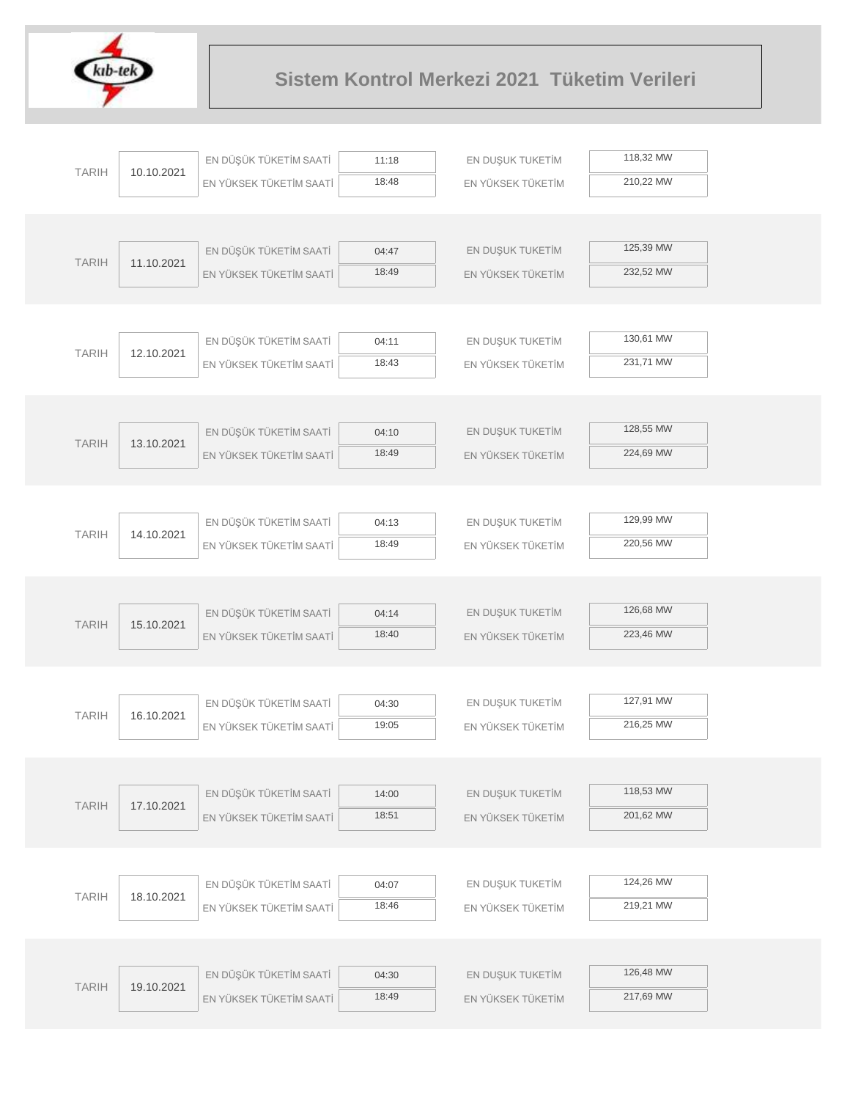

| <b>TARIH</b>               |                        | EN DÜŞÜK TÜKETİM SAATİ  | 11:18            | EN DUŞUK TUKETİM  | 118,32 MW |
|----------------------------|------------------------|-------------------------|------------------|-------------------|-----------|
|                            | 10.10.2021             | EN YÜKSEK TÜKETİM SAATİ | 18:48            | EN YÜKSEK TÜKETİM | 210,22 MW |
|                            |                        |                         |                  |                   |           |
|                            |                        |                         |                  |                   |           |
| <b>TARIH</b>               | 11.10.2021             | EN DÜŞÜK TÜKETİM SAATİ  | 04:47            | EN DUŞUK TUKETİM  | 125,39 MW |
|                            |                        | EN YÜKSEK TÜKETİM SAATİ | 18:49            | EN YÜKSEK TÜKETİM | 232,52 MW |
|                            |                        |                         |                  |                   |           |
|                            |                        | EN DÜŞÜK TÜKETİM SAATİ  | 04:11            | EN DUŞUK TUKETİM  | 130,61 MW |
| <b>TARIH</b>               | 12.10.2021             | EN YÜKSEK TÜKETİM SAATİ | 18:43            | EN YÜKSEK TÜKETİM | 231,71 MW |
|                            |                        |                         |                  |                   |           |
|                            |                        |                         |                  |                   |           |
| <b>TARIH</b><br>13.10.2021 | EN DÜŞÜK TÜKETİM SAATİ | 04:10                   | EN DUŞUK TUKETİM | 128,55 MW         |           |
|                            |                        | EN YÜKSEK TÜKETİM SAATİ | 18:49            | EN YÜKSEK TÜKETİM | 224,69 MW |
|                            |                        |                         |                  |                   |           |
|                            |                        |                         |                  |                   |           |
| <b>TARIH</b><br>14.10.2021 | EN DÜŞÜK TÜKETİM SAATİ | 04:13                   | EN DUŞUK TUKETİM | 129,99 MW         |           |
|                            |                        | EN YÜKSEK TÜKETİM SAATİ | 18:49            | EN YÜKSEK TÜKETİM | 220,56 MW |
|                            |                        |                         |                  |                   |           |
|                            | EN DÜŞÜK TÜKETİM SAATİ | 04:14                   | EN DUŞUK TUKETİM | 126,68 MW         |           |
| <b>TARIH</b>               | 15.10.2021             | EN YÜKSEK TÜKETİM SAATİ | 18:40            | EN YÜKSEK TÜKETİM | 223,46 MW |
|                            |                        |                         |                  |                   |           |
|                            |                        |                         |                  |                   |           |
|                            |                        | EN DÜŞÜK TÜKETİM SAATİ  | 04:30            | EN DUŞUK TUKETİM  | 127,91 MW |
| <b>TARIH</b>               | 16.10.2021             | EN YÜKSEK TÜKETİM SAATİ | 19:05            | EN YÜKSEK TÜKETİM | 216,25 MW |
|                            |                        |                         |                  |                   |           |
|                            |                        |                         |                  |                   |           |
| <b>TARIH</b>               | 17.10.2021             | EN DÜŞÜK TÜKETİM SAATİ  | 14:00            | EN DUŞUK TUKETİM  | 118,53 MW |
|                            |                        | EN YÜKSEK TÜKETİM SAATİ | 18:51            | EN YÜKSEK TÜKETİM | 201,62 MW |
|                            |                        |                         |                  |                   |           |
|                            |                        | EN DÜŞÜK TÜKETİM SAATİ  | 04:07            | EN DUŞUK TUKETİM  | 124,26 MW |
| <b>TARIH</b>               | 18.10.2021             | EN YÜKSEK TÜKETİM SAATİ | 18:46            | EN YÜKSEK TÜKETİM | 219,21 MW |
|                            |                        |                         |                  |                   |           |
|                            |                        |                         |                  |                   |           |
|                            |                        | EN DÜŞÜK TÜKETİM SAATİ  | 04:30            | EN DUŞUK TUKETİM  | 126,48 MW |
| <b>TARIH</b>               | 19.10.2021             | EN YÜKSEK TÜKETİM SAATİ | 18:49            | EN YÜKSEK TÜKETİM | 217,69 MW |
|                            |                        |                         |                  |                   |           |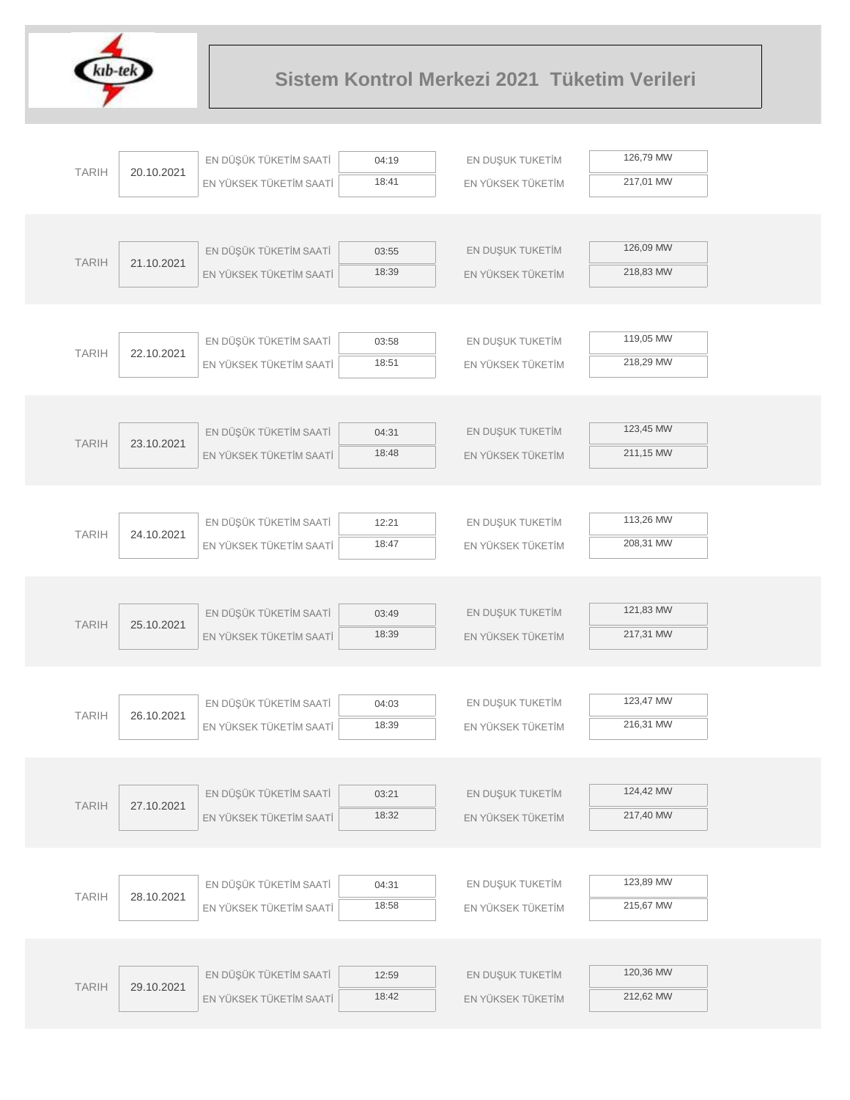

|              |            | EN DÜŞÜK TÜKETİM SAATİ  | 04:19          | EN DUŞUK TUKETİM  | 126,79 MW |  |
|--------------|------------|-------------------------|----------------|-------------------|-----------|--|
| <b>TARIH</b> | 20.10.2021 | EN YÜKSEK TÜKETİM SAATİ | 18:41          | EN YÜKSEK TÜKETİM | 217,01 MW |  |
|              |            |                         |                |                   |           |  |
|              |            |                         |                |                   |           |  |
| <b>TARIH</b> | 21.10.2021 | EN DÜŞÜK TÜKETİM SAATİ  | 03:55          | EN DUŞUK TUKETİM  | 126,09 MW |  |
|              |            | EN YÜKSEK TÜKETİM SAATİ | 18:39          | EN YÜKSEK TÜKETİM | 218,83 MW |  |
|              |            |                         |                |                   |           |  |
|              |            |                         |                |                   |           |  |
| <b>TARIH</b> | 22.10.2021 | EN DÜŞÜK TÜKETİM SAATİ  | 03:58          | EN DUŞUK TUKETİM  | 119,05 MW |  |
|              |            | EN YÜKSEK TÜKETİM SAATİ | 18:51          | EN YÜKSEK TÜKETİM | 218,29 MW |  |
|              |            |                         |                |                   |           |  |
|              |            |                         |                |                   | 123,45 MW |  |
| <b>TARIH</b> | 23.10.2021 | EN DÜŞÜK TÜKETİM SAATİ  | 04:31<br>18:48 | EN DUŞUK TUKETİM  | 211,15 MW |  |
|              |            | EN YÜKSEK TÜKETİM SAATİ |                | EN YÜKSEK TÜKETİM |           |  |
|              |            |                         |                |                   |           |  |
|              |            | EN DÜŞÜK TÜKETİM SAATİ  | 12:21          | EN DUŞUK TUKETİM  | 113,26 MW |  |
| <b>TARIH</b> | 24.10.2021 | EN YÜKSEK TÜKETİM SAATİ | 18:47          | EN YÜKSEK TÜKETİM | 208,31 MW |  |
|              |            |                         |                |                   |           |  |
|              |            |                         |                |                   |           |  |
|              |            | EN DÜŞÜK TÜKETİM SAATİ  | 03:49          | EN DUŞUK TUKETİM  | 121,83 MW |  |
| <b>TARIH</b> | 25.10.2021 | EN YÜKSEK TÜKETİM SAATİ | 18:39          | EN YÜKSEK TÜKETİM | 217,31 MW |  |
|              |            |                         |                |                   |           |  |
|              |            |                         |                |                   |           |  |
| <b>TARIH</b> | 26.10.2021 | EN DÜŞÜK TÜKETİM SAATİ  | 04:03          | EN DUŞUK TUKETİM  | 123,47 MW |  |
|              |            | EN YÜKSEK TÜKETİM SAATİ | 18:39          | EN YÜKSEK TÜKETİM | 216,31 MW |  |
|              |            |                         |                |                   |           |  |
|              |            |                         |                |                   |           |  |
| <b>TARIH</b> | 27.10.2021 | EN DÜŞÜK TÜKETİM SAATİ  | 03:21          | EN DUŞUK TUKETİM  | 124,42 MW |  |
|              |            | EN YÜKSEK TÜKETİM SAATİ | 18:32          | EN YÜKSEK TÜKETİM | 217,40 MW |  |
|              |            |                         |                |                   |           |  |
|              |            | EN DÜŞÜK TÜKETİM SAATİ  |                | EN DUŞUK TUKETİM  | 123,89 MW |  |
| <b>TARIH</b> | 28.10.2021 |                         | 04:31<br>18:58 | EN YÜKSEK TÜKETİM | 215,67 MW |  |
|              |            | EN YÜKSEK TÜKETİM SAATİ |                |                   |           |  |
|              |            |                         |                |                   |           |  |
|              |            | EN DÜŞÜK TÜKETİM SAATİ  | 12:59          | EN DUŞUK TUKETİM  | 120,36 MW |  |
| <b>TARIH</b> | 29.10.2021 | EN YÜKSEK TÜKETİM SAATİ | 18:42          | EN YÜKSEK TÜKETİM | 212,62 MW |  |
|              |            |                         |                |                   |           |  |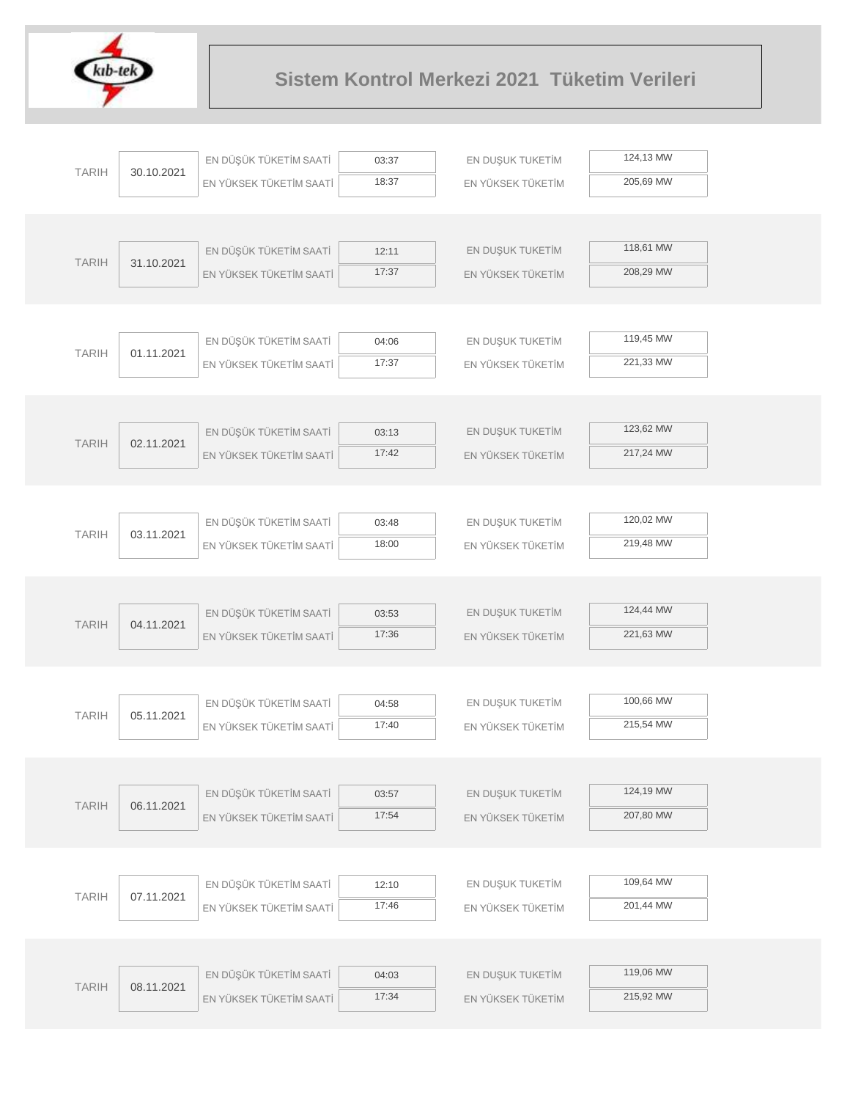

|              |            | EN DÜŞÜK TÜKETİM SAATİ  | 03:37          | EN DUŞUK TUKETİM  | 124,13 MW |
|--------------|------------|-------------------------|----------------|-------------------|-----------|
| <b>TARIH</b> | 30.10.2021 | EN YÜKSEK TÜKETİM SAATİ | 18:37          | EN YÜKSEK TÜKETİM | 205,69 MW |
|              |            |                         |                |                   |           |
|              |            |                         |                |                   |           |
| <b>TARIH</b> | 31.10.2021 | EN DÜŞÜK TÜKETİM SAATİ  | 12:11          | EN DUŞUK TUKETİM  | 118,61 MW |
|              |            | EN YÜKSEK TÜKETİM SAATİ | 17:37          | EN YÜKSEK TÜKETİM | 208,29 MW |
|              |            |                         |                |                   |           |
|              |            |                         |                |                   |           |
| <b>TARIH</b> | 01.11.2021 | EN DÜŞÜK TÜKETİM SAATİ  | 04:06          | EN DUŞUK TUKETİM  | 119,45 MW |
|              |            | EN YÜKSEK TÜKETİM SAATİ | 17:37          | EN YÜKSEK TÜKETİM | 221,33 MW |
|              |            |                         |                |                   |           |
|              |            |                         |                |                   | 123,62 MW |
| <b>TARIH</b> | 02.11.2021 | EN DÜŞÜK TÜKETİM SAATİ  | 03:13<br>17:42 | EN DUŞUK TUKETİM  | 217,24 MW |
|              |            | EN YÜKSEK TÜKETİM SAATİ |                | EN YÜKSEK TÜKETİM |           |
|              |            |                         |                |                   |           |
|              |            | EN DÜŞÜK TÜKETİM SAATİ  | 03:48          | EN DUŞUK TUKETİM  | 120,02 MW |
| <b>TARIH</b> | 03.11.2021 | EN YÜKSEK TÜKETİM SAATİ | 18:00          | EN YÜKSEK TÜKETİM | 219,48 MW |
|              |            |                         |                |                   |           |
|              |            |                         |                |                   |           |
|              |            | EN DÜŞÜK TÜKETİM SAATİ  | 03:53          | EN DUŞUK TUKETİM  | 124,44 MW |
| <b>TARIH</b> | 04.11.2021 | EN YÜKSEK TÜKETİM SAATİ | 17:36          | EN YÜKSEK TÜKETİM | 221,63 MW |
|              |            |                         |                |                   |           |
|              |            |                         |                |                   |           |
| <b>TARIH</b> | 05.11.2021 | EN DÜŞÜK TÜKETİM SAATİ  | 04:58          | EN DUŞUK TUKETİM  | 100,66 MW |
|              |            | EN YÜKSEK TÜKETİM SAATİ | 17:40          | EN YÜKSEK TÜKETİM | 215,54 MW |
|              |            |                         |                |                   |           |
|              |            |                         |                |                   |           |
| <b>TARIH</b> | 06.11.2021 | EN DÜŞÜK TÜKETİM SAATİ  | 03:57          | EN DUŞUK TUKETİM  | 124,19 MW |
|              |            | EN YÜKSEK TÜKETİM SAATİ | 17:54          | EN YÜKSEK TÜKETİM | 207,80 MW |
|              |            |                         |                |                   |           |
|              |            | EN DÜŞÜK TÜKETİM SAATİ  | 12:10          | EN DUŞUK TUKETİM  | 109,64 MW |
| <b>TARIH</b> | 07.11.2021 | EN YÜKSEK TÜKETİM SAATİ | 17:46          | EN YÜKSEK TÜKETİM | 201,44 MW |
|              |            |                         |                |                   |           |
|              |            |                         |                |                   |           |
|              |            | EN DÜŞÜK TÜKETİM SAATİ  | 04:03          | EN DUŞUK TUKETİM  | 119,06 MW |
| <b>TARIH</b> | 08.11.2021 | EN YÜKSEK TÜKETİM SAATİ | 17:34          | EN YÜKSEK TÜKETİM | 215,92 MW |
|              |            |                         |                |                   |           |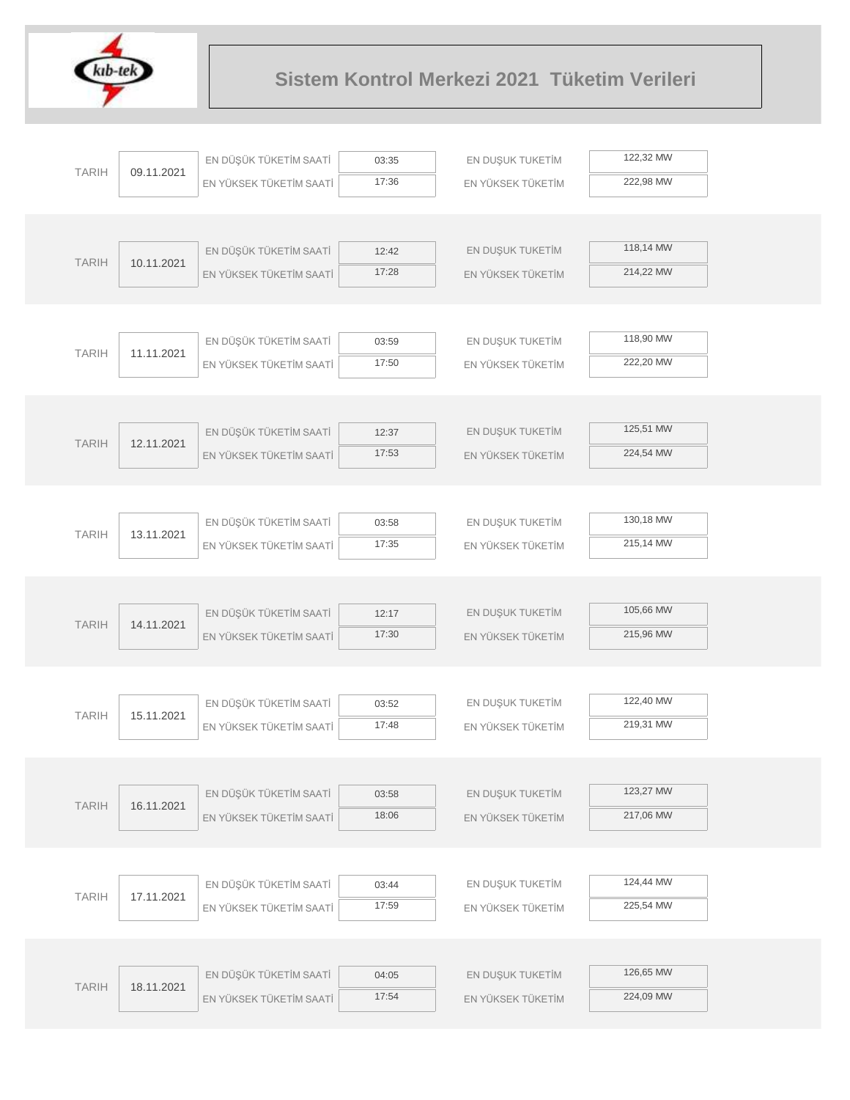

| <b>TARIH</b> | 09.11.2021 | EN DÜŞÜK TÜKETİM SAATİ                            | 03:35          | EN DUŞUK TUKETİM  | 122,32 MW |  |
|--------------|------------|---------------------------------------------------|----------------|-------------------|-----------|--|
|              |            | EN YÜKSEK TÜKETİM SAATİ                           | 17:36          | EN YÜKSEK TÜKETİM | 222,98 MW |  |
|              |            |                                                   |                |                   |           |  |
|              |            |                                                   |                |                   |           |  |
| <b>TARIH</b> | 10.11.2021 | EN DÜŞÜK TÜKETİM SAATİ                            | 12:42          | EN DUŞUK TUKETİM  | 118,14 MW |  |
|              |            | EN YÜKSEK TÜKETİM SAATİ                           | 17:28          | EN YÜKSEK TÜKETİM | 214,22 MW |  |
|              |            |                                                   |                |                   |           |  |
|              |            | EN DÜŞÜK TÜKETİM SAATİ                            | 03:59          | EN DUŞUK TUKETİM  | 118,90 MW |  |
| <b>TARIH</b> | 11.11.2021 | EN YÜKSEK TÜKETİM SAATİ                           | 17:50          | EN YÜKSEK TÜKETİM | 222,20 MW |  |
|              |            |                                                   |                |                   |           |  |
|              |            |                                                   |                |                   |           |  |
|              |            | EN DÜŞÜK TÜKETİM SAATİ                            | 12:37          | EN DUŞUK TUKETİM  | 125,51 MW |  |
| <b>TARIH</b> | 12.11.2021 | EN YÜKSEK TÜKETİM SAATİ                           | 17:53          | EN YÜKSEK TÜKETİM | 224,54 MW |  |
|              |            |                                                   |                |                   |           |  |
|              |            |                                                   |                |                   |           |  |
| <b>TARIH</b> | 13.11.2021 | EN DÜŞÜK TÜKETİM SAATİ                            | 03:58          | EN DUŞUK TUKETİM  | 130,18 MW |  |
|              |            | EN YÜKSEK TÜKETİM SAATİ                           | 17:35          | EN YÜKSEK TÜKETİM | 215,14 MW |  |
|              |            |                                                   |                |                   |           |  |
|              |            |                                                   |                |                   |           |  |
| <b>TARIH</b> | 14.11.2021 | EN DÜŞÜK TÜKETİM SAATİ                            | 12:17          | EN DUŞUK TUKETİM  | 105,66 MW |  |
|              |            | EN YÜKSEK TÜKETİM SAATİ                           | 17:30          | EN YÜKSEK TÜKETİM | 215,96 MW |  |
|              |            |                                                   |                |                   |           |  |
|              |            |                                                   |                |                   | 122,40 MW |  |
| <b>TARIH</b> | 15.11.2021 | EN DÜŞÜK TÜKETİM SAATİ<br>EN YÜKSEK TÜKETİM SAATİ | 03:52<br>17:48 | EN DUŞUK TUKETİM  | 219,31 MW |  |
|              |            |                                                   |                | EN YÜKSEK TÜKETİM |           |  |
|              |            |                                                   |                |                   |           |  |
|              |            | EN DÜŞÜK TÜKETİM SAATİ                            | 03:58          | EN DUŞUK TUKETİM  | 123,27 MW |  |
| <b>TARIH</b> | 16.11.2021 | EN YÜKSEK TÜKETİM SAATİ                           | 18:06          | EN YÜKSEK TÜKETİM | 217,06 MW |  |
|              |            |                                                   |                |                   |           |  |
|              |            |                                                   |                |                   |           |  |
|              |            | EN DÜŞÜK TÜKETİM SAATİ                            | 03:44          | EN DUŞUK TUKETİM  | 124,44 MW |  |
| <b>TARIH</b> | 17.11.2021 | EN YÜKSEK TÜKETİM SAATİ                           | 17:59          | EN YÜKSEK TÜKETİM | 225,54 MW |  |
|              |            |                                                   |                |                   |           |  |
|              |            |                                                   |                |                   |           |  |
| <b>TARIH</b> | 18.11.2021 | EN DÜŞÜK TÜKETİM SAATİ                            | 04:05          | EN DUŞUK TUKETİM  | 126,65 MW |  |
|              |            | EN YÜKSEK TÜKETİM SAATİ                           | 17:54          | EN YÜKSEK TÜKETİM | 224,09 MW |  |
|              |            |                                                   |                |                   |           |  |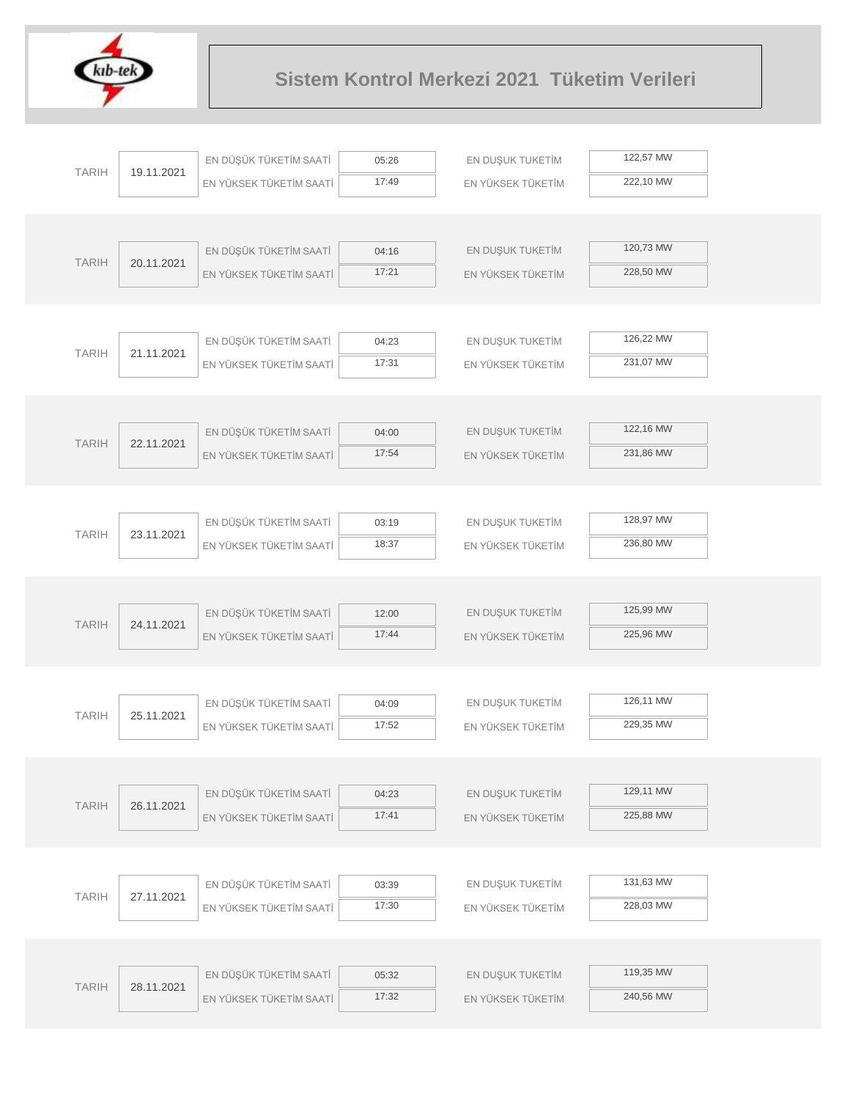

| <b>TARIH</b> |            | EN DÜŞÜK TÜKETİM SAATİ  | 05:26          | EN DUŞUK TUKETİM  | 122,57 MW |
|--------------|------------|-------------------------|----------------|-------------------|-----------|
|              | 19.11.2021 | EN YÜKSEK TÜKETİM SAATİ | 17:49          | EN YÜKSEK TÜKETİM | 222,10 MW |
|              |            |                         |                |                   |           |
|              |            |                         |                |                   |           |
| <b>TARIH</b> | 20.11.2021 | EN DÜŞÜK TÜKETİM SAATİ  | 04:16          | EN DUŞUK TUKETİM  | 120,73 MW |
|              |            | EN YÜKSEK TÜKETİM SAATİ | 17:21          | EN YÜKSEK TÜKETİM | 228,50 MW |
|              |            |                         |                |                   |           |
|              |            |                         |                |                   |           |
| <b>TARIH</b> | 21.11.2021 | EN DÜŞÜK TÜKETİM SAATİ  | 04:23          | EN DUŞUK TUKETİM  | 126,22 MW |
|              |            | EN YÜKSEK TÜKETİM SAATİ | 17:31          | EN YÜKSEK TÜKETİM | 231,07 MW |
|              |            |                         |                |                   |           |
|              |            | EN DÜŞÜK TÜKETİM SAATİ  | 04:00          | EN DUŞUK TUKETİM  | 122,16 MW |
| <b>TARIH</b> | 22.11.2021 | EN YÜKSEK TÜKETİM SAATİ | 17:54          | EN YÜKSEK TÜKETİM | 231,86 MW |
|              |            |                         |                |                   |           |
|              |            |                         |                |                   |           |
|              |            | EN DÜŞÜK TÜKETİM SAATİ  | 03:19          | EN DUŞUK TUKETİM  | 128,97 MW |
| <b>TARIH</b> | 23.11.2021 | EN YÜKSEK TÜKETİM SAATİ | 18:37          | EN YÜKSEK TÜKETİM | 236,80 MW |
|              |            |                         |                |                   |           |
|              |            |                         |                |                   |           |
|              |            | EN DÜŞÜK TÜKETİM SAATİ  | 12:00          | EN DUŞUK TUKETİM  | 125,99 MW |
| <b>TARIH</b> | 24.11.2021 | EN YÜKSEK TÜKETİM SAATİ | 17:44          | EN YÜKSEK TÜKETİM | 225,96 MW |
|              |            |                         |                |                   |           |
|              |            |                         |                |                   |           |
| <b>TARIH</b> | 25.11.2021 | EN DÜŞÜK TÜKETİM SAATİ  | 04:09          | EN DUŞUK TUKETİM  | 126,11 MW |
|              |            | EN YÜKSEK TÜKETİM SAATİ | 17:52          | EN YÜKSEK TÜKETİM | 229,35 MW |
|              |            |                         |                |                   |           |
|              |            |                         |                |                   | 129,11 MW |
| <b>TARIH</b> | 26.11.2021 | EN DÜŞÜK TÜKETİM SAATİ  | 04:23<br>17:41 | EN DUŞUK TUKETİM  | 225,88 MW |
|              |            | EN YÜKSEK TÜKETİM SAATİ |                | EN YÜKSEK TÜKETİM |           |
|              |            |                         |                |                   |           |
|              |            | EN DÜŞÜK TÜKETİM SAATİ  | 03:39          | EN DUŞUK TUKETİM  | 131,63 MW |
| <b>TARIH</b> | 27.11.2021 | EN YÜKSEK TÜKETİM SAATİ | 17:30          | EN YÜKSEK TÜKETİM | 228,03 MW |
|              |            |                         |                |                   |           |
|              |            |                         |                |                   |           |
|              |            | EN DÜŞÜK TÜKETİM SAATİ  | 05:32          | EN DUŞUK TUKETİM  | 119,35 MW |
| <b>TARIH</b> | 28.11.2021 | EN YÜKSEK TÜKETİM SAATİ | 17:32          | EN YÜKSEK TÜKETİM | 240,56 MW |
|              |            |                         |                |                   |           |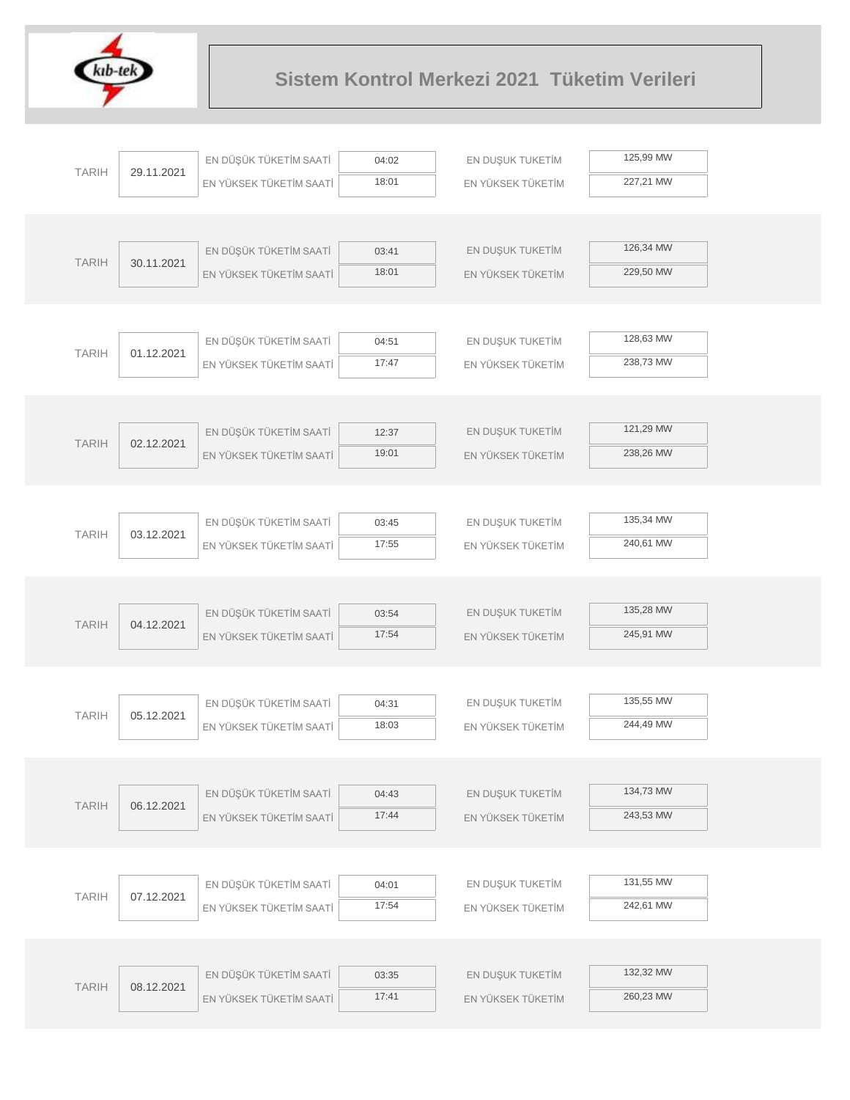

|              |            | EN DÜŞÜK TÜKETİM SAATİ  | 04:02          | EN DUŞUK TUKETİM  | 125,99 MW |  |
|--------------|------------|-------------------------|----------------|-------------------|-----------|--|
| <b>TARIH</b> | 29.11.2021 | EN YÜKSEK TÜKETİM SAATİ | 18:01          | EN YÜKSEK TÜKETİM | 227,21 MW |  |
|              |            |                         |                |                   |           |  |
|              |            |                         |                |                   |           |  |
| <b>TARIH</b> | 30.11.2021 | EN DÜŞÜK TÜKETİM SAATİ  | 03:41          | EN DUŞUK TUKETİM  | 126,34 MW |  |
|              |            | EN YÜKSEK TÜKETİM SAATİ | 18:01          | EN YÜKSEK TÜKETİM | 229,50 MW |  |
|              |            |                         |                |                   |           |  |
|              |            |                         |                |                   |           |  |
| <b>TARIH</b> | 01.12.2021 | EN DÜŞÜK TÜKETİM SAATİ  | 04:51          | EN DUŞUK TUKETİM  | 128,63 MW |  |
|              |            | EN YÜKSEK TÜKETİM SAATİ | 17:47          | EN YÜKSEK TÜKETİM | 238,73 MW |  |
|              |            |                         |                |                   |           |  |
|              |            | EN DÜŞÜK TÜKETİM SAATİ  | 12:37          | EN DUŞUK TUKETİM  | 121,29 MW |  |
| <b>TARIH</b> | 02.12.2021 | EN YÜKSEK TÜKETİM SAATİ | 19:01          | EN YÜKSEK TÜKETİM | 238,26 MW |  |
|              |            |                         |                |                   |           |  |
|              |            |                         |                |                   |           |  |
|              |            | EN DÜŞÜK TÜKETİM SAATİ  | 03:45          | EN DUŞUK TUKETİM  | 135,34 MW |  |
| <b>TARIH</b> | 03.12.2021 | EN YÜKSEK TÜKETİM SAATİ | 17:55          | EN YÜKSEK TÜKETİM | 240,61 MW |  |
|              |            |                         |                |                   |           |  |
|              |            |                         |                |                   |           |  |
|              |            | EN DÜŞÜK TÜKETİM SAATİ  | 03:54          | EN DUŞUK TUKETİM  | 135,28 MW |  |
| <b>TARIH</b> | 04.12.2021 | EN YÜKSEK TÜKETİM SAATİ | 17:54          | EN YÜKSEK TÜKETİM | 245,91 MW |  |
|              |            |                         |                |                   |           |  |
|              |            |                         |                |                   |           |  |
| <b>TARIH</b> | 05.12.2021 | EN DÜŞÜK TÜKETİM SAATİ  | 04:31          | EN DUŞUK TUKETİM  | 135,55 MW |  |
|              |            | EN YÜKSEK TÜKETİM SAATİ | 18:03          | EN YÜKSEK TÜKETİM | 244,49 MW |  |
|              |            |                         |                |                   |           |  |
|              |            |                         |                |                   | 134,73 MW |  |
| <b>TARIH</b> | 06.12.2021 | EN DÜŞÜK TÜKETİM SAATİ  | 04:43<br>17:44 | EN DUŞUK TUKETİM  | 243,53 MW |  |
|              |            | EN YÜKSEK TÜKETİM SAATİ |                | EN YÜKSEK TÜKETİM |           |  |
|              |            |                         |                |                   |           |  |
|              |            | EN DÜŞÜK TÜKETİM SAATİ  | 04:01          | EN DUŞUK TUKETİM  | 131,55 MW |  |
| <b>TARIH</b> | 07.12.2021 | EN YÜKSEK TÜKETİM SAATİ | 17:54          | EN YÜKSEK TÜKETİM | 242,61 MW |  |
|              |            |                         |                |                   |           |  |
|              |            |                         |                |                   |           |  |
|              |            | EN DÜŞÜK TÜKETİM SAATİ  | 03:35          | EN DUŞUK TUKETİM  | 132,32 MW |  |
| <b>TARIH</b> | 08.12.2021 | EN YÜKSEK TÜKETİM SAATİ | 17:41          | EN YÜKSEK TÜKETİM | 260,23 MW |  |
|              |            |                         |                |                   |           |  |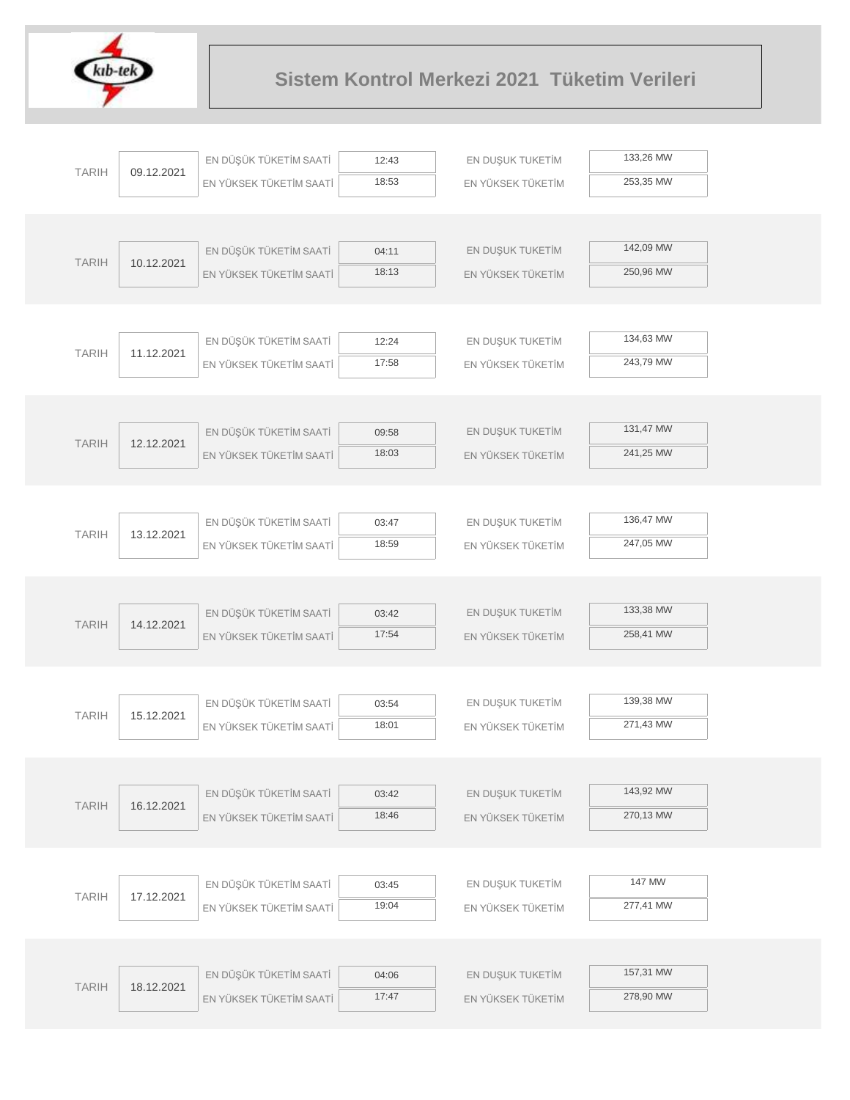

| <b>TARIH</b> |            | EN DÜŞÜK TÜKETİM SAATİ  | 12:43          | EN DUŞUK TUKETİM  | 133,26 MW |  |
|--------------|------------|-------------------------|----------------|-------------------|-----------|--|
|              | 09.12.2021 | EN YÜKSEK TÜKETİM SAATİ | 18:53          | EN YÜKSEK TÜKETİM | 253,35 MW |  |
|              |            |                         |                |                   |           |  |
|              |            |                         |                |                   |           |  |
| <b>TARIH</b> | 10.12.2021 | EN DÜŞÜK TÜKETİM SAATİ  | 04:11          | EN DUŞUK TUKETİM  | 142,09 MW |  |
|              |            | EN YÜKSEK TÜKETİM SAATİ | 18:13          | EN YÜKSEK TÜKETİM | 250,96 MW |  |
|              |            |                         |                |                   |           |  |
|              |            |                         |                |                   |           |  |
| <b>TARIH</b> | 11.12.2021 | EN DÜŞÜK TÜKETİM SAATİ  | 12:24          | EN DUŞUK TUKETİM  | 134,63 MW |  |
|              |            | EN YÜKSEK TÜKETİM SAATİ | 17:58          | EN YÜKSEK TÜKETİM | 243,79 MW |  |
|              |            |                         |                |                   |           |  |
|              |            | EN DÜŞÜK TÜKETİM SAATİ  |                | EN DUŞUK TUKETİM  | 131,47 MW |  |
| <b>TARIH</b> | 12.12.2021 | EN YÜKSEK TÜKETİM SAATİ | 09:58<br>18:03 | EN YÜKSEK TÜKETİM | 241,25 MW |  |
|              |            |                         |                |                   |           |  |
|              |            |                         |                |                   |           |  |
|              |            | EN DÜŞÜK TÜKETİM SAATİ  | 03:47          | EN DUŞUK TUKETİM  | 136,47 MW |  |
| <b>TARIH</b> | 13.12.2021 | EN YÜKSEK TÜKETİM SAATİ | 18:59          | EN YÜKSEK TÜKETİM | 247,05 MW |  |
|              |            |                         |                |                   |           |  |
|              |            |                         |                |                   |           |  |
|              |            | EN DÜŞÜK TÜKETİM SAATİ  | 03:42          | EN DUŞUK TUKETİM  | 133,38 MW |  |
| <b>TARIH</b> | 14.12.2021 | EN YÜKSEK TÜKETİM SAATİ | 17:54          | EN YÜKSEK TÜKETİM | 258,41 MW |  |
|              |            |                         |                |                   |           |  |
|              |            |                         |                |                   |           |  |
| <b>TARIH</b> | 15.12.2021 | EN DÜŞÜK TÜKETİM SAATİ  | 03:54          | EN DUŞUK TUKETİM  | 139,38 MW |  |
|              |            | EN YÜKSEK TÜKETİM SAATİ | 18:01          | EN YÜKSEK TÜKETİM | 271,43 MW |  |
|              |            |                         |                |                   |           |  |
|              |            |                         |                |                   |           |  |
| <b>TARIH</b> | 16.12.2021 | EN DÜŞÜK TÜKETİM SAATİ  | 03:42          | EN DUŞUK TUKETİM  | 143,92 MW |  |
|              |            | EN YÜKSEK TÜKETİM SAATİ | 18:46          | EN YÜKSEK TÜKETİM | 270,13 MW |  |
|              |            |                         |                |                   |           |  |
|              |            |                         |                |                   | 147 MW    |  |
| <b>TARIH</b> | 17.12.2021 | EN DÜŞÜK TÜKETİM SAATİ  | 03:45<br>19:04 | EN DUŞUK TUKETİM  | 277,41 MW |  |
|              |            | EN YÜKSEK TÜKETİM SAATİ |                | EN YÜKSEK TÜKETİM |           |  |
|              |            |                         |                |                   |           |  |
|              |            | EN DÜŞÜK TÜKETİM SAATİ  | 04:06          | EN DUŞUK TUKETİM  | 157,31 MW |  |
| <b>TARIH</b> | 18.12.2021 | EN YÜKSEK TÜKETİM SAATİ | 17:47          | EN YÜKSEK TÜKETİM | 278,90 MW |  |
|              |            |                         |                |                   |           |  |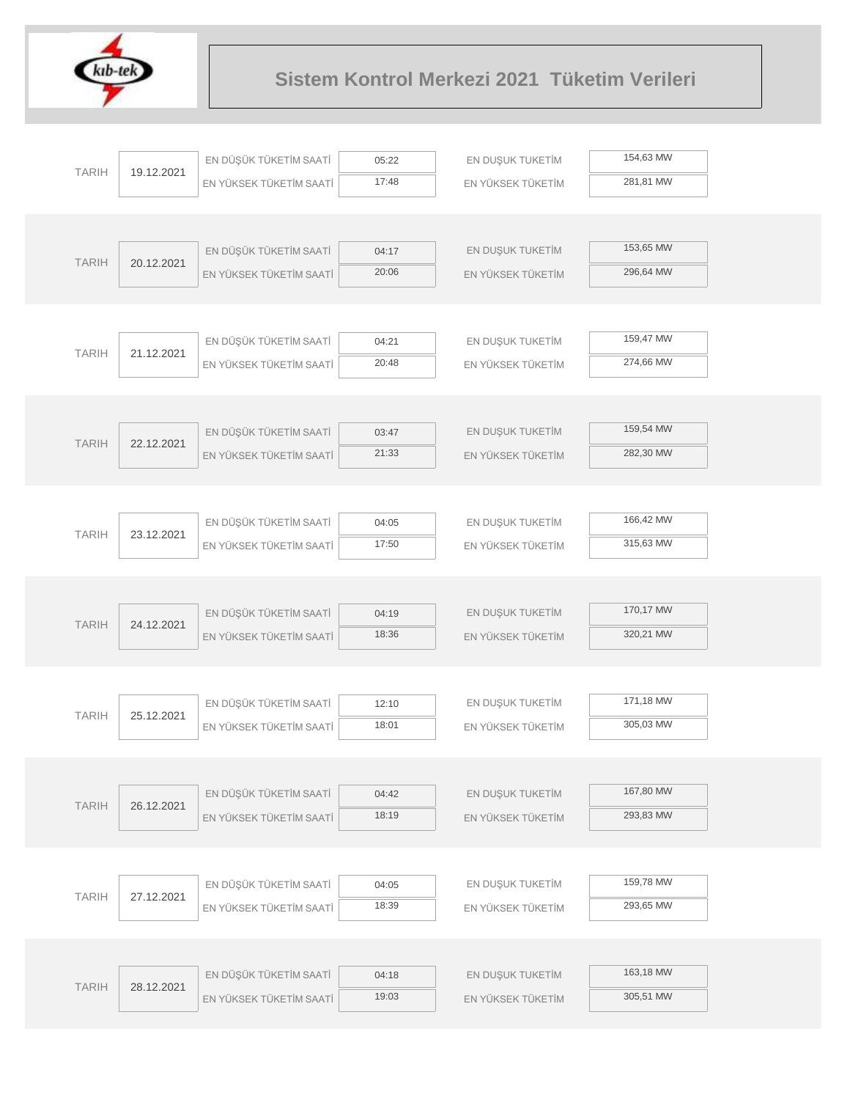

|              |            | EN DÜŞÜK TÜKETİM SAATİ  | 05:22 | EN DUŞUK TUKETİM  | 154,63 MW |  |
|--------------|------------|-------------------------|-------|-------------------|-----------|--|
| <b>TARIH</b> | 19.12.2021 | EN YÜKSEK TÜKETİM SAATİ | 17:48 | EN YÜKSEK TÜKETİM | 281,81 MW |  |
|              |            |                         |       |                   |           |  |
|              |            |                         |       |                   |           |  |
| <b>TARIH</b> | 20.12.2021 | EN DÜŞÜK TÜKETİM SAATİ  | 04:17 | EN DUŞUK TUKETİM  | 153,65 MW |  |
|              |            | EN YÜKSEK TÜKETİM SAATİ | 20:06 | EN YÜKSEK TÜKETİM | 296,64 MW |  |
|              |            |                         |       |                   |           |  |
|              |            |                         |       |                   |           |  |
| <b>TARIH</b> | 21.12.2021 | EN DÜŞÜK TÜKETİM SAATİ  | 04:21 | EN DUŞUK TUKETİM  | 159,47 MW |  |
|              |            | EN YÜKSEK TÜKETİM SAATİ | 20:48 | EN YÜKSEK TÜKETİM | 274,66 MW |  |
|              |            |                         |       |                   |           |  |
|              |            |                         |       |                   | 159,54 MW |  |
| <b>TARIH</b> | 22.12.2021 | EN DÜŞÜK TÜKETİM SAATİ  | 03:47 | EN DUŞUK TUKETİM  |           |  |
|              |            | EN YÜKSEK TÜKETİM SAATİ | 21:33 | EN YÜKSEK TÜKETİM | 282,30 MW |  |
|              |            |                         |       |                   |           |  |
|              |            | EN DÜŞÜK TÜKETİM SAATİ  | 04:05 | EN DUŞUK TUKETİM  | 166,42 MW |  |
| <b>TARIH</b> | 23.12.2021 | EN YÜKSEK TÜKETİM SAATİ | 17:50 | EN YÜKSEK TÜKETİM | 315,63 MW |  |
|              |            |                         |       |                   |           |  |
|              |            |                         |       |                   |           |  |
|              |            | EN DÜŞÜK TÜKETİM SAATİ  | 04:19 | EN DUŞUK TUKETİM  | 170,17 MW |  |
| <b>TARIH</b> | 24.12.2021 | EN YÜKSEK TÜKETİM SAATİ | 18:36 | EN YÜKSEK TÜKETİM | 320,21 MW |  |
|              |            |                         |       |                   |           |  |
|              |            |                         |       |                   |           |  |
|              |            | EN DÜŞÜK TÜKETİM SAATİ  | 12:10 | EN DUŞUK TUKETİM  | 171,18 MW |  |
| <b>TARIH</b> | 25.12.2021 | EN YÜKSEK TÜKETİM SAATİ | 18:01 | EN YÜKSEK TÜKETİM | 305,03 MW |  |
|              |            |                         |       |                   |           |  |
|              |            |                         |       |                   |           |  |
| <b>TARIH</b> | 26.12.2021 | EN DÜŞÜK TÜKETİM SAATİ  | 04:42 | EN DUŞUK TUKETİM  | 167,80 MW |  |
|              |            | EN YÜKSEK TÜKETİM SAATİ | 18:19 | EN YÜKSEK TÜKETİM | 293,83 MW |  |
|              |            |                         |       |                   |           |  |
|              |            |                         |       |                   |           |  |
| <b>TARIH</b> | 27.12.2021 | EN DÜŞÜK TÜKETİM SAATİ  | 04:05 | EN DUŞUK TUKETİM  | 159,78 MW |  |
|              |            | EN YÜKSEK TÜKETİM SAATİ | 18:39 | EN YÜKSEK TÜKETİM | 293,65 MW |  |
|              |            |                         |       |                   |           |  |
|              |            |                         |       |                   |           |  |
| <b>TARIH</b> | 28.12.2021 | EN DÜŞÜK TÜKETİM SAATİ  | 04:18 | EN DUŞUK TUKETİM  | 163,18 MW |  |
|              |            | EN YÜKSEK TÜKETİM SAATİ | 19:03 | EN YÜKSEK TÜKETİM | 305,51 MW |  |
|              |            |                         |       |                   |           |  |